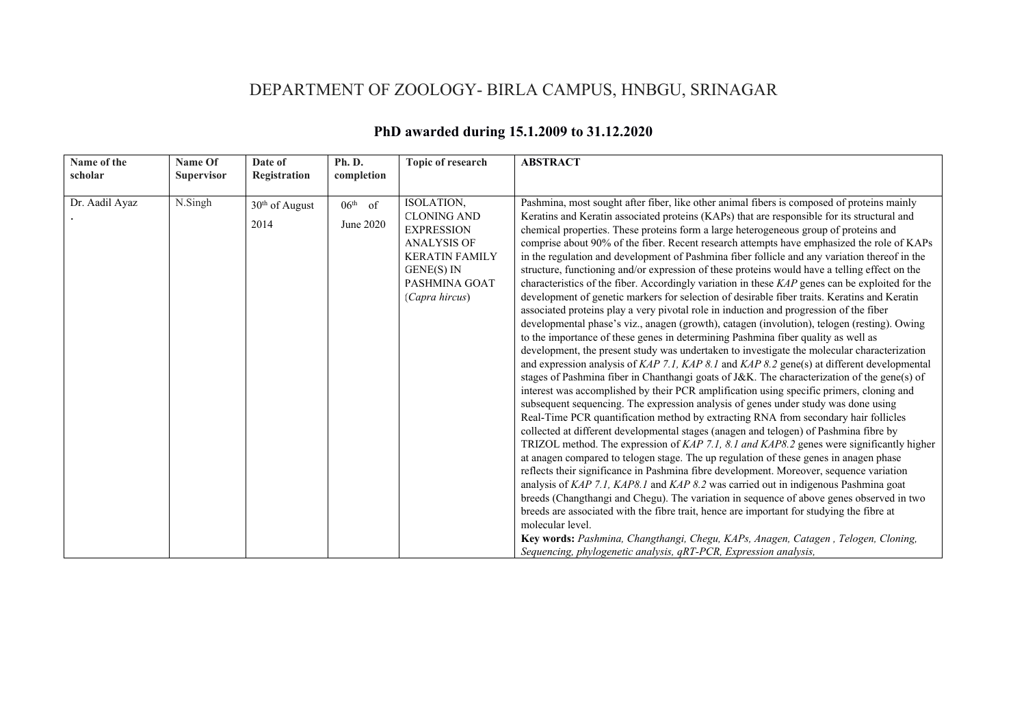## DEPARTMENT OF ZOOLOGY- BIRLA CAMPUS, HNBGU, SRINAGAR

| Name of the<br>scholar | Name Of<br><b>Supervisor</b> | Date of<br>Registration            | Ph. D.<br>completion   | <b>Topic of research</b>                                                                                                                              | <b>ABSTRACT</b>                                                                                                                                                                                                                                                                                                                                                                                                                                                                                                                                                                                                                                                                                                                                                                                                                                                                                                                                                                                                                                                                                                                                                                                                                                                                                                                                                                                                                                                                                                                                                                                                                                                                                                                                                                                                                                                                                                                                                                                                                                                                                                                                                                                                                                                                                                                                                                                           |
|------------------------|------------------------------|------------------------------------|------------------------|-------------------------------------------------------------------------------------------------------------------------------------------------------|-----------------------------------------------------------------------------------------------------------------------------------------------------------------------------------------------------------------------------------------------------------------------------------------------------------------------------------------------------------------------------------------------------------------------------------------------------------------------------------------------------------------------------------------------------------------------------------------------------------------------------------------------------------------------------------------------------------------------------------------------------------------------------------------------------------------------------------------------------------------------------------------------------------------------------------------------------------------------------------------------------------------------------------------------------------------------------------------------------------------------------------------------------------------------------------------------------------------------------------------------------------------------------------------------------------------------------------------------------------------------------------------------------------------------------------------------------------------------------------------------------------------------------------------------------------------------------------------------------------------------------------------------------------------------------------------------------------------------------------------------------------------------------------------------------------------------------------------------------------------------------------------------------------------------------------------------------------------------------------------------------------------------------------------------------------------------------------------------------------------------------------------------------------------------------------------------------------------------------------------------------------------------------------------------------------------------------------------------------------------------------------------------------------|
| Dr. Aadil Ayaz         | N.Singh                      | 30 <sup>th</sup> of August<br>2014 | $06th$ of<br>June 2020 | ISOLATION,<br><b>CLONING AND</b><br><b>EXPRESSION</b><br><b>ANALYSIS OF</b><br><b>KERATIN FAMILY</b><br>GENE(S) IN<br>PASHMINA GOAT<br>(Capra hircus) | Pashmina, most sought after fiber, like other animal fibers is composed of proteins mainly<br>Keratins and Keratin associated proteins (KAPs) that are responsible for its structural and<br>chemical properties. These proteins form a large heterogeneous group of proteins and<br>comprise about 90% of the fiber. Recent research attempts have emphasized the role of KAPs<br>in the regulation and development of Pashmina fiber follicle and any variation thereof in the<br>structure, functioning and/or expression of these proteins would have a telling effect on the<br>characteristics of the fiber. Accordingly variation in these KAP genes can be exploited for the<br>development of genetic markers for selection of desirable fiber traits. Keratins and Keratin<br>associated proteins play a very pivotal role in induction and progression of the fiber<br>developmental phase's viz., anagen (growth), catagen (involution), telogen (resting). Owing<br>to the importance of these genes in determining Pashmina fiber quality as well as<br>development, the present study was undertaken to investigate the molecular characterization<br>and expression analysis of KAP 7.1, KAP 8.1 and KAP 8.2 gene(s) at different developmental<br>stages of Pashmina fiber in Chanthangi goats of J&K. The characterization of the gene(s) of<br>interest was accomplished by their PCR amplification using specific primers, cloning and<br>subsequent sequencing. The expression analysis of genes under study was done using<br>Real-Time PCR quantification method by extracting RNA from secondary hair follicles<br>collected at different developmental stages (anagen and telogen) of Pashmina fibre by<br>TRIZOL method. The expression of KAP 7.1, 8.1 and KAP8.2 genes were significantly higher<br>at anagen compared to telogen stage. The up regulation of these genes in anagen phase<br>reflects their significance in Pashmina fibre development. Moreover, sequence variation<br>analysis of KAP 7.1, KAP8.1 and KAP 8.2 was carried out in indigenous Pashmina goat<br>breeds (Changthangi and Chegu). The variation in sequence of above genes observed in two<br>breeds are associated with the fibre trait, hence are important for studying the fibre at<br>molecular level.<br>Key words: Pashmina, Changthangi, Chegu, KAPs, Anagen, Catagen, Telogen, Cloning, |
|                        |                              |                                    |                        |                                                                                                                                                       | Sequencing, phylogenetic analysis, qRT-PCR, Expression analysis,                                                                                                                                                                                                                                                                                                                                                                                                                                                                                                                                                                                                                                                                                                                                                                                                                                                                                                                                                                                                                                                                                                                                                                                                                                                                                                                                                                                                                                                                                                                                                                                                                                                                                                                                                                                                                                                                                                                                                                                                                                                                                                                                                                                                                                                                                                                                          |

## **PhD awarded during 15.1.2009 to 31.12.2020**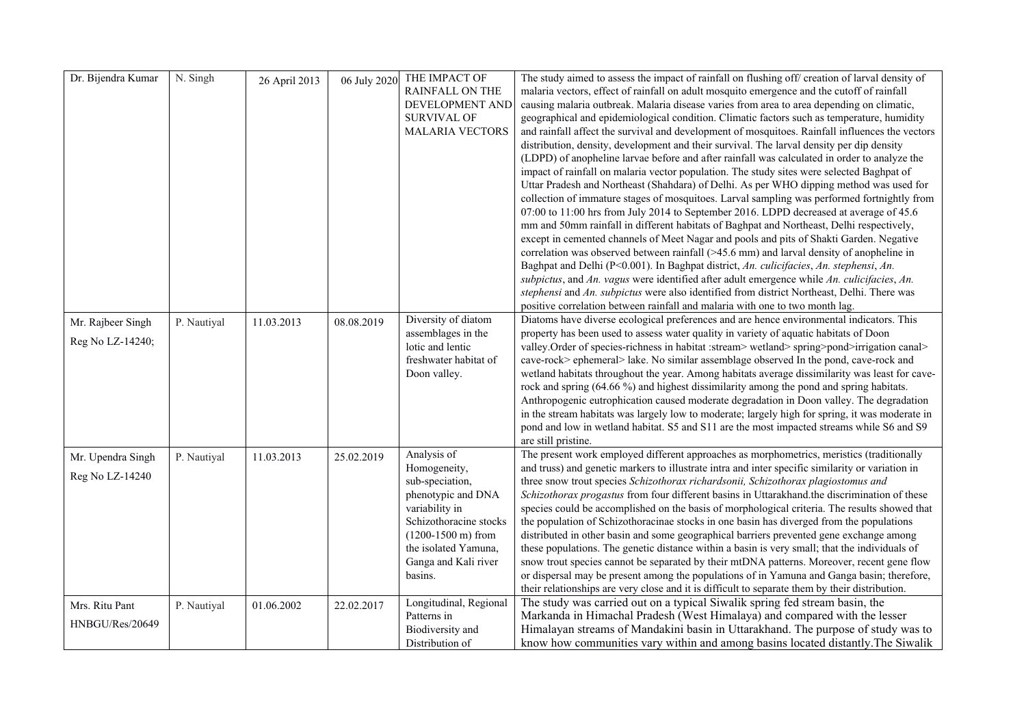| Dr. Bijendra Kumar | N. Singh    | 26 April 2013 | 06 July 2020 | THE IMPACT OF                | The study aimed to assess the impact of rainfall on flushing off/ creation of larval density of  |
|--------------------|-------------|---------------|--------------|------------------------------|--------------------------------------------------------------------------------------------------|
|                    |             |               |              | <b>RAINFALL ON THE</b>       | malaria vectors, effect of rainfall on adult mosquito emergence and the cutoff of rainfall       |
|                    |             |               |              | DEVELOPMENT AND              | causing malaria outbreak. Malaria disease varies from area to area depending on climatic,        |
|                    |             |               |              | <b>SURVIVAL OF</b>           | geographical and epidemiological condition. Climatic factors such as temperature, humidity       |
|                    |             |               |              | <b>MALARIA VECTORS</b>       | and rainfall affect the survival and development of mosquitoes. Rainfall influences the vectors  |
|                    |             |               |              |                              | distribution, density, development and their survival. The larval density per dip density        |
|                    |             |               |              |                              | (LDPD) of anopheline larvae before and after rainfall was calculated in order to analyze the     |
|                    |             |               |              |                              | impact of rainfall on malaria vector population. The study sites were selected Baghpat of        |
|                    |             |               |              |                              | Uttar Pradesh and Northeast (Shahdara) of Delhi. As per WHO dipping method was used for          |
|                    |             |               |              |                              | collection of immature stages of mosquitoes. Larval sampling was performed fortnightly from      |
|                    |             |               |              |                              | 07:00 to 11:00 hrs from July 2014 to September 2016. LDPD decreased at average of 45.6           |
|                    |             |               |              |                              | mm and 50mm rainfall in different habitats of Baghpat and Northeast, Delhi respectively,         |
|                    |             |               |              |                              | except in cemented channels of Meet Nagar and pools and pits of Shakti Garden. Negative          |
|                    |             |               |              |                              | correlation was observed between rainfall $(>45.6$ mm) and larval density of anopheline in       |
|                    |             |               |              |                              | Baghpat and Delhi (P<0.001). In Baghpat district, An. culicifacies, An. stephensi, An.           |
|                    |             |               |              |                              | subpictus, and An. vagus were identified after adult emergence while An. culicifacies, An.       |
|                    |             |               |              |                              | stephensi and An. subpictus were also identified from district Northeast, Delhi. There was       |
|                    |             |               |              |                              | positive correlation between rainfall and malaria with one to two month lag.                     |
| Mr. Rajbeer Singh  | P. Nautiyal | 11.03.2013    | 08.08.2019   | Diversity of diatom          | Diatoms have diverse ecological preferences and are hence environmental indicators. This         |
|                    |             |               |              | assemblages in the           | property has been used to assess water quality in variety of aquatic habitats of Doon            |
| Reg No LZ-14240;   |             |               |              | lotic and lentic             | valley. Order of species-richness in habitat : stream> wetland> spring>pond>irrigation canal>    |
|                    |             |               |              | freshwater habitat of        | cave-rock> ephemeral> lake. No similar assemblage observed In the pond, cave-rock and            |
|                    |             |               |              | Doon valley.                 | wetland habitats throughout the year. Among habitats average dissimilarity was least for cave-   |
|                    |             |               |              |                              | rock and spring (64.66 %) and highest dissimilarity among the pond and spring habitats.          |
|                    |             |               |              |                              | Anthropogenic eutrophication caused moderate degradation in Doon valley. The degradation         |
|                    |             |               |              |                              | in the stream habitats was largely low to moderate; largely high for spring, it was moderate in  |
|                    |             |               |              |                              | pond and low in wetland habitat. S5 and S11 are the most impacted streams while S6 and S9        |
|                    |             |               |              |                              | are still pristine.                                                                              |
| Mr. Upendra Singh  | P. Nautiyal | 11.03.2013    | 25.02.2019   | Analysis of                  | The present work employed different approaches as morphometrics, meristics (traditionally        |
|                    |             |               |              | Homogeneity,                 | and truss) and genetic markers to illustrate intra and inter specific similarity or variation in |
| Reg No LZ-14240    |             |               |              | sub-speciation,              | three snow trout species Schizothorax richardsonii, Schizothorax plagiostomus and                |
|                    |             |               |              | phenotypic and DNA           | Schizothorax progastus from four different basins in Uttarakhand.the discrimination of these     |
|                    |             |               |              | variability in               | species could be accomplished on the basis of morphological criteria. The results showed that    |
|                    |             |               |              | Schizothoracine stocks       | the population of Schizothoracinae stocks in one basin has diverged from the populations         |
|                    |             |               |              | $(1200-1500 \text{ m})$ from | distributed in other basin and some geographical barriers prevented gene exchange among          |
|                    |             |               |              | the isolated Yamuna,         | these populations. The genetic distance within a basin is very small; that the individuals of    |
|                    |             |               |              | Ganga and Kali river         | snow trout species cannot be separated by their mtDNA patterns. Moreover, recent gene flow       |
|                    |             |               |              | basins.                      | or dispersal may be present among the populations of in Yamuna and Ganga basin; therefore,       |
|                    |             |               |              |                              | their relationships are very close and it is difficult to separate them by their distribution.   |
| Mrs. Ritu Pant     | P. Nautiyal | 01.06.2002    | 22.02.2017   | Longitudinal, Regional       | The study was carried out on a typical Siwalik spring fed stream basin, the                      |
|                    |             |               |              | Patterns in                  | Markanda in Himachal Pradesh (West Himalaya) and compared with the lesser                        |
| HNBGU/Res/20649    |             |               |              | Biodiversity and             | Himalayan streams of Mandakini basin in Uttarakhand. The purpose of study was to                 |
|                    |             |               |              | Distribution of              | know how communities vary within and among basins located distantly. The Siwalik                 |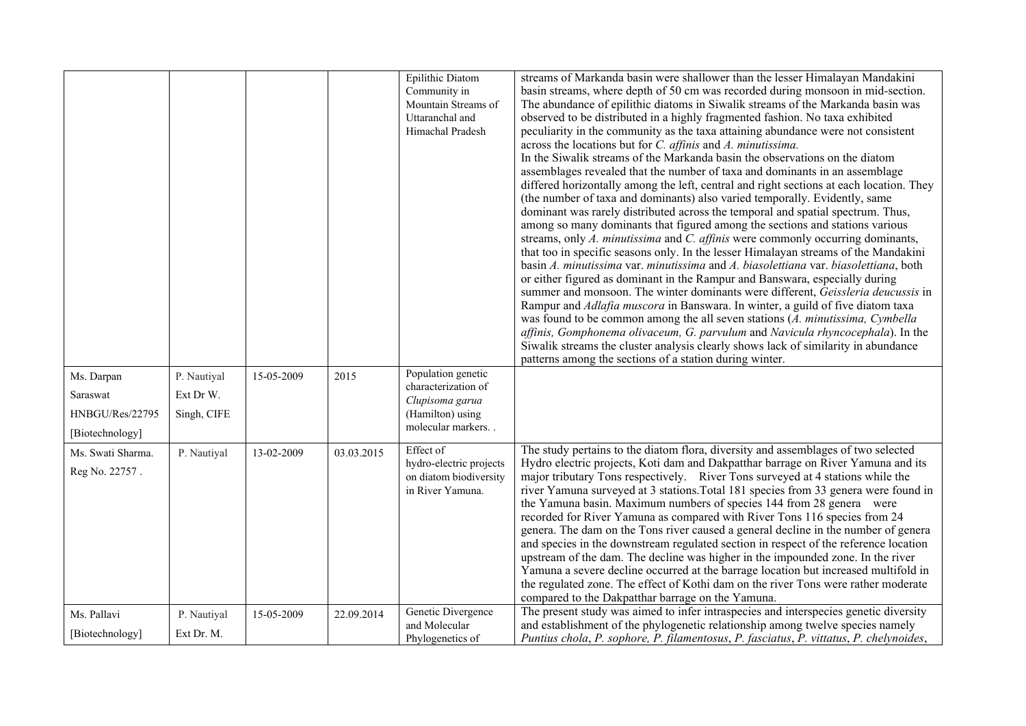|                                                        |                                         |            |            | Epilithic Diatom<br>Community in<br>Mountain Streams of<br>Uttaranchal and<br>Himachal Pradesh        | streams of Markanda basin were shallower than the lesser Himalayan Mandakini<br>basin streams, where depth of 50 cm was recorded during monsoon in mid-section.<br>The abundance of epilithic diatoms in Siwalik streams of the Markanda basin was<br>observed to be distributed in a highly fragmented fashion. No taxa exhibited<br>peculiarity in the community as the taxa attaining abundance were not consistent<br>across the locations but for <i>C. affinis</i> and <i>A. minutissima.</i><br>In the Siwalik streams of the Markanda basin the observations on the diatom<br>assemblages revealed that the number of taxa and dominants in an assemblage<br>differed horizontally among the left, central and right sections at each location. They<br>(the number of taxa and dominants) also varied temporally. Evidently, same<br>dominant was rarely distributed across the temporal and spatial spectrum. Thus,<br>among so many dominants that figured among the sections and stations various<br>streams, only A. minutissima and C. affinis were commonly occurring dominants,<br>that too in specific seasons only. In the lesser Himalayan streams of the Mandakini<br>basin A. minutissima var. minutissima and A. biasolettiana var. biasolettiana, both<br>or either figured as dominant in the Rampur and Banswara, especially during<br>summer and monsoon. The winter dominants were different, Geissleria deucussis in<br>Rampur and <i>Adlafia muscora</i> in Banswara. In winter, a guild of five diatom taxa<br>was found to be common among the all seven stations (A. minutissima, Cymbella<br>affinis, Gomphonema olivaceum, G. parvulum and Navicula rhyncocephala). In the<br>Siwalik streams the cluster analysis clearly shows lack of similarity in abundance<br>patterns among the sections of a station during winter. |
|--------------------------------------------------------|-----------------------------------------|------------|------------|-------------------------------------------------------------------------------------------------------|---------------------------------------------------------------------------------------------------------------------------------------------------------------------------------------------------------------------------------------------------------------------------------------------------------------------------------------------------------------------------------------------------------------------------------------------------------------------------------------------------------------------------------------------------------------------------------------------------------------------------------------------------------------------------------------------------------------------------------------------------------------------------------------------------------------------------------------------------------------------------------------------------------------------------------------------------------------------------------------------------------------------------------------------------------------------------------------------------------------------------------------------------------------------------------------------------------------------------------------------------------------------------------------------------------------------------------------------------------------------------------------------------------------------------------------------------------------------------------------------------------------------------------------------------------------------------------------------------------------------------------------------------------------------------------------------------------------------------------------------------------------------------------------------------------------------------------------------------------------|
| Ms. Darpan<br>Saraswat<br>HNBGU/Res/22795              | P. Nautiyal<br>Ext Dr W.<br>Singh, CIFE | 15-05-2009 | 2015       | Population genetic<br>characterization of<br>Clupisoma garua<br>(Hamilton) using<br>molecular markers |                                                                                                                                                                                                                                                                                                                                                                                                                                                                                                                                                                                                                                                                                                                                                                                                                                                                                                                                                                                                                                                                                                                                                                                                                                                                                                                                                                                                                                                                                                                                                                                                                                                                                                                                                                                                                                                               |
| [Biotechnology]<br>Ms. Swati Sharma.<br>Reg No. 22757. | P. Nautiyal                             | 13-02-2009 | 03.03.2015 | Effect of<br>hydro-electric projects<br>on diatom biodiversity<br>in River Yamuna.                    | The study pertains to the diatom flora, diversity and assemblages of two selected<br>Hydro electric projects, Koti dam and Dakpatthar barrage on River Yamuna and its<br>major tributary Tons respectively. River Tons surveyed at 4 stations while the<br>river Yamuna surveyed at 3 stations. Total 181 species from 33 genera were found in<br>the Yamuna basin. Maximum numbers of species 144 from 28 genera were<br>recorded for River Yamuna as compared with River Tons 116 species from 24<br>genera. The dam on the Tons river caused a general decline in the number of genera<br>and species in the downstream regulated section in respect of the reference location<br>upstream of the dam. The decline was higher in the impounded zone. In the river<br>Yamuna a severe decline occurred at the barrage location but increased multifold in<br>the regulated zone. The effect of Kothi dam on the river Tons were rather moderate<br>compared to the Dakpatthar barrage on the Yamuna.                                                                                                                                                                                                                                                                                                                                                                                                                                                                                                                                                                                                                                                                                                                                                                                                                                                        |
| Ms. Pallavi<br>[Biotechnology]                         | P. Nautiyal<br>Ext Dr. M.               | 15-05-2009 | 22.09.2014 | Genetic Divergence<br>and Molecular<br>Phylogenetics of                                               | The present study was aimed to infer intraspecies and interspecies genetic diversity<br>and establishment of the phylogenetic relationship among twelve species namely<br>Puntius chola, P. sophore, P. filamentosus, P. fasciatus, P. vittatus, P. chelynoides,                                                                                                                                                                                                                                                                                                                                                                                                                                                                                                                                                                                                                                                                                                                                                                                                                                                                                                                                                                                                                                                                                                                                                                                                                                                                                                                                                                                                                                                                                                                                                                                              |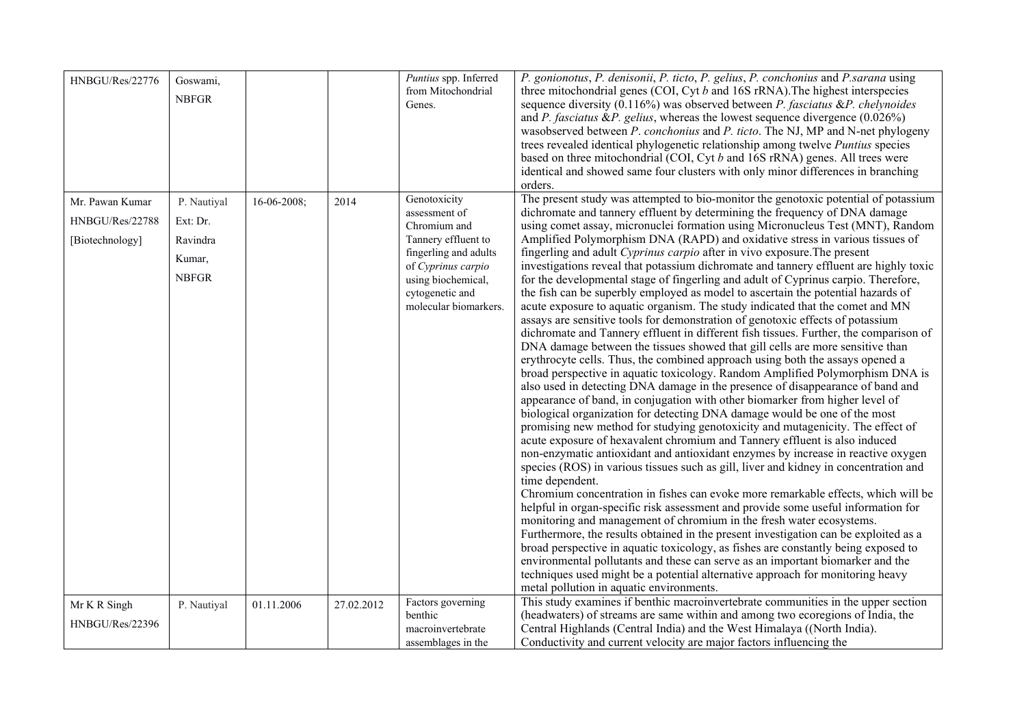| HNBGU/Res/22776                                       | Goswami,<br><b>NBFGR</b>                                      |                    |            | Puntius spp. Inferred<br>from Mitochondrial<br>Genes.                                                                                                                                 | P. gonionotus, P. denisonii, P. ticto, P. gelius, P. conchonius and P. sarana using<br>three mitochondrial genes (COI, Cyt $b$ and 16S rRNA). The highest interspecies<br>sequence diversity $(0.116\%)$ was observed between <i>P. fasciatus &amp;P. chelynoides</i><br>and P. fasciatus & P. gelius, whereas the lowest sequence divergence $(0.026\%)$<br>wasobserved between P. conchonius and P. ticto. The NJ, MP and N-net phylogeny<br>trees revealed identical phylogenetic relationship among twelve Puntius species<br>based on three mitochondrial (COI, Cyt b and 16S rRNA) genes. All trees were<br>identical and showed same four clusters with only minor differences in branching<br>orders.                                                                                                                                                                                                                                                                                                                                                                                                                                                                                                                                                                                                                                                                                                                                                                                                                                                                                                                                                                                                                                                                                                                                                                                                                                                                                                                                                                                                                                                                                                                                                                                                                                                                                                                                                   |
|-------------------------------------------------------|---------------------------------------------------------------|--------------------|------------|---------------------------------------------------------------------------------------------------------------------------------------------------------------------------------------|-----------------------------------------------------------------------------------------------------------------------------------------------------------------------------------------------------------------------------------------------------------------------------------------------------------------------------------------------------------------------------------------------------------------------------------------------------------------------------------------------------------------------------------------------------------------------------------------------------------------------------------------------------------------------------------------------------------------------------------------------------------------------------------------------------------------------------------------------------------------------------------------------------------------------------------------------------------------------------------------------------------------------------------------------------------------------------------------------------------------------------------------------------------------------------------------------------------------------------------------------------------------------------------------------------------------------------------------------------------------------------------------------------------------------------------------------------------------------------------------------------------------------------------------------------------------------------------------------------------------------------------------------------------------------------------------------------------------------------------------------------------------------------------------------------------------------------------------------------------------------------------------------------------------------------------------------------------------------------------------------------------------------------------------------------------------------------------------------------------------------------------------------------------------------------------------------------------------------------------------------------------------------------------------------------------------------------------------------------------------------------------------------------------------------------------------------------------------|
| Mr. Pawan Kumar<br>HNBGU/Res/22788<br>[Biotechnology] | P. Nautiyal<br>Ext: Dr.<br>Ravindra<br>Kumar,<br><b>NBFGR</b> | $16 - 06 - 2008$ ; | 2014       | Genotoxicity<br>assessment of<br>Chromium and<br>Tannery effluent to<br>fingerling and adults<br>of Cyprinus carpio<br>using biochemical,<br>cytogenetic and<br>molecular biomarkers. | The present study was attempted to bio-monitor the genotoxic potential of potassium<br>dichromate and tannery effluent by determining the frequency of DNA damage<br>using comet assay, micronuclei formation using Micronucleus Test (MNT), Random<br>Amplified Polymorphism DNA (RAPD) and oxidative stress in various tissues of<br>fingerling and adult Cyprinus carpio after in vivo exposure. The present<br>investigations reveal that potassium dichromate and tannery effluent are highly toxic<br>for the developmental stage of fingerling and adult of Cyprinus carpio. Therefore,<br>the fish can be superbly employed as model to ascertain the potential hazards of<br>acute exposure to aquatic organism. The study indicated that the comet and MN<br>assays are sensitive tools for demonstration of genotoxic effects of potassium<br>dichromate and Tannery effluent in different fish tissues. Further, the comparison of<br>DNA damage between the tissues showed that gill cells are more sensitive than<br>erythrocyte cells. Thus, the combined approach using both the assays opened a<br>broad perspective in aquatic toxicology. Random Amplified Polymorphism DNA is<br>also used in detecting DNA damage in the presence of disappearance of band and<br>appearance of band, in conjugation with other biomarker from higher level of<br>biological organization for detecting DNA damage would be one of the most<br>promising new method for studying genotoxicity and mutagenicity. The effect of<br>acute exposure of hexavalent chromium and Tannery effluent is also induced<br>non-enzymatic antioxidant and antioxidant enzymes by increase in reactive oxygen<br>species (ROS) in various tissues such as gill, liver and kidney in concentration and<br>time dependent.<br>Chromium concentration in fishes can evoke more remarkable effects, which will be<br>helpful in organ-specific risk assessment and provide some useful information for<br>monitoring and management of chromium in the fresh water ecosystems.<br>Furthermore, the results obtained in the present investigation can be exploited as a<br>broad perspective in aquatic toxicology, as fishes are constantly being exposed to<br>environmental pollutants and these can serve as an important biomarker and the<br>techniques used might be a potential alternative approach for monitoring heavy<br>metal pollution in aquatic environments. |
| Mr K R Singh<br>HNBGU/Res/22396                       | P. Nautiyal                                                   | 01.11.2006         | 27.02.2012 | Factors governing<br>benthic<br>macroinvertebrate<br>assemblages in the                                                                                                               | This study examines if benthic macroinvertebrate communities in the upper section<br>(headwaters) of streams are same within and among two ecoregions of India, the<br>Central Highlands (Central India) and the West Himalaya ((North India).<br>Conductivity and current velocity are major factors influencing the                                                                                                                                                                                                                                                                                                                                                                                                                                                                                                                                                                                                                                                                                                                                                                                                                                                                                                                                                                                                                                                                                                                                                                                                                                                                                                                                                                                                                                                                                                                                                                                                                                                                                                                                                                                                                                                                                                                                                                                                                                                                                                                                           |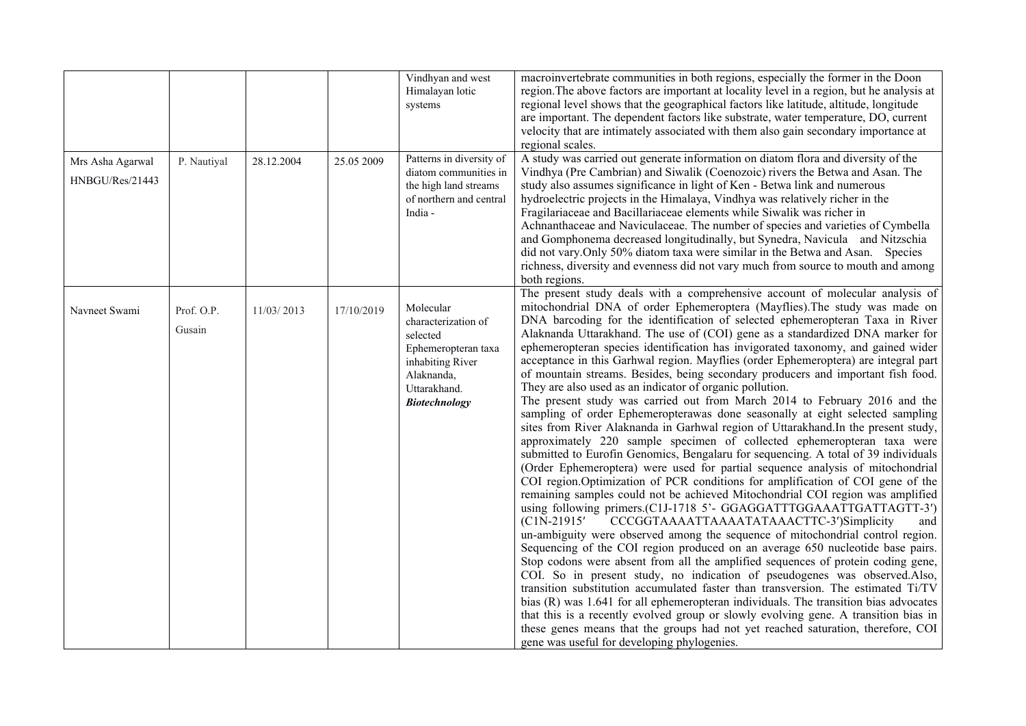|                                     |                      |            |            | Vindhyan and west<br>Himalayan lotic<br>systems                                                                                               | macroinvertebrate communities in both regions, especially the former in the Doon<br>region. The above factors are important at locality level in a region, but he analysis at<br>regional level shows that the geographical factors like latitude, altitude, longitude<br>are important. The dependent factors like substrate, water temperature, DO, current<br>velocity that are intimately associated with them also gain secondary importance at<br>regional scales.                                                                                                                                                                                                                                                                                                                                                                                                                                                                                                                                                                                                                                                                                                                                                                                                                                                                                                                                                                                                                                                                                                                                                                                                                                                                                                                                                                                                                                                                                                                                                                                                                                                                                                                                                    |
|-------------------------------------|----------------------|------------|------------|-----------------------------------------------------------------------------------------------------------------------------------------------|-----------------------------------------------------------------------------------------------------------------------------------------------------------------------------------------------------------------------------------------------------------------------------------------------------------------------------------------------------------------------------------------------------------------------------------------------------------------------------------------------------------------------------------------------------------------------------------------------------------------------------------------------------------------------------------------------------------------------------------------------------------------------------------------------------------------------------------------------------------------------------------------------------------------------------------------------------------------------------------------------------------------------------------------------------------------------------------------------------------------------------------------------------------------------------------------------------------------------------------------------------------------------------------------------------------------------------------------------------------------------------------------------------------------------------------------------------------------------------------------------------------------------------------------------------------------------------------------------------------------------------------------------------------------------------------------------------------------------------------------------------------------------------------------------------------------------------------------------------------------------------------------------------------------------------------------------------------------------------------------------------------------------------------------------------------------------------------------------------------------------------------------------------------------------------------------------------------------------------|
| Mrs Asha Agarwal<br>HNBGU/Res/21443 | P. Nautiyal          | 28.12.2004 | 25.05 2009 | Patterns in diversity of<br>diatom communities in<br>the high land streams<br>of northern and central<br>India -                              | A study was carried out generate information on diatom flora and diversity of the<br>Vindhya (Pre Cambrian) and Siwalik (Coenozoic) rivers the Betwa and Asan. The<br>study also assumes significance in light of Ken - Betwa link and numerous<br>hydroelectric projects in the Himalaya, Vindhya was relatively richer in the<br>Fragilariaceae and Bacillariaceae elements while Siwalik was richer in<br>Achnanthaceae and Naviculaceae. The number of species and varieties of Cymbella<br>and Gomphonema decreased longitudinally, but Synedra, Navicula and Nitzschia<br>did not vary. Only 50% diatom taxa were similar in the Betwa and Asan. Species<br>richness, diversity and evenness did not vary much from source to mouth and among<br>both regions.                                                                                                                                                                                                                                                                                                                                                                                                                                                                                                                                                                                                                                                                                                                                                                                                                                                                                                                                                                                                                                                                                                                                                                                                                                                                                                                                                                                                                                                        |
| Navneet Swami                       | Prof. O.P.<br>Gusain | 11/03/2013 | 17/10/2019 | Molecular<br>characterization of<br>selected<br>Ephemeropteran taxa<br>inhabiting River<br>Alaknanda,<br>Uttarakhand.<br><b>Biotechnology</b> | The present study deals with a comprehensive account of molecular analysis of<br>mitochondrial DNA of order Ephemeroptera (Mayflies). The study was made on<br>DNA barcoding for the identification of selected ephemeropteran Taxa in River<br>Alaknanda Uttarakhand. The use of (COI) gene as a standardized DNA marker for<br>ephemeropteran species identification has invigorated taxonomy, and gained wider<br>acceptance in this Garhwal region. Mayflies (order Ephemeroptera) are integral part<br>of mountain streams. Besides, being secondary producers and important fish food.<br>They are also used as an indicator of organic pollution.<br>The present study was carried out from March 2014 to February 2016 and the<br>sampling of order Ephemeropterawas done seasonally at eight selected sampling<br>sites from River Alaknanda in Garhwal region of Uttarakhand. In the present study,<br>approximately 220 sample specimen of collected ephemeropteran taxa were<br>submitted to Eurofin Genomics, Bengalaru for sequencing. A total of 39 individuals<br>(Order Ephemeroptera) were used for partial sequence analysis of mitochondrial<br>COI region.Optimization of PCR conditions for amplification of COI gene of the<br>remaining samples could not be achieved Mitochondrial COI region was amplified<br>using following primers.(C1J-1718 5'- GGAGGATTTGGAAATTGATTAGTT-3')<br>$(C1N-21915'$<br>CCCGGTAAAATTAAAATATAAACTTC-3')Simplicity<br>and<br>un-ambiguity were observed among the sequence of mitochondrial control region.<br>Sequencing of the COI region produced on an average 650 nucleotide base pairs.<br>Stop codons were absent from all the amplified sequences of protein coding gene,<br>COI. So in present study, no indication of pseudogenes was observed. Also,<br>transition substitution accumulated faster than transversion. The estimated Ti/TV<br>bias (R) was 1.641 for all ephemeropteran individuals. The transition bias advocates<br>that this is a recently evolved group or slowly evolving gene. A transition bias in<br>these genes means that the groups had not yet reached saturation, therefore, COI<br>gene was useful for developing phylogenies. |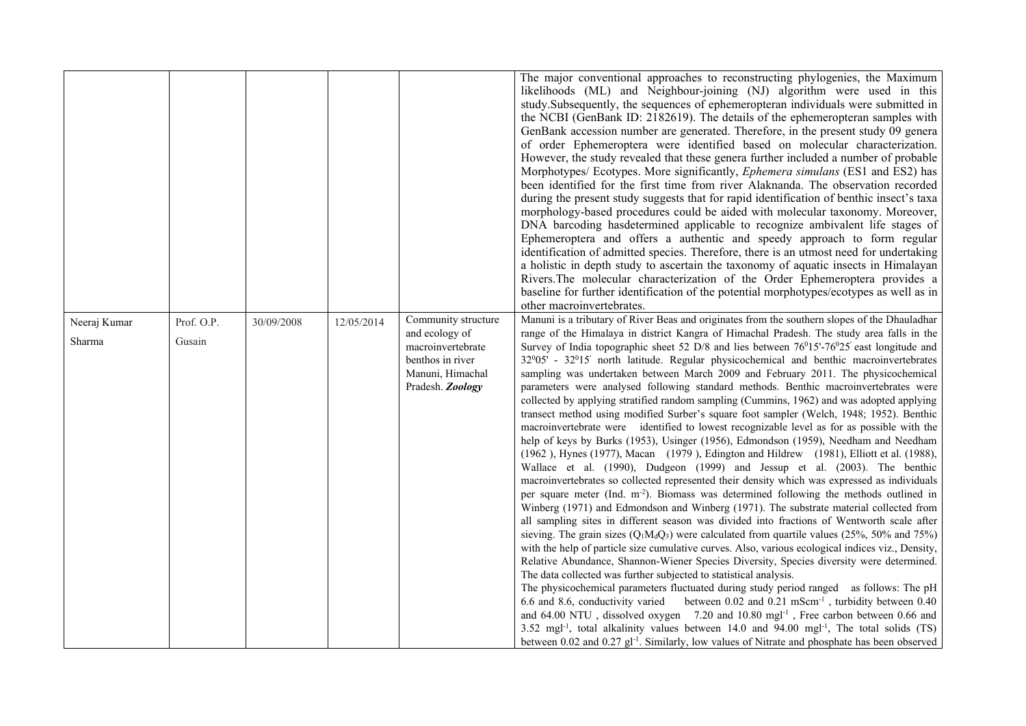|                        |                      |            |            |                                                                                                                        | The major conventional approaches to reconstructing phylogenies, the Maximum<br>likelihoods (ML) and Neighbour-joining (NJ) algorithm were used in this<br>study. Subsequently, the sequences of ephemeropteran individuals were submitted in<br>the NCBI (GenBank ID: 2182619). The details of the ephemeropteran samples with<br>GenBank accession number are generated. Therefore, in the present study 09 genera<br>of order Ephemeroptera were identified based on molecular characterization.<br>However, the study revealed that these genera further included a number of probable<br>Morphotypes/ Ecotypes. More significantly, <i>Ephemera simulans</i> (ES1 and ES2) has<br>been identified for the first time from river Alaknanda. The observation recorded<br>during the present study suggests that for rapid identification of benthic insect's taxa<br>morphology-based procedures could be aided with molecular taxonomy. Moreover,<br>DNA barcoding hasdetermined applicable to recognize ambivalent life stages of<br>Ephemeroptera and offers a authentic and speedy approach to form regular<br>identification of admitted species. Therefore, there is an utmost need for undertaking<br>a holistic in depth study to ascertain the taxonomy of aquatic insects in Himalayan<br>Rivers. The molecular characterization of the Order Ephemeroptera provides a<br>baseline for further identification of the potential morphotypes/ecotypes as well as in<br>other macroinvertebrates.                                                                                                                                                                                                                                                                                                                                                                                                                                                                                                                                                                                                                                                                                                                                                                                                                                                                                                                                            |
|------------------------|----------------------|------------|------------|------------------------------------------------------------------------------------------------------------------------|--------------------------------------------------------------------------------------------------------------------------------------------------------------------------------------------------------------------------------------------------------------------------------------------------------------------------------------------------------------------------------------------------------------------------------------------------------------------------------------------------------------------------------------------------------------------------------------------------------------------------------------------------------------------------------------------------------------------------------------------------------------------------------------------------------------------------------------------------------------------------------------------------------------------------------------------------------------------------------------------------------------------------------------------------------------------------------------------------------------------------------------------------------------------------------------------------------------------------------------------------------------------------------------------------------------------------------------------------------------------------------------------------------------------------------------------------------------------------------------------------------------------------------------------------------------------------------------------------------------------------------------------------------------------------------------------------------------------------------------------------------------------------------------------------------------------------------------------------------------------------------------------------------------------------------------------------------------------------------------------------------------------------------------------------------------------------------------------------------------------------------------------------------------------------------------------------------------------------------------------------------------------------------------------------------------------------------------------------------------------------------------------------------------------------------------------------------|
| Neeraj Kumar<br>Sharma | Prof. O.P.<br>Gusain | 30/09/2008 | 12/05/2014 | Community structure<br>and ecology of<br>macroinvertebrate<br>benthos in river<br>Manuni, Himachal<br>Pradesh. Zoology | Manuni is a tributary of River Beas and originates from the southern slopes of the Dhauladhar<br>range of the Himalaya in district Kangra of Himachal Pradesh. The study area falls in the<br>Survey of India topographic sheet 52 D/8 and lies between $76^{\circ}15'$ -76 $\circ$ 25' east longitude and<br>$32^005'$ - $32^015'$ north latitude. Regular physicochemical and benthic macroinvertebrates<br>sampling was undertaken between March 2009 and February 2011. The physicochemical<br>parameters were analysed following standard methods. Benthic macroinvertebrates were<br>collected by applying stratified random sampling (Cummins, 1962) and was adopted applying<br>transect method using modified Surber's square foot sampler (Welch, 1948; 1952). Benthic<br>macroinvertebrate were identified to lowest recognizable level as for as possible with the<br>help of keys by Burks (1953), Usinger (1956), Edmondson (1959), Needham and Needham<br>(1962), Hynes (1977), Macan (1979), Edington and Hildrew (1981), Elliott et al. (1988),<br>Wallace et al. (1990), Dudgeon (1999) and Jessup et al. (2003). The benthic<br>macroinvertebrates so collected represented their density which was expressed as individuals<br>per square meter (Ind. m <sup>-2</sup> ). Biomass was determined following the methods outlined in<br>Winberg (1971) and Edmondson and Winberg (1971). The substrate material collected from<br>all sampling sites in different season was divided into fractions of Wentworth scale after<br>sieving. The grain sizes ( $Q_1M_dQ_3$ ) were calculated from quartile values (25%, 50% and 75%)<br>with the help of particle size cumulative curves. Also, various ecological indices viz., Density,<br>Relative Abundance, Shannon-Wiener Species Diversity, Species diversity were determined.<br>The data collected was further subjected to statistical analysis.<br>The physicochemical parameters fluctuated during study period ranged as follows: The pH<br>6.6 and 8.6, conductivity varied between 0.02 and 0.21 mScm <sup>-1</sup> , turbidity between 0.40<br>and 64.00 NTU, dissolved oxygen 7.20 and 10.80 mgl <sup>-1</sup> , Free carbon between 0.66 and<br>3.52 mgl <sup>-1</sup> , total alkalinity values between 14.0 and 94.00 mgl <sup>-1</sup> , The total solids (TS)<br>between 0.02 and 0.27 $gI^{-1}$ . Similarly, low values of Nitrate and phosphate has been observed |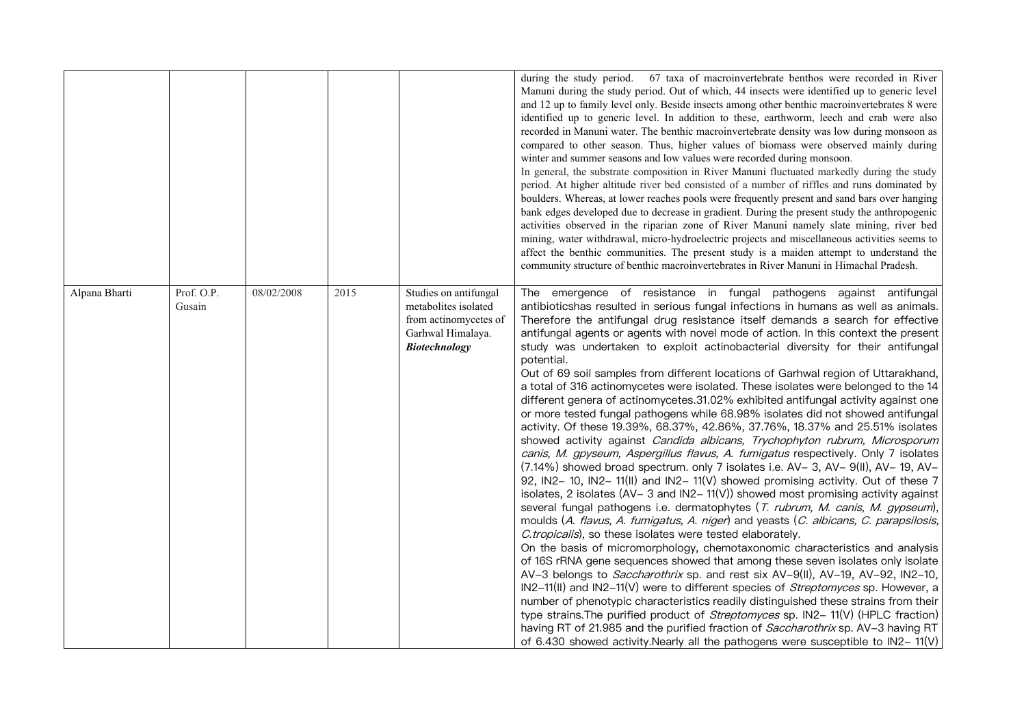|               |                      |            |      |                                                                                                              | during the study period. 67 taxa of macroinvertebrate benthos were recorded in River<br>Manuni during the study period. Out of which, 44 insects were identified up to generic level<br>and 12 up to family level only. Beside insects among other benthic macroinvertebrates 8 were<br>identified up to generic level. In addition to these, earthworm, leech and crab were also<br>recorded in Manuni water. The benthic macroinvertebrate density was low during monsoon as<br>compared to other season. Thus, higher values of biomass were observed mainly during<br>winter and summer seasons and low values were recorded during monsoon.<br>In general, the substrate composition in River Manuni fluctuated markedly during the study<br>period. At higher altitude river bed consisted of a number of riffles and runs dominated by<br>boulders. Whereas, at lower reaches pools were frequently present and sand bars over hanging<br>bank edges developed due to decrease in gradient. During the present study the anthropogenic<br>activities observed in the riparian zone of River Manuni namely slate mining, river bed<br>mining, water withdrawal, micro-hydroelectric projects and miscellaneous activities seems to<br>affect the benthic communities. The present study is a maiden attempt to understand the<br>community structure of benthic macroinvertebrates in River Manuni in Himachal Pradesh.                                                                                                                                                                                                                                                                                                                                                                                                                                                                                                                                                                                                                                                                                                                                                                                                                                           |
|---------------|----------------------|------------|------|--------------------------------------------------------------------------------------------------------------|-------------------------------------------------------------------------------------------------------------------------------------------------------------------------------------------------------------------------------------------------------------------------------------------------------------------------------------------------------------------------------------------------------------------------------------------------------------------------------------------------------------------------------------------------------------------------------------------------------------------------------------------------------------------------------------------------------------------------------------------------------------------------------------------------------------------------------------------------------------------------------------------------------------------------------------------------------------------------------------------------------------------------------------------------------------------------------------------------------------------------------------------------------------------------------------------------------------------------------------------------------------------------------------------------------------------------------------------------------------------------------------------------------------------------------------------------------------------------------------------------------------------------------------------------------------------------------------------------------------------------------------------------------------------------------------------------------------------------------------------------------------------------------------------------------------------------------------------------------------------------------------------------------------------------------------------------------------------------------------------------------------------------------------------------------------------------------------------------------------------------------------------------------------------------------------------------------------------------------------------------------------------------|
| Alpana Bharti | Prof. O.P.<br>Gusain | 08/02/2008 | 2015 | Studies on antifungal<br>metabolites isolated<br>from actinomycetes of<br>Garhwal Himalaya.<br>Biotechnology | The emergence of resistance in fungal pathogens against antifungal<br>antibioticshas resulted in serious fungal infections in humans as well as animals.<br>Therefore the antifungal drug resistance itself demands a search for effective<br>antifungal agents or agents with novel mode of action. In this context the present<br>study was undertaken to exploit actinobacterial diversity for their antifungal<br>potential.<br>Out of 69 soil samples from different locations of Garhwal region of Uttarakhand,<br>a total of 316 actinomycetes were isolated. These isolates were belonged to the 14<br>different genera of actinomycetes.31.02% exhibited antifungal activity against one<br>or more tested fungal pathogens while 68.98% isolates did not showed antifungal<br>activity. Of these 19.39%, 68.37%, 42.86%, 37.76%, 18.37% and 25.51% isolates<br>showed activity against Candida albicans, Trychophyton rubrum, Microsporum<br>canis, M. gpyseum, Aspergillus flavus, A. fumigatus respectively. Only 7 isolates<br>(7.14%) showed broad spectrum. only 7 isolates i.e. AV- 3, AV- 9(II), AV- 19, AV-<br>92, IN2-10, IN2-11(II) and IN2-11(V) showed promising activity. Out of these 7<br>isolates, 2 isolates ( $AV - 3$ and $IN2 - 11(V)$ ) showed most promising activity against<br>several fungal pathogens i.e. dermatophytes (T. rubrum, M. canis, M. gypseum),<br>moulds (A. flavus, A. fumigatus, A. niger) and yeasts (C. albicans, C. parapsilosis,<br>C.tropicalis), so these isolates were tested elaborately.<br>On the basis of micromorphology, chemotaxonomic characteristics and analysis<br>of 16S rRNA gene sequences showed that among these seven isolates only isolate<br>AV-3 belongs to <i>Saccharothrix</i> sp. and rest six AV-9(II), AV-19, AV-92, IN2-10,<br>IN2-11(II) and IN2-11(V) were to different species of Streptomyces sp. However, a<br>number of phenotypic characteristics readily distinguished these strains from their<br>type strains. The purified product of <i>Streptomyces</i> sp. IN2-11(V) (HPLC fraction)<br>having RT of 21.985 and the purified fraction of <i>Saccharothrix</i> sp. AV-3 having RT<br>of 6.430 showed activity. Nearly all the pathogens were susceptible to IN2- 11(V) |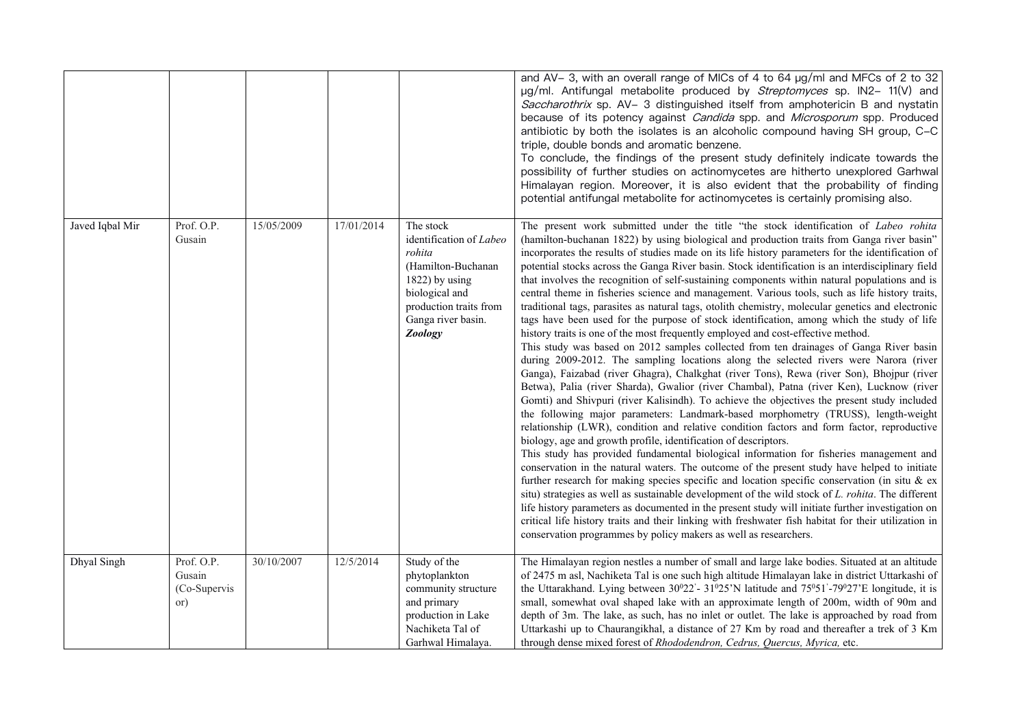|                 |                                             |            |            |                                                                                                                                                                     | and AV-3, with an overall range of MICs of 4 to 64 µg/ml and MFCs of 2 to 32<br>µg/ml. Antifungal metabolite produced by Streptomyces sp. IN2- 11(V) and<br>Saccharothrix sp. AV- 3 distinguished itself from amphotericin B and nystatin<br>because of its potency against Candida spp. and Microsporum spp. Produced<br>antibiotic by both the isolates is an alcoholic compound having SH group, C-C<br>triple, double bonds and aromatic benzene.<br>To conclude, the findings of the present study definitely indicate towards the<br>possibility of further studies on actinomycetes are hitherto unexplored Garhwal<br>Himalayan region. Moreover, it is also evident that the probability of finding<br>potential antifungal metabolite for actinomycetes is certainly promising also.                                                                                                                                                                                                                                                                                                                                                                                                                                                                                                                                                                                                                                                                                                                                                                                                                                                                                                                                                                                                                                                                                                                                                                                                                                                                                                                                                                                                                                                                                                               |
|-----------------|---------------------------------------------|------------|------------|---------------------------------------------------------------------------------------------------------------------------------------------------------------------|--------------------------------------------------------------------------------------------------------------------------------------------------------------------------------------------------------------------------------------------------------------------------------------------------------------------------------------------------------------------------------------------------------------------------------------------------------------------------------------------------------------------------------------------------------------------------------------------------------------------------------------------------------------------------------------------------------------------------------------------------------------------------------------------------------------------------------------------------------------------------------------------------------------------------------------------------------------------------------------------------------------------------------------------------------------------------------------------------------------------------------------------------------------------------------------------------------------------------------------------------------------------------------------------------------------------------------------------------------------------------------------------------------------------------------------------------------------------------------------------------------------------------------------------------------------------------------------------------------------------------------------------------------------------------------------------------------------------------------------------------------------------------------------------------------------------------------------------------------------------------------------------------------------------------------------------------------------------------------------------------------------------------------------------------------------------------------------------------------------------------------------------------------------------------------------------------------------------------------------------------------------------------------------------------------------|
| Javed Iqbal Mir | Prof. O.P.<br>Gusain                        | 15/05/2009 | 17/01/2014 | The stock<br>identification of Labeo<br>rohita<br>(Hamilton-Buchanan<br>1822) by using<br>biological and<br>production traits from<br>Ganga river basin.<br>Zoology | The present work submitted under the title "the stock identification of Labeo rohita<br>(hamilton-buchanan 1822) by using biological and production traits from Ganga river basin"<br>incorporates the results of studies made on its life history parameters for the identification of<br>potential stocks across the Ganga River basin. Stock identification is an interdisciplinary field<br>that involves the recognition of self-sustaining components within natural populations and is<br>central theme in fisheries science and management. Various tools, such as life history traits,<br>traditional tags, parasites as natural tags, otolith chemistry, molecular genetics and electronic<br>tags have been used for the purpose of stock identification, among which the study of life<br>history traits is one of the most frequently employed and cost-effective method.<br>This study was based on 2012 samples collected from ten drainages of Ganga River basin<br>during 2009-2012. The sampling locations along the selected rivers were Narora (river<br>Ganga), Faizabad (river Ghagra), Chalkghat (river Tons), Rewa (river Son), Bhojpur (river<br>Betwa), Palia (river Sharda), Gwalior (river Chambal), Patna (river Ken), Lucknow (river<br>Gomti) and Shivpuri (river Kalisindh). To achieve the objectives the present study included<br>the following major parameters: Landmark-based morphometry (TRUSS), length-weight<br>relationship (LWR), condition and relative condition factors and form factor, reproductive<br>biology, age and growth profile, identification of descriptors.<br>This study has provided fundamental biological information for fisheries management and<br>conservation in the natural waters. The outcome of the present study have helped to initiate<br>further research for making species specific and location specific conservation (in situ $\&$ ex<br>situ) strategies as well as sustainable development of the wild stock of L. rohita. The different<br>life history parameters as documented in the present study will initiate further investigation on<br>critical life history traits and their linking with freshwater fish habitat for their utilization in<br>conservation programmes by policy makers as well as researchers. |
| Dhyal Singh     | Prof. O.P.<br>Gusain<br>(Co-Supervis<br>or) | 30/10/2007 | 12/5/2014  | Study of the<br>phytoplankton<br>community structure<br>and primary<br>production in Lake<br>Nachiketa Tal of<br>Garhwal Himalaya.                                  | The Himalayan region nestles a number of small and large lake bodies. Situated at an altitude<br>of 2475 m asl, Nachiketa Tal is one such high altitude Himalayan lake in district Uttarkashi of<br>the Uttarakhand. Lying between 30°22'- 31°25'N latitude and 75°51'-79°27'E longitude, it is<br>small, somewhat oval shaped lake with an approximate length of 200m, width of 90m and<br>depth of 3m. The lake, as such, has no inlet or outlet. The lake is approached by road from<br>Uttarkashi up to Chaurangikhal, a distance of 27 Km by road and thereafter a trek of 3 Km<br>through dense mixed forest of Rhododendron, Cedrus, Quercus, Myrica, etc.                                                                                                                                                                                                                                                                                                                                                                                                                                                                                                                                                                                                                                                                                                                                                                                                                                                                                                                                                                                                                                                                                                                                                                                                                                                                                                                                                                                                                                                                                                                                                                                                                                            |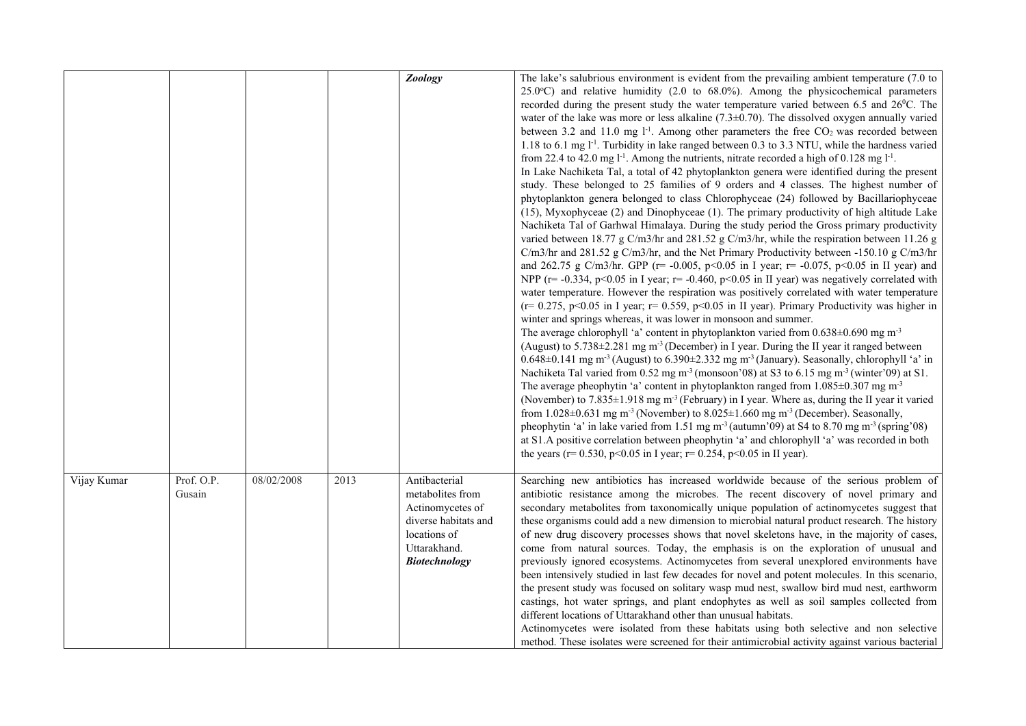|                                     |                    | Zoology                                                                                                                               | The lake's salubrious environment is evident from the prevailing ambient temperature (7.0 to<br>$25.0^{\circ}$ C) and relative humidity (2.0 to 68.0%). Among the physicochemical parameters<br>recorded during the present study the water temperature varied between 6.5 and 26 <sup>0</sup> C. The<br>water of the lake was more or less alkaline $(7.3\pm0.70)$ . The dissolved oxygen annually varied<br>between 3.2 and 11.0 mg $1^{-1}$ . Among other parameters the free $CO2$ was recorded between<br>1.18 to 6.1 mg $1^{-1}$ . Turbidity in lake ranged between 0.3 to 3.3 NTU, while the hardness varied<br>from 22.4 to 42.0 mg $l^{-1}$ . Among the nutrients, nitrate recorded a high of 0.128 mg $l^{-1}$ .<br>In Lake Nachiketa Tal, a total of 42 phytoplankton genera were identified during the present<br>study. These belonged to 25 families of 9 orders and 4 classes. The highest number of<br>phytoplankton genera belonged to class Chlorophyceae (24) followed by Bacillariophyceae<br>(15), Myxophyceae (2) and Dinophyceae (1). The primary productivity of high altitude Lake<br>Nachiketa Tal of Garhwal Himalaya. During the study period the Gross primary productivity<br>varied between 18.77 g C/m3/hr and 281.52 g C/m3/hr, while the respiration between 11.26 g<br>C/m3/hr and 281.52 g C/m3/hr, and the Net Primary Productivity between -150.10 g C/m3/hr<br>and 262.75 g C/m3/hr. GPP ( $r = -0.005$ , $p < 0.05$ in I year; $r = -0.075$ , $p < 0.05$ in II year) and<br>NPP ( $r = -0.334$ , $p < 0.05$ in I year; $r = -0.460$ , $p < 0.05$ in II year) was negatively correlated with<br>water temperature. However the respiration was positively correlated with water temperature<br>$(r= 0.275, p<0.05$ in I year; $r= 0.559, p<0.05$ in II year). Primary Productivity was higher in<br>winter and springs whereas, it was lower in monsoon and summer.<br>The average chlorophyll 'a' content in phytoplankton varied from $0.638 \pm 0.690$ mg m <sup>-3</sup><br>(August) to 5.738±2.281 mg m <sup>-3</sup> (December) in I year. During the II year it ranged between<br>$0.648\pm0.141$ mg m <sup>-3</sup> (August) to 6.390 $\pm$ 2.332 mg m <sup>-3</sup> (January). Seasonally, chlorophyll 'a' in<br>Nachiketa Tal varied from 0.52 mg m <sup>-3</sup> (monsoon'08) at S3 to 6.15 mg m <sup>-3</sup> (winter'09) at S1.<br>The average pheophytin 'a' content in phytoplankton ranged from $1.085 \pm 0.307$ mg m <sup>-3</sup><br>(November) to 7.835±1.918 mg m <sup>-3</sup> (February) in I year. Where as, during the II year it varied<br>from 1.028 $\pm$ 0.631 mg m <sup>-3</sup> (November) to 8.025 $\pm$ 1.660 mg m <sup>-3</sup> (December). Seasonally,<br>pheophytin 'a' in lake varied from 1.51 mg $m3$ (autumn'09) at S4 to 8.70 mg $m3$ (spring'08)<br>at S1.A positive correlation between pheophytin 'a' and chlorophyll 'a' was recorded in both<br>the years ( $r = 0.530$ , $p < 0.05$ in I year; $r = 0.254$ , $p < 0.05$ in II year). |
|-------------------------------------|--------------------|---------------------------------------------------------------------------------------------------------------------------------------|----------------------------------------------------------------------------------------------------------------------------------------------------------------------------------------------------------------------------------------------------------------------------------------------------------------------------------------------------------------------------------------------------------------------------------------------------------------------------------------------------------------------------------------------------------------------------------------------------------------------------------------------------------------------------------------------------------------------------------------------------------------------------------------------------------------------------------------------------------------------------------------------------------------------------------------------------------------------------------------------------------------------------------------------------------------------------------------------------------------------------------------------------------------------------------------------------------------------------------------------------------------------------------------------------------------------------------------------------------------------------------------------------------------------------------------------------------------------------------------------------------------------------------------------------------------------------------------------------------------------------------------------------------------------------------------------------------------------------------------------------------------------------------------------------------------------------------------------------------------------------------------------------------------------------------------------------------------------------------------------------------------------------------------------------------------------------------------------------------------------------------------------------------------------------------------------------------------------------------------------------------------------------------------------------------------------------------------------------------------------------------------------------------------------------------------------------------------------------------------------------------------------------------------------------------------------------------------------------------------------------------------------------------------------------------------------------------------------------------------------------------------------------------------------------------------------------------------------------------------------------------------------------------------------------------------------------------------------------------------------------------------------------|
| Vijay Kumar<br>Prof. O.P.<br>Gusain | 08/02/2008<br>2013 | Antibacterial<br>metabolites from<br>Actinomycetes of<br>diverse habitats and<br>locations of<br>Uttarakhand.<br><b>Biotechnology</b> | Searching new antibiotics has increased worldwide because of the serious problem of<br>antibiotic resistance among the microbes. The recent discovery of novel primary and<br>secondary metabolites from taxonomically unique population of actinomycetes suggest that<br>these organisms could add a new dimension to microbial natural product research. The history<br>of new drug discovery processes shows that novel skeletons have, in the majority of cases,<br>come from natural sources. Today, the emphasis is on the exploration of unusual and<br>previously ignored ecosystems. Actinomycetes from several unexplored environments have<br>been intensively studied in last few decades for novel and potent molecules. In this scenario,<br>the present study was focused on solitary wasp mud nest, swallow bird mud nest, earthworm<br>castings, hot water springs, and plant endophytes as well as soil samples collected from<br>different locations of Uttarakhand other than unusual habitats.<br>Actinomycetes were isolated from these habitats using both selective and non selective<br>method. These isolates were screened for their antimicrobial activity against various bacterial                                                                                                                                                                                                                                                                                                                                                                                                                                                                                                                                                                                                                                                                                                                                                                                                                                                                                                                                                                                                                                                                                                                                                                                                                                                                                                                                                                                                                                                                                                                                                                                                                                                                                                                                                                                                           |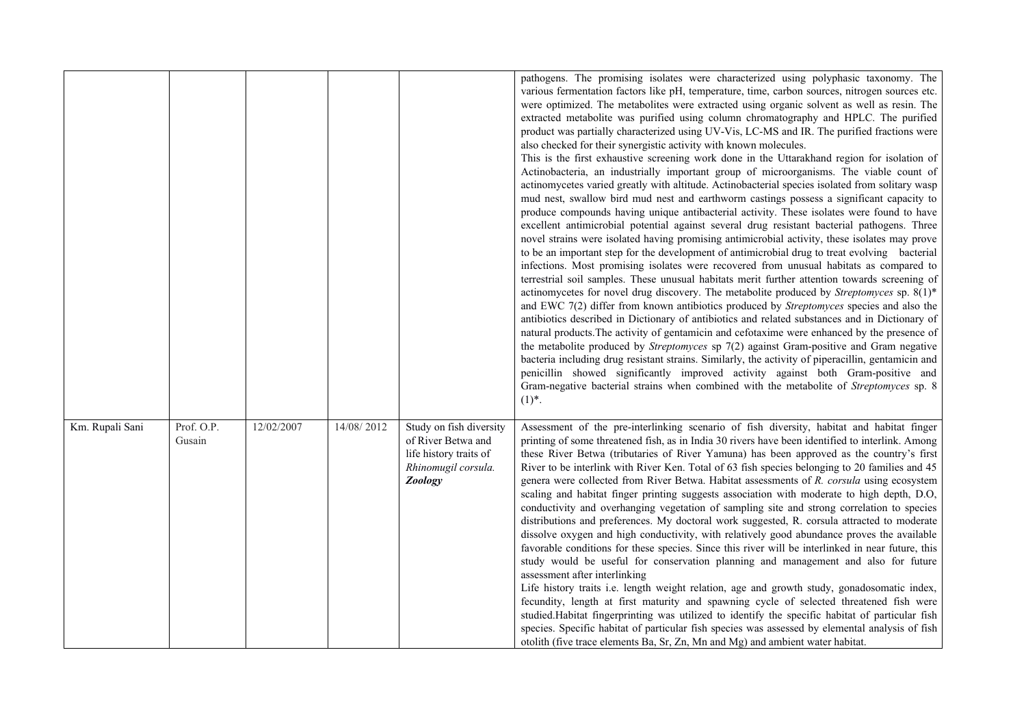|                 |                      |            |            |                                                                                                                  | pathogens. The promising isolates were characterized using polyphasic taxonomy. The<br>various fermentation factors like pH, temperature, time, carbon sources, nitrogen sources etc.<br>were optimized. The metabolites were extracted using organic solvent as well as resin. The<br>extracted metabolite was purified using column chromatography and HPLC. The purified<br>product was partially characterized using UV-Vis, LC-MS and IR. The purified fractions were<br>also checked for their synergistic activity with known molecules.<br>This is the first exhaustive screening work done in the Uttarakhand region for isolation of<br>Actinobacteria, an industrially important group of microorganisms. The viable count of<br>actinomycetes varied greatly with altitude. Actinobacterial species isolated from solitary wasp<br>mud nest, swallow bird mud nest and earthworm castings possess a significant capacity to<br>produce compounds having unique antibacterial activity. These isolates were found to have<br>excellent antimicrobial potential against several drug resistant bacterial pathogens. Three<br>novel strains were isolated having promising antimicrobial activity, these isolates may prove<br>to be an important step for the development of antimicrobial drug to treat evolving bacterial<br>infections. Most promising isolates were recovered from unusual habitats as compared to<br>terrestrial soil samples. These unusual habitats merit further attention towards screening of<br>actinomycetes for novel drug discovery. The metabolite produced by Streptomyces sp. 8(1)*<br>and EWC 7(2) differ from known antibiotics produced by Streptomyces species and also the<br>antibiotics described in Dictionary of antibiotics and related substances and in Dictionary of<br>natural products. The activity of gentamicin and cefotaxime were enhanced by the presence of<br>the metabolite produced by Streptomyces sp 7(2) against Gram-positive and Gram negative<br>bacteria including drug resistant strains. Similarly, the activity of piperacillin, gentamicin and<br>penicillin showed significantly improved activity against both Gram-positive and<br>Gram-negative bacterial strains when combined with the metabolite of Streptomyces sp. 8<br>$(1)^{*}.$ |
|-----------------|----------------------|------------|------------|------------------------------------------------------------------------------------------------------------------|----------------------------------------------------------------------------------------------------------------------------------------------------------------------------------------------------------------------------------------------------------------------------------------------------------------------------------------------------------------------------------------------------------------------------------------------------------------------------------------------------------------------------------------------------------------------------------------------------------------------------------------------------------------------------------------------------------------------------------------------------------------------------------------------------------------------------------------------------------------------------------------------------------------------------------------------------------------------------------------------------------------------------------------------------------------------------------------------------------------------------------------------------------------------------------------------------------------------------------------------------------------------------------------------------------------------------------------------------------------------------------------------------------------------------------------------------------------------------------------------------------------------------------------------------------------------------------------------------------------------------------------------------------------------------------------------------------------------------------------------------------------------------------------------------------------------------------------------------------------------------------------------------------------------------------------------------------------------------------------------------------------------------------------------------------------------------------------------------------------------------------------------------------------------------------------------------------------------------------------------------------------------------------------------------------------------------|
| Km. Rupali Sani | Prof. O.P.<br>Gusain | 12/02/2007 | 14/08/2012 | Study on fish diversity<br>of River Betwa and<br>life history traits of<br>Rhinomugil corsula.<br><b>Zoology</b> | Assessment of the pre-interlinking scenario of fish diversity, habitat and habitat finger<br>printing of some threatened fish, as in India 30 rivers have been identified to interlink. Among<br>these River Betwa (tributaries of River Yamuna) has been approved as the country's first<br>River to be interlink with River Ken. Total of 63 fish species belonging to 20 families and 45<br>genera were collected from River Betwa. Habitat assessments of R. corsula using ecosystem<br>scaling and habitat finger printing suggests association with moderate to high depth, D.O,<br>conductivity and overhanging vegetation of sampling site and strong correlation to species<br>distributions and preferences. My doctoral work suggested, R. corsula attracted to moderate<br>dissolve oxygen and high conductivity, with relatively good abundance proves the available<br>favorable conditions for these species. Since this river will be interlinked in near future, this<br>study would be useful for conservation planning and management and also for future<br>assessment after interlinking<br>Life history traits i.e. length weight relation, age and growth study, gonadosomatic index,<br>fecundity, length at first maturity and spawning cycle of selected threatened fish were<br>studied. Habitat fingerprinting was utilized to identify the specific habitat of particular fish<br>species. Specific habitat of particular fish species was assessed by elemental analysis of fish<br>otolith (five trace elements Ba, Sr, Zn, Mn and Mg) and ambient water habitat.                                                                                                                                                                                                                                                                                                                                                                                                                                                                                                                                                                                                                                                                                                                           |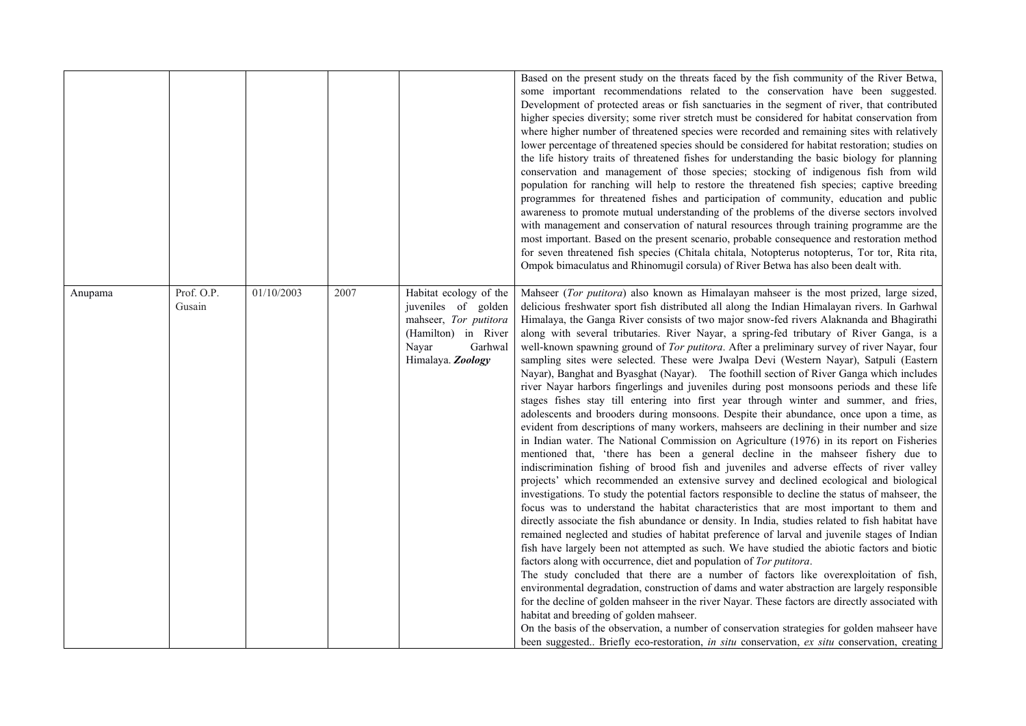|         |                      |            |      |                                                                                                                                        | Based on the present study on the threats faced by the fish community of the River Betwa,<br>some important recommendations related to the conservation have been suggested.<br>Development of protected areas or fish sanctuaries in the segment of river, that contributed<br>higher species diversity; some river stretch must be considered for habitat conservation from<br>where higher number of threatened species were recorded and remaining sites with relatively<br>lower percentage of threatened species should be considered for habitat restoration; studies on<br>the life history traits of threatened fishes for understanding the basic biology for planning<br>conservation and management of those species; stocking of indigenous fish from wild<br>population for ranching will help to restore the threatened fish species; captive breeding<br>programmes for threatened fishes and participation of community, education and public<br>awareness to promote mutual understanding of the problems of the diverse sectors involved<br>with management and conservation of natural resources through training programme are the                                                                                                                                                                                                                                                                                                                                                                                                                                                                                                                                                                                                                                                                                                                                                                                                                                                                                                                                                                                                                                                                                                                                                                                                                                                                                                                                                                                        |
|---------|----------------------|------------|------|----------------------------------------------------------------------------------------------------------------------------------------|------------------------------------------------------------------------------------------------------------------------------------------------------------------------------------------------------------------------------------------------------------------------------------------------------------------------------------------------------------------------------------------------------------------------------------------------------------------------------------------------------------------------------------------------------------------------------------------------------------------------------------------------------------------------------------------------------------------------------------------------------------------------------------------------------------------------------------------------------------------------------------------------------------------------------------------------------------------------------------------------------------------------------------------------------------------------------------------------------------------------------------------------------------------------------------------------------------------------------------------------------------------------------------------------------------------------------------------------------------------------------------------------------------------------------------------------------------------------------------------------------------------------------------------------------------------------------------------------------------------------------------------------------------------------------------------------------------------------------------------------------------------------------------------------------------------------------------------------------------------------------------------------------------------------------------------------------------------------------------------------------------------------------------------------------------------------------------------------------------------------------------------------------------------------------------------------------------------------------------------------------------------------------------------------------------------------------------------------------------------------------------------------------------------------------------------------------------------------------------------------------------------------------------------------|
|         |                      |            |      |                                                                                                                                        | most important. Based on the present scenario, probable consequence and restoration method<br>for seven threatened fish species (Chitala chitala, Notopterus notopterus, Tor tor, Rita rita,<br>Ompok bimaculatus and Rhinomugil corsula) of River Betwa has also been dealt with.                                                                                                                                                                                                                                                                                                                                                                                                                                                                                                                                                                                                                                                                                                                                                                                                                                                                                                                                                                                                                                                                                                                                                                                                                                                                                                                                                                                                                                                                                                                                                                                                                                                                                                                                                                                                                                                                                                                                                                                                                                                                                                                                                                                                                                                             |
| Anupama | Prof. O.P.<br>Gusain | 01/10/2003 | 2007 | Habitat ecology of the<br>juveniles of golden<br>mahseer, Tor putitora<br>(Hamilton) in River<br>Nayar<br>Garhwal<br>Himalaya. Zoology | Mahseer (Tor putitora) also known as Himalayan mahseer is the most prized, large sized,<br>delicious freshwater sport fish distributed all along the Indian Himalayan rivers. In Garhwal<br>Himalaya, the Ganga River consists of two major snow-fed rivers Alaknanda and Bhagirathi<br>along with several tributaries. River Nayar, a spring-fed tributary of River Ganga, is a<br>well-known spawning ground of Tor putitora. After a preliminary survey of river Nayar, four<br>sampling sites were selected. These were Jwalpa Devi (Western Nayar), Satpuli (Eastern<br>Nayar), Banghat and Byasghat (Nayar). The foothill section of River Ganga which includes<br>river Nayar harbors fingerlings and juveniles during post monsoons periods and these life<br>stages fishes stay till entering into first year through winter and summer, and fries,<br>adolescents and brooders during monsoons. Despite their abundance, once upon a time, as<br>evident from descriptions of many workers, mahseers are declining in their number and size<br>in Indian water. The National Commission on Agriculture (1976) in its report on Fisheries<br>mentioned that, 'there has been a general decline in the mahseer fishery due to<br>indiscrimination fishing of brood fish and juveniles and adverse effects of river valley<br>projects' which recommended an extensive survey and declined ecological and biological<br>investigations. To study the potential factors responsible to decline the status of mahseer, the<br>focus was to understand the habitat characteristics that are most important to them and<br>directly associate the fish abundance or density. In India, studies related to fish habitat have<br>remained neglected and studies of habitat preference of larval and juvenile stages of Indian<br>fish have largely been not attempted as such. We have studied the abiotic factors and biotic<br>factors along with occurrence, diet and population of Tor putitora.<br>The study concluded that there are a number of factors like overexploitation of fish,<br>environmental degradation, construction of dams and water abstraction are largely responsible<br>for the decline of golden mahseer in the river Nayar. These factors are directly associated with<br>habitat and breeding of golden mahseer.<br>On the basis of the observation, a number of conservation strategies for golden mahseer have<br>been suggested Briefly eco-restoration, in situ conservation, ex situ conservation, creating |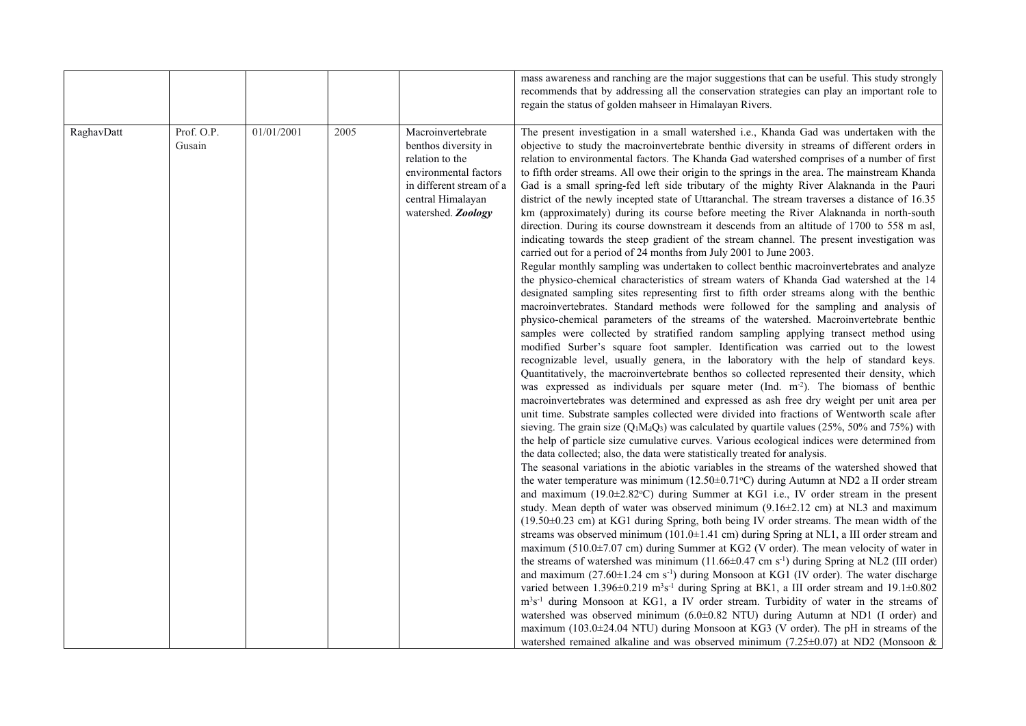| mass awareness and ranching are the major suggestions that can be useful. This study strongly<br>recommends that by addressing all the conservation strategies can play an important role to<br>regain the status of golden mahseer in Himalayan Rivers.<br>RaghavDatt<br>Prof. O.P.<br>01/01/2001<br>Macroinvertebrate<br>The present investigation in a small watershed i.e., Khanda Gad was undertaken with the<br>2005<br>objective to study the macroinvertebrate benthic diversity in streams of different orders in<br>Gusain<br>benthos diversity in<br>relation to environmental factors. The Khanda Gad watershed comprises of a number of first<br>relation to the<br>environmental factors<br>to fifth order streams. All owe their origin to the springs in the area. The mainstream Khanda<br>in different stream of a<br>Gad is a small spring-fed left side tributary of the mighty River Alaknanda in the Pauri<br>central Himalayan<br>district of the newly incepted state of Uttaranchal. The stream traverses a distance of 16.35<br>watershed. Zoology<br>km (approximately) during its course before meeting the River Alaknanda in north-south<br>direction. During its course downstream it descends from an altitude of 1700 to 558 m asl,<br>indicating towards the steep gradient of the stream channel. The present investigation was<br>carried out for a period of 24 months from July 2001 to June 2003.<br>Regular monthly sampling was undertaken to collect benthic macroinvertebrates and analyze<br>the physico-chemical characteristics of stream waters of Khanda Gad watershed at the 14<br>designated sampling sites representing first to fifth order streams along with the benthic<br>macroinvertebrates. Standard methods were followed for the sampling and analysis of<br>physico-chemical parameters of the streams of the watershed. Macroinvertebrate benthic<br>samples were collected by stratified random sampling applying transect method using<br>modified Surber's square foot sampler. Identification was carried out to the lowest<br>recognizable level, usually genera, in the laboratory with the help of standard keys.<br>Quantitatively, the macroinvertebrate benthos so collected represented their density, which<br>was expressed as individuals per square meter (Ind. m <sup>-2</sup> ). The biomass of benthic<br>macroinvertebrates was determined and expressed as ash free dry weight per unit area per<br>unit time. Substrate samples collected were divided into fractions of Wentworth scale after<br>sieving. The grain size ( $Q_1M_dQ_3$ ) was calculated by quartile values (25%, 50% and 75%) with<br>the help of particle size cumulative curves. Various ecological indices were determined from<br>the data collected; also, the data were statistically treated for analysis.<br>The seasonal variations in the abiotic variables in the streams of the watershed showed that<br>the water temperature was minimum ( $12.50\pm0.71\textdegree C$ ) during Autumn at ND2 a II order stream<br>and maximum (19.0±2.82°C) during Summer at KG1 i.e., IV order stream in the present |
|--------------------------------------------------------------------------------------------------------------------------------------------------------------------------------------------------------------------------------------------------------------------------------------------------------------------------------------------------------------------------------------------------------------------------------------------------------------------------------------------------------------------------------------------------------------------------------------------------------------------------------------------------------------------------------------------------------------------------------------------------------------------------------------------------------------------------------------------------------------------------------------------------------------------------------------------------------------------------------------------------------------------------------------------------------------------------------------------------------------------------------------------------------------------------------------------------------------------------------------------------------------------------------------------------------------------------------------------------------------------------------------------------------------------------------------------------------------------------------------------------------------------------------------------------------------------------------------------------------------------------------------------------------------------------------------------------------------------------------------------------------------------------------------------------------------------------------------------------------------------------------------------------------------------------------------------------------------------------------------------------------------------------------------------------------------------------------------------------------------------------------------------------------------------------------------------------------------------------------------------------------------------------------------------------------------------------------------------------------------------------------------------------------------------------------------------------------------------------------------------------------------------------------------------------------------------------------------------------------------------------------------------------------------------------------------------------------------------------------------------------------------------------------------------------------------------------------------------------------------------------------------------------------------------------------------------------------------------------------------------------------------------------------------------------------------------------------------------------------------------------------------------------------------------------|
|                                                                                                                                                                                                                                                                                                                                                                                                                                                                                                                                                                                                                                                                                                                                                                                                                                                                                                                                                                                                                                                                                                                                                                                                                                                                                                                                                                                                                                                                                                                                                                                                                                                                                                                                                                                                                                                                                                                                                                                                                                                                                                                                                                                                                                                                                                                                                                                                                                                                                                                                                                                                                                                                                                                                                                                                                                                                                                                                                                                                                                                                                                                                                                          |
|                                                                                                                                                                                                                                                                                                                                                                                                                                                                                                                                                                                                                                                                                                                                                                                                                                                                                                                                                                                                                                                                                                                                                                                                                                                                                                                                                                                                                                                                                                                                                                                                                                                                                                                                                                                                                                                                                                                                                                                                                                                                                                                                                                                                                                                                                                                                                                                                                                                                                                                                                                                                                                                                                                                                                                                                                                                                                                                                                                                                                                                                                                                                                                          |
|                                                                                                                                                                                                                                                                                                                                                                                                                                                                                                                                                                                                                                                                                                                                                                                                                                                                                                                                                                                                                                                                                                                                                                                                                                                                                                                                                                                                                                                                                                                                                                                                                                                                                                                                                                                                                                                                                                                                                                                                                                                                                                                                                                                                                                                                                                                                                                                                                                                                                                                                                                                                                                                                                                                                                                                                                                                                                                                                                                                                                                                                                                                                                                          |
|                                                                                                                                                                                                                                                                                                                                                                                                                                                                                                                                                                                                                                                                                                                                                                                                                                                                                                                                                                                                                                                                                                                                                                                                                                                                                                                                                                                                                                                                                                                                                                                                                                                                                                                                                                                                                                                                                                                                                                                                                                                                                                                                                                                                                                                                                                                                                                                                                                                                                                                                                                                                                                                                                                                                                                                                                                                                                                                                                                                                                                                                                                                                                                          |
|                                                                                                                                                                                                                                                                                                                                                                                                                                                                                                                                                                                                                                                                                                                                                                                                                                                                                                                                                                                                                                                                                                                                                                                                                                                                                                                                                                                                                                                                                                                                                                                                                                                                                                                                                                                                                                                                                                                                                                                                                                                                                                                                                                                                                                                                                                                                                                                                                                                                                                                                                                                                                                                                                                                                                                                                                                                                                                                                                                                                                                                                                                                                                                          |
|                                                                                                                                                                                                                                                                                                                                                                                                                                                                                                                                                                                                                                                                                                                                                                                                                                                                                                                                                                                                                                                                                                                                                                                                                                                                                                                                                                                                                                                                                                                                                                                                                                                                                                                                                                                                                                                                                                                                                                                                                                                                                                                                                                                                                                                                                                                                                                                                                                                                                                                                                                                                                                                                                                                                                                                                                                                                                                                                                                                                                                                                                                                                                                          |
|                                                                                                                                                                                                                                                                                                                                                                                                                                                                                                                                                                                                                                                                                                                                                                                                                                                                                                                                                                                                                                                                                                                                                                                                                                                                                                                                                                                                                                                                                                                                                                                                                                                                                                                                                                                                                                                                                                                                                                                                                                                                                                                                                                                                                                                                                                                                                                                                                                                                                                                                                                                                                                                                                                                                                                                                                                                                                                                                                                                                                                                                                                                                                                          |
|                                                                                                                                                                                                                                                                                                                                                                                                                                                                                                                                                                                                                                                                                                                                                                                                                                                                                                                                                                                                                                                                                                                                                                                                                                                                                                                                                                                                                                                                                                                                                                                                                                                                                                                                                                                                                                                                                                                                                                                                                                                                                                                                                                                                                                                                                                                                                                                                                                                                                                                                                                                                                                                                                                                                                                                                                                                                                                                                                                                                                                                                                                                                                                          |
|                                                                                                                                                                                                                                                                                                                                                                                                                                                                                                                                                                                                                                                                                                                                                                                                                                                                                                                                                                                                                                                                                                                                                                                                                                                                                                                                                                                                                                                                                                                                                                                                                                                                                                                                                                                                                                                                                                                                                                                                                                                                                                                                                                                                                                                                                                                                                                                                                                                                                                                                                                                                                                                                                                                                                                                                                                                                                                                                                                                                                                                                                                                                                                          |
|                                                                                                                                                                                                                                                                                                                                                                                                                                                                                                                                                                                                                                                                                                                                                                                                                                                                                                                                                                                                                                                                                                                                                                                                                                                                                                                                                                                                                                                                                                                                                                                                                                                                                                                                                                                                                                                                                                                                                                                                                                                                                                                                                                                                                                                                                                                                                                                                                                                                                                                                                                                                                                                                                                                                                                                                                                                                                                                                                                                                                                                                                                                                                                          |
|                                                                                                                                                                                                                                                                                                                                                                                                                                                                                                                                                                                                                                                                                                                                                                                                                                                                                                                                                                                                                                                                                                                                                                                                                                                                                                                                                                                                                                                                                                                                                                                                                                                                                                                                                                                                                                                                                                                                                                                                                                                                                                                                                                                                                                                                                                                                                                                                                                                                                                                                                                                                                                                                                                                                                                                                                                                                                                                                                                                                                                                                                                                                                                          |
|                                                                                                                                                                                                                                                                                                                                                                                                                                                                                                                                                                                                                                                                                                                                                                                                                                                                                                                                                                                                                                                                                                                                                                                                                                                                                                                                                                                                                                                                                                                                                                                                                                                                                                                                                                                                                                                                                                                                                                                                                                                                                                                                                                                                                                                                                                                                                                                                                                                                                                                                                                                                                                                                                                                                                                                                                                                                                                                                                                                                                                                                                                                                                                          |
|                                                                                                                                                                                                                                                                                                                                                                                                                                                                                                                                                                                                                                                                                                                                                                                                                                                                                                                                                                                                                                                                                                                                                                                                                                                                                                                                                                                                                                                                                                                                                                                                                                                                                                                                                                                                                                                                                                                                                                                                                                                                                                                                                                                                                                                                                                                                                                                                                                                                                                                                                                                                                                                                                                                                                                                                                                                                                                                                                                                                                                                                                                                                                                          |
|                                                                                                                                                                                                                                                                                                                                                                                                                                                                                                                                                                                                                                                                                                                                                                                                                                                                                                                                                                                                                                                                                                                                                                                                                                                                                                                                                                                                                                                                                                                                                                                                                                                                                                                                                                                                                                                                                                                                                                                                                                                                                                                                                                                                                                                                                                                                                                                                                                                                                                                                                                                                                                                                                                                                                                                                                                                                                                                                                                                                                                                                                                                                                                          |
|                                                                                                                                                                                                                                                                                                                                                                                                                                                                                                                                                                                                                                                                                                                                                                                                                                                                                                                                                                                                                                                                                                                                                                                                                                                                                                                                                                                                                                                                                                                                                                                                                                                                                                                                                                                                                                                                                                                                                                                                                                                                                                                                                                                                                                                                                                                                                                                                                                                                                                                                                                                                                                                                                                                                                                                                                                                                                                                                                                                                                                                                                                                                                                          |
|                                                                                                                                                                                                                                                                                                                                                                                                                                                                                                                                                                                                                                                                                                                                                                                                                                                                                                                                                                                                                                                                                                                                                                                                                                                                                                                                                                                                                                                                                                                                                                                                                                                                                                                                                                                                                                                                                                                                                                                                                                                                                                                                                                                                                                                                                                                                                                                                                                                                                                                                                                                                                                                                                                                                                                                                                                                                                                                                                                                                                                                                                                                                                                          |
|                                                                                                                                                                                                                                                                                                                                                                                                                                                                                                                                                                                                                                                                                                                                                                                                                                                                                                                                                                                                                                                                                                                                                                                                                                                                                                                                                                                                                                                                                                                                                                                                                                                                                                                                                                                                                                                                                                                                                                                                                                                                                                                                                                                                                                                                                                                                                                                                                                                                                                                                                                                                                                                                                                                                                                                                                                                                                                                                                                                                                                                                                                                                                                          |
|                                                                                                                                                                                                                                                                                                                                                                                                                                                                                                                                                                                                                                                                                                                                                                                                                                                                                                                                                                                                                                                                                                                                                                                                                                                                                                                                                                                                                                                                                                                                                                                                                                                                                                                                                                                                                                                                                                                                                                                                                                                                                                                                                                                                                                                                                                                                                                                                                                                                                                                                                                                                                                                                                                                                                                                                                                                                                                                                                                                                                                                                                                                                                                          |
|                                                                                                                                                                                                                                                                                                                                                                                                                                                                                                                                                                                                                                                                                                                                                                                                                                                                                                                                                                                                                                                                                                                                                                                                                                                                                                                                                                                                                                                                                                                                                                                                                                                                                                                                                                                                                                                                                                                                                                                                                                                                                                                                                                                                                                                                                                                                                                                                                                                                                                                                                                                                                                                                                                                                                                                                                                                                                                                                                                                                                                                                                                                                                                          |
|                                                                                                                                                                                                                                                                                                                                                                                                                                                                                                                                                                                                                                                                                                                                                                                                                                                                                                                                                                                                                                                                                                                                                                                                                                                                                                                                                                                                                                                                                                                                                                                                                                                                                                                                                                                                                                                                                                                                                                                                                                                                                                                                                                                                                                                                                                                                                                                                                                                                                                                                                                                                                                                                                                                                                                                                                                                                                                                                                                                                                                                                                                                                                                          |
|                                                                                                                                                                                                                                                                                                                                                                                                                                                                                                                                                                                                                                                                                                                                                                                                                                                                                                                                                                                                                                                                                                                                                                                                                                                                                                                                                                                                                                                                                                                                                                                                                                                                                                                                                                                                                                                                                                                                                                                                                                                                                                                                                                                                                                                                                                                                                                                                                                                                                                                                                                                                                                                                                                                                                                                                                                                                                                                                                                                                                                                                                                                                                                          |
|                                                                                                                                                                                                                                                                                                                                                                                                                                                                                                                                                                                                                                                                                                                                                                                                                                                                                                                                                                                                                                                                                                                                                                                                                                                                                                                                                                                                                                                                                                                                                                                                                                                                                                                                                                                                                                                                                                                                                                                                                                                                                                                                                                                                                                                                                                                                                                                                                                                                                                                                                                                                                                                                                                                                                                                                                                                                                                                                                                                                                                                                                                                                                                          |
|                                                                                                                                                                                                                                                                                                                                                                                                                                                                                                                                                                                                                                                                                                                                                                                                                                                                                                                                                                                                                                                                                                                                                                                                                                                                                                                                                                                                                                                                                                                                                                                                                                                                                                                                                                                                                                                                                                                                                                                                                                                                                                                                                                                                                                                                                                                                                                                                                                                                                                                                                                                                                                                                                                                                                                                                                                                                                                                                                                                                                                                                                                                                                                          |
|                                                                                                                                                                                                                                                                                                                                                                                                                                                                                                                                                                                                                                                                                                                                                                                                                                                                                                                                                                                                                                                                                                                                                                                                                                                                                                                                                                                                                                                                                                                                                                                                                                                                                                                                                                                                                                                                                                                                                                                                                                                                                                                                                                                                                                                                                                                                                                                                                                                                                                                                                                                                                                                                                                                                                                                                                                                                                                                                                                                                                                                                                                                                                                          |
|                                                                                                                                                                                                                                                                                                                                                                                                                                                                                                                                                                                                                                                                                                                                                                                                                                                                                                                                                                                                                                                                                                                                                                                                                                                                                                                                                                                                                                                                                                                                                                                                                                                                                                                                                                                                                                                                                                                                                                                                                                                                                                                                                                                                                                                                                                                                                                                                                                                                                                                                                                                                                                                                                                                                                                                                                                                                                                                                                                                                                                                                                                                                                                          |
|                                                                                                                                                                                                                                                                                                                                                                                                                                                                                                                                                                                                                                                                                                                                                                                                                                                                                                                                                                                                                                                                                                                                                                                                                                                                                                                                                                                                                                                                                                                                                                                                                                                                                                                                                                                                                                                                                                                                                                                                                                                                                                                                                                                                                                                                                                                                                                                                                                                                                                                                                                                                                                                                                                                                                                                                                                                                                                                                                                                                                                                                                                                                                                          |
|                                                                                                                                                                                                                                                                                                                                                                                                                                                                                                                                                                                                                                                                                                                                                                                                                                                                                                                                                                                                                                                                                                                                                                                                                                                                                                                                                                                                                                                                                                                                                                                                                                                                                                                                                                                                                                                                                                                                                                                                                                                                                                                                                                                                                                                                                                                                                                                                                                                                                                                                                                                                                                                                                                                                                                                                                                                                                                                                                                                                                                                                                                                                                                          |
|                                                                                                                                                                                                                                                                                                                                                                                                                                                                                                                                                                                                                                                                                                                                                                                                                                                                                                                                                                                                                                                                                                                                                                                                                                                                                                                                                                                                                                                                                                                                                                                                                                                                                                                                                                                                                                                                                                                                                                                                                                                                                                                                                                                                                                                                                                                                                                                                                                                                                                                                                                                                                                                                                                                                                                                                                                                                                                                                                                                                                                                                                                                                                                          |
|                                                                                                                                                                                                                                                                                                                                                                                                                                                                                                                                                                                                                                                                                                                                                                                                                                                                                                                                                                                                                                                                                                                                                                                                                                                                                                                                                                                                                                                                                                                                                                                                                                                                                                                                                                                                                                                                                                                                                                                                                                                                                                                                                                                                                                                                                                                                                                                                                                                                                                                                                                                                                                                                                                                                                                                                                                                                                                                                                                                                                                                                                                                                                                          |
|                                                                                                                                                                                                                                                                                                                                                                                                                                                                                                                                                                                                                                                                                                                                                                                                                                                                                                                                                                                                                                                                                                                                                                                                                                                                                                                                                                                                                                                                                                                                                                                                                                                                                                                                                                                                                                                                                                                                                                                                                                                                                                                                                                                                                                                                                                                                                                                                                                                                                                                                                                                                                                                                                                                                                                                                                                                                                                                                                                                                                                                                                                                                                                          |
|                                                                                                                                                                                                                                                                                                                                                                                                                                                                                                                                                                                                                                                                                                                                                                                                                                                                                                                                                                                                                                                                                                                                                                                                                                                                                                                                                                                                                                                                                                                                                                                                                                                                                                                                                                                                                                                                                                                                                                                                                                                                                                                                                                                                                                                                                                                                                                                                                                                                                                                                                                                                                                                                                                                                                                                                                                                                                                                                                                                                                                                                                                                                                                          |
| study. Mean depth of water was observed minimum $(9.16\pm2.12$ cm) at NL3 and maximum                                                                                                                                                                                                                                                                                                                                                                                                                                                                                                                                                                                                                                                                                                                                                                                                                                                                                                                                                                                                                                                                                                                                                                                                                                                                                                                                                                                                                                                                                                                                                                                                                                                                                                                                                                                                                                                                                                                                                                                                                                                                                                                                                                                                                                                                                                                                                                                                                                                                                                                                                                                                                                                                                                                                                                                                                                                                                                                                                                                                                                                                                    |
| $(19.50\pm0.23$ cm) at KG1 during Spring, both being IV order streams. The mean width of the                                                                                                                                                                                                                                                                                                                                                                                                                                                                                                                                                                                                                                                                                                                                                                                                                                                                                                                                                                                                                                                                                                                                                                                                                                                                                                                                                                                                                                                                                                                                                                                                                                                                                                                                                                                                                                                                                                                                                                                                                                                                                                                                                                                                                                                                                                                                                                                                                                                                                                                                                                                                                                                                                                                                                                                                                                                                                                                                                                                                                                                                             |
| streams was observed minimum ( $101.0\pm1.41$ cm) during Spring at NL1, a III order stream and                                                                                                                                                                                                                                                                                                                                                                                                                                                                                                                                                                                                                                                                                                                                                                                                                                                                                                                                                                                                                                                                                                                                                                                                                                                                                                                                                                                                                                                                                                                                                                                                                                                                                                                                                                                                                                                                                                                                                                                                                                                                                                                                                                                                                                                                                                                                                                                                                                                                                                                                                                                                                                                                                                                                                                                                                                                                                                                                                                                                                                                                           |
| maximum (510.0±7.07 cm) during Summer at KG2 (V order). The mean velocity of water in                                                                                                                                                                                                                                                                                                                                                                                                                                                                                                                                                                                                                                                                                                                                                                                                                                                                                                                                                                                                                                                                                                                                                                                                                                                                                                                                                                                                                                                                                                                                                                                                                                                                                                                                                                                                                                                                                                                                                                                                                                                                                                                                                                                                                                                                                                                                                                                                                                                                                                                                                                                                                                                                                                                                                                                                                                                                                                                                                                                                                                                                                    |
| the streams of watershed was minimum $(11.66 \pm 0.47 \text{ cm s}^{-1})$ during Spring at NL2 (III order)                                                                                                                                                                                                                                                                                                                                                                                                                                                                                                                                                                                                                                                                                                                                                                                                                                                                                                                                                                                                                                                                                                                                                                                                                                                                                                                                                                                                                                                                                                                                                                                                                                                                                                                                                                                                                                                                                                                                                                                                                                                                                                                                                                                                                                                                                                                                                                                                                                                                                                                                                                                                                                                                                                                                                                                                                                                                                                                                                                                                                                                               |
| and maximum (27.60 $\pm$ 1.24 cm s <sup>-1</sup> ) during Monsoon at KG1 (IV order). The water discharge                                                                                                                                                                                                                                                                                                                                                                                                                                                                                                                                                                                                                                                                                                                                                                                                                                                                                                                                                                                                                                                                                                                                                                                                                                                                                                                                                                                                                                                                                                                                                                                                                                                                                                                                                                                                                                                                                                                                                                                                                                                                                                                                                                                                                                                                                                                                                                                                                                                                                                                                                                                                                                                                                                                                                                                                                                                                                                                                                                                                                                                                 |
| varied between $1.396 \pm 0.219$ m <sup>3</sup> s <sup>-1</sup> during Spring at BK1, a III order stream and $19.1 \pm 0.802$                                                                                                                                                                                                                                                                                                                                                                                                                                                                                                                                                                                                                                                                                                                                                                                                                                                                                                                                                                                                                                                                                                                                                                                                                                                                                                                                                                                                                                                                                                                                                                                                                                                                                                                                                                                                                                                                                                                                                                                                                                                                                                                                                                                                                                                                                                                                                                                                                                                                                                                                                                                                                                                                                                                                                                                                                                                                                                                                                                                                                                            |
| m <sup>3</sup> s <sup>-1</sup> during Monsoon at KG1, a IV order stream. Turbidity of water in the streams of                                                                                                                                                                                                                                                                                                                                                                                                                                                                                                                                                                                                                                                                                                                                                                                                                                                                                                                                                                                                                                                                                                                                                                                                                                                                                                                                                                                                                                                                                                                                                                                                                                                                                                                                                                                                                                                                                                                                                                                                                                                                                                                                                                                                                                                                                                                                                                                                                                                                                                                                                                                                                                                                                                                                                                                                                                                                                                                                                                                                                                                            |
| watershed was observed minimum $(6.0\pm0.82$ NTU) during Autumn at ND1 (I order) and                                                                                                                                                                                                                                                                                                                                                                                                                                                                                                                                                                                                                                                                                                                                                                                                                                                                                                                                                                                                                                                                                                                                                                                                                                                                                                                                                                                                                                                                                                                                                                                                                                                                                                                                                                                                                                                                                                                                                                                                                                                                                                                                                                                                                                                                                                                                                                                                                                                                                                                                                                                                                                                                                                                                                                                                                                                                                                                                                                                                                                                                                     |
| maximum (103.0 $\pm$ 24.04 NTU) during Monsoon at KG3 (V order). The pH in streams of the                                                                                                                                                                                                                                                                                                                                                                                                                                                                                                                                                                                                                                                                                                                                                                                                                                                                                                                                                                                                                                                                                                                                                                                                                                                                                                                                                                                                                                                                                                                                                                                                                                                                                                                                                                                                                                                                                                                                                                                                                                                                                                                                                                                                                                                                                                                                                                                                                                                                                                                                                                                                                                                                                                                                                                                                                                                                                                                                                                                                                                                                                |
| watershed remained alkaline and was observed minimum (7.25 $\pm$ 0.07) at ND2 (Monsoon &                                                                                                                                                                                                                                                                                                                                                                                                                                                                                                                                                                                                                                                                                                                                                                                                                                                                                                                                                                                                                                                                                                                                                                                                                                                                                                                                                                                                                                                                                                                                                                                                                                                                                                                                                                                                                                                                                                                                                                                                                                                                                                                                                                                                                                                                                                                                                                                                                                                                                                                                                                                                                                                                                                                                                                                                                                                                                                                                                                                                                                                                                 |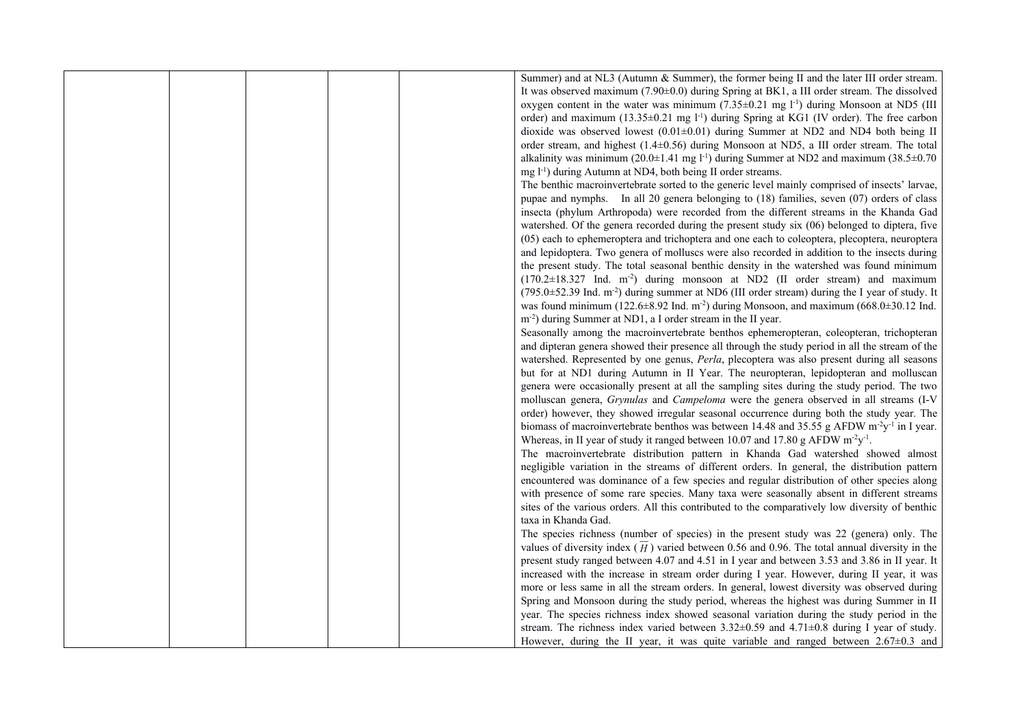|  | Summer) and at NL3 (Autumn & Summer), the former being II and the later III order stream.                          |
|--|--------------------------------------------------------------------------------------------------------------------|
|  | It was observed maximum (7.90±0.0) during Spring at BK1, a III order stream. The dissolved                         |
|  | oxygen content in the water was minimum $(7.35\pm0.21$ mg $l-1$ ) during Monsoon at ND5 (III                       |
|  | order) and maximum $(13.35\pm0.21$ mg $1-1$ ) during Spring at KG1 (IV order). The free carbon                     |
|  | dioxide was observed lowest $(0.01\pm0.01)$ during Summer at ND2 and ND4 both being II                             |
|  | order stream, and highest (1.4±0.56) during Monsoon at ND5, a III order stream. The total                          |
|  | alkalinity was minimum (20.0 $\pm$ 1.41 mg l <sup>-1</sup> ) during Summer at ND2 and maximum (38.5 $\pm$ 0.70     |
|  | mg l <sup>-1</sup> ) during Autumn at ND4, both being II order streams.                                            |
|  | The benthic macroinvertebrate sorted to the generic level mainly comprised of insects' larvae,                     |
|  | pupae and nymphs. In all 20 genera belonging to (18) families, seven (07) orders of class                          |
|  | insecta (phylum Arthropoda) were recorded from the different streams in the Khanda Gad                             |
|  | watershed. Of the genera recorded during the present study six (06) belonged to diptera, five                      |
|  | (05) each to ephemeroptera and trichoptera and one each to coleoptera, plecoptera, neuroptera                      |
|  | and lepidoptera. Two genera of molluscs were also recorded in addition to the insects during                       |
|  | the present study. The total seasonal benthic density in the watershed was found minimum                           |
|  | $(170.2 \pm 18.327)$ Ind. m <sup>2</sup> ) during monsoon at ND2 (II order stream) and maximum                     |
|  | (795.0±52.39 Ind. m <sup>-2</sup> ) during summer at ND6 (III order stream) during the I year of study. It         |
|  | was found minimum (122.6 $\pm$ 8.92 Ind. m <sup>-2</sup> ) during Monsoon, and maximum (668.0 $\pm$ 30.12 Ind.     |
|  | m <sup>-2</sup> ) during Summer at ND1, a I order stream in the II year.                                           |
|  | Seasonally among the macroinvertebrate benthos ephemeropteran, coleopteran, trichopteran                           |
|  | and dipteran genera showed their presence all through the study period in all the stream of the                    |
|  | watershed. Represented by one genus, Perla, plecoptera was also present during all seasons                         |
|  | but for at ND1 during Autumn in II Year. The neuropteran, lepidopteran and molluscan                               |
|  | genera were occasionally present at all the sampling sites during the study period. The two                        |
|  | molluscan genera, Grynulas and Campeloma were the genera observed in all streams (I-V                              |
|  | order) however, they showed irregular seasonal occurrence during both the study year. The                          |
|  | biomass of macroinvertebrate benthos was between 14.48 and 35.55 g AFDW m <sup>-2</sup> y <sup>-1</sup> in I year. |
|  | Whereas, in II year of study it ranged between 10.07 and 17.80 g AFDW $m^2y^{-1}$ .                                |
|  | The macroinvertebrate distribution pattern in Khanda Gad watershed showed almost                                   |
|  | negligible variation in the streams of different orders. In general, the distribution pattern                      |
|  | encountered was dominance of a few species and regular distribution of other species along                         |
|  | with presence of some rare species. Many taxa were seasonally absent in different streams                          |
|  | sites of the various orders. All this contributed to the comparatively low diversity of benthic                    |
|  | taxa in Khanda Gad.                                                                                                |
|  | The species richness (number of species) in the present study was 22 (genera) only. The                            |
|  | values of diversity index $(\overline{H})$ varied between 0.56 and 0.96. The total annual diversity in the         |
|  | present study ranged between 4.07 and 4.51 in I year and between 3.53 and 3.86 in II year. It                      |
|  | increased with the increase in stream order during I year. However, during II year, it was                         |
|  | more or less same in all the stream orders. In general, lowest diversity was observed during                       |
|  | Spring and Monsoon during the study period, whereas the highest was during Summer in II                            |
|  | year. The species richness index showed seasonal variation during the study period in the                          |
|  | stream. The richness index varied between $3.32\pm0.59$ and $4.71\pm0.8$ during I year of study.                   |
|  | However, during the II year, it was quite variable and ranged between $2.67\pm0.3$ and                             |
|  |                                                                                                                    |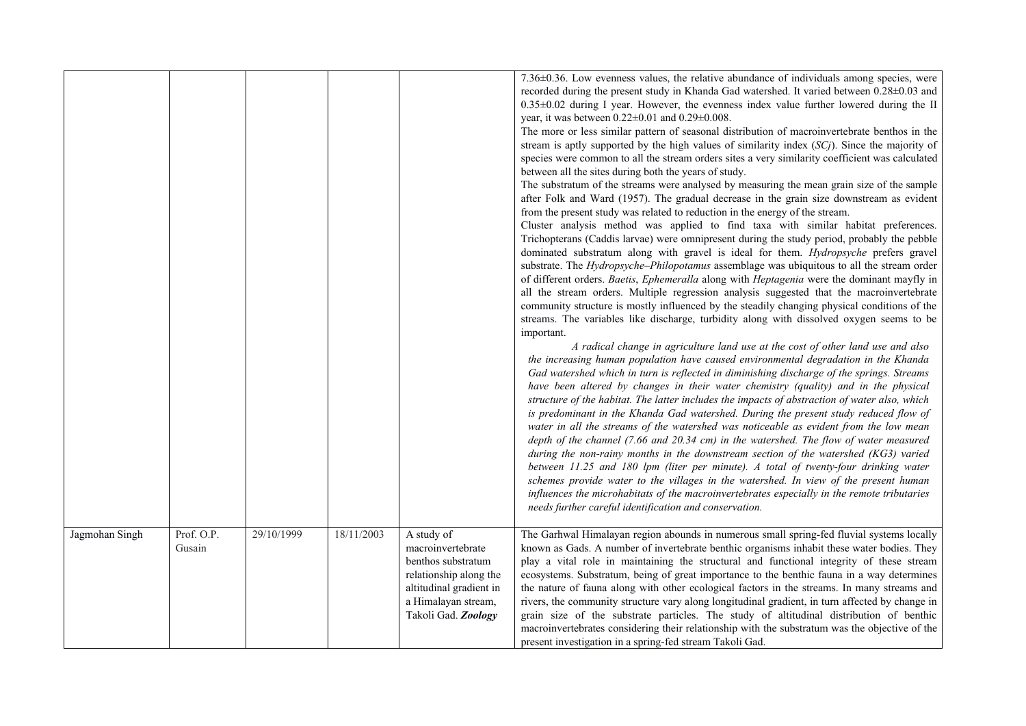|                |                      |            |            |                                                                                                                                                          | 7.36±0.36. Low evenness values, the relative abundance of individuals among species, were<br>recorded during the present study in Khanda Gad watershed. It varied between 0.28±0.03 and<br>0.35±0.02 during I year. However, the evenness index value further lowered during the II<br>year, it was between $0.22 \pm 0.01$ and $0.29 \pm 0.008$ .<br>The more or less similar pattern of seasonal distribution of macroinvertebrate benthos in the<br>stream is aptly supported by the high values of similarity index $(SCj)$ . Since the majority of<br>species were common to all the stream orders sites a very similarity coefficient was calculated<br>between all the sites during both the years of study.<br>The substratum of the streams were analysed by measuring the mean grain size of the sample<br>after Folk and Ward (1957). The gradual decrease in the grain size downstream as evident<br>from the present study was related to reduction in the energy of the stream.<br>Cluster analysis method was applied to find taxa with similar habitat preferences.<br>Trichopterans (Caddis larvae) were omnipresent during the study period, probably the pebble<br>dominated substratum along with gravel is ideal for them. Hydropsyche prefers gravel<br>substrate. The <i>Hydropsyche-Philopotamus</i> assemblage was ubiquitous to all the stream order<br>of different orders. Baetis, Ephemeralla along with Heptagenia were the dominant mayfly in<br>all the stream orders. Multiple regression analysis suggested that the macroinvertebrate<br>community structure is mostly influenced by the steadily changing physical conditions of the<br>streams. The variables like discharge, turbidity along with dissolved oxygen seems to be<br>important.<br>A radical change in agriculture land use at the cost of other land use and also<br>the increasing human population have caused environmental degradation in the Khanda<br>Gad watershed which in turn is reflected in diminishing discharge of the springs. Streams<br>have been altered by changes in their water chemistry (quality) and in the physical<br>structure of the habitat. The latter includes the impacts of abstraction of water also, which<br>is predominant in the Khanda Gad watershed. During the present study reduced flow of<br>water in all the streams of the watershed was noticeable as evident from the low mean<br>depth of the channel (7.66 and 20.34 cm) in the watershed. The flow of water measured<br>during the non-rainy months in the downstream section of the watershed (KG3) varied<br>between 11.25 and 180 lpm (liter per minute). A total of twenty-four drinking water<br>schemes provide water to the villages in the watershed. In view of the present human<br>influences the microhabitats of the macroinvertebrates especially in the remote tributaries<br>needs further careful identification and conservation. |
|----------------|----------------------|------------|------------|----------------------------------------------------------------------------------------------------------------------------------------------------------|------------------------------------------------------------------------------------------------------------------------------------------------------------------------------------------------------------------------------------------------------------------------------------------------------------------------------------------------------------------------------------------------------------------------------------------------------------------------------------------------------------------------------------------------------------------------------------------------------------------------------------------------------------------------------------------------------------------------------------------------------------------------------------------------------------------------------------------------------------------------------------------------------------------------------------------------------------------------------------------------------------------------------------------------------------------------------------------------------------------------------------------------------------------------------------------------------------------------------------------------------------------------------------------------------------------------------------------------------------------------------------------------------------------------------------------------------------------------------------------------------------------------------------------------------------------------------------------------------------------------------------------------------------------------------------------------------------------------------------------------------------------------------------------------------------------------------------------------------------------------------------------------------------------------------------------------------------------------------------------------------------------------------------------------------------------------------------------------------------------------------------------------------------------------------------------------------------------------------------------------------------------------------------------------------------------------------------------------------------------------------------------------------------------------------------------------------------------------------------------------------------------------------------------------------------------------------------------------------------------------------------------------------------------------------------------------------------------------------------------------------------------------------------------------------------------------------------------------------------------------------------------------------------------------------------------------------------|
| Jagmohan Singh | Prof. O.P.<br>Gusain | 29/10/1999 | 18/11/2003 | A study of<br>macroinvertebrate<br>benthos substratum<br>relationship along the<br>altitudinal gradient in<br>a Himalayan stream,<br>Takoli Gad. Zoology | The Garhwal Himalayan region abounds in numerous small spring-fed fluvial systems locally<br>known as Gads. A number of invertebrate benthic organisms inhabit these water bodies. They<br>play a vital role in maintaining the structural and functional integrity of these stream<br>ecosystems. Substratum, being of great importance to the benthic fauna in a way determines<br>the nature of fauna along with other ecological factors in the streams. In many streams and<br>rivers, the community structure vary along longitudinal gradient, in turn affected by change in<br>grain size of the substrate particles. The study of altitudinal distribution of benthic<br>macroinvertebrates considering their relationship with the substratum was the objective of the<br>present investigation in a spring-fed stream Takoli Gad.                                                                                                                                                                                                                                                                                                                                                                                                                                                                                                                                                                                                                                                                                                                                                                                                                                                                                                                                                                                                                                                                                                                                                                                                                                                                                                                                                                                                                                                                                                                                                                                                                                                                                                                                                                                                                                                                                                                                                                                                                                                                                                               |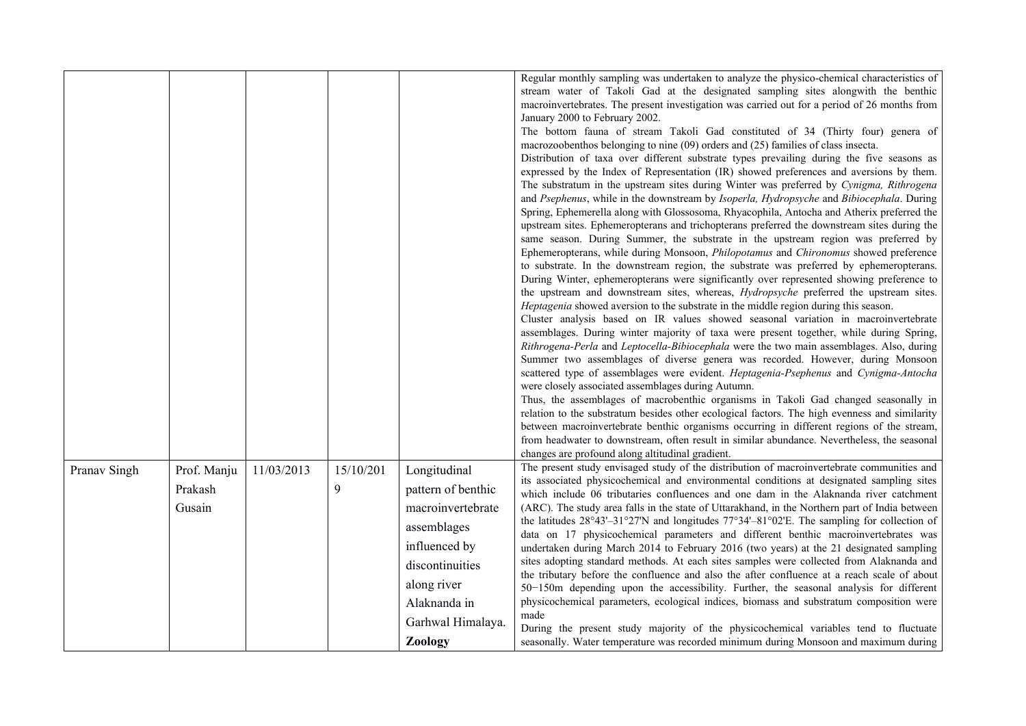|              |                                  |            |                |                                                                                                                                                                | Regular monthly sampling was undertaken to analyze the physico-chemical characteristics of<br>stream water of Takoli Gad at the designated sampling sites alongwith the benthic<br>macroinvertebrates. The present investigation was carried out for a period of 26 months from<br>January 2000 to February 2002.<br>The bottom fauna of stream Takoli Gad constituted of 34 (Thirty four) genera of<br>macrozoobenthos belonging to nine (09) orders and (25) families of class insecta.<br>Distribution of taxa over different substrate types prevailing during the five seasons as<br>expressed by the Index of Representation (IR) showed preferences and aversions by them.<br>The substratum in the upstream sites during Winter was preferred by Cynigma, Rithrogena<br>and Psephenus, while in the downstream by Isoperla, Hydropsyche and Bibiocephala. During<br>Spring, Ephemerella along with Glossosoma, Rhyacophila, Antocha and Atherix preferred the<br>upstream sites. Ephemeropterans and trichopterans preferred the downstream sites during the<br>same season. During Summer, the substrate in the upstream region was preferred by<br>Ephemeropterans, while during Monsoon, Philopotamus and Chironomus showed preference<br>to substrate. In the downstream region, the substrate was preferred by ephemeropterans.<br>During Winter, ephemeropterans were significantly over represented showing preference to<br>the upstream and downstream sites, whereas, Hydropsyche preferred the upstream sites.<br>Heptagenia showed aversion to the substrate in the middle region during this season.<br>Cluster analysis based on IR values showed seasonal variation in macroinvertebrate<br>assemblages. During winter majority of taxa were present together, while during Spring,<br>Rithrogena-Perla and Leptocella-Bibiocephala were the two main assemblages. Also, during<br>Summer two assemblages of diverse genera was recorded. However, during Monsoon<br>scattered type of assemblages were evident. Heptagenia-Psephenus and Cynigma-Antocha<br>were closely associated assemblages during Autumn.<br>Thus, the assemblages of macrobenthic organisms in Takoli Gad changed seasonally in<br>relation to the substratum besides other ecological factors. The high evenness and similarity<br>between macroinvertebrate benthic organisms occurring in different regions of the stream,<br>from headwater to downstream, often result in similar abundance. Nevertheless, the seasonal<br>changes are profound along altitudinal gradient. |
|--------------|----------------------------------|------------|----------------|----------------------------------------------------------------------------------------------------------------------------------------------------------------|--------------------------------------------------------------------------------------------------------------------------------------------------------------------------------------------------------------------------------------------------------------------------------------------------------------------------------------------------------------------------------------------------------------------------------------------------------------------------------------------------------------------------------------------------------------------------------------------------------------------------------------------------------------------------------------------------------------------------------------------------------------------------------------------------------------------------------------------------------------------------------------------------------------------------------------------------------------------------------------------------------------------------------------------------------------------------------------------------------------------------------------------------------------------------------------------------------------------------------------------------------------------------------------------------------------------------------------------------------------------------------------------------------------------------------------------------------------------------------------------------------------------------------------------------------------------------------------------------------------------------------------------------------------------------------------------------------------------------------------------------------------------------------------------------------------------------------------------------------------------------------------------------------------------------------------------------------------------------------------------------------------------------------------------------------------------------------------------------------------------------------------------------------------------------------------------------------------------------------------------------------------------------------------------------------------------------------------------------------------------------------------------------------------------------------------------------------------------------------------------------------------------------------------------------------------------------------|
| Pranav Singh | Prof. Manju<br>Prakash<br>Gusain | 11/03/2013 | 15/10/201<br>9 | Longitudinal<br>pattern of benthic<br>macroinvertebrate<br>assemblages<br>influenced by<br>discontinuities<br>along river<br>Alaknanda in<br>Garhwal Himalaya. | The present study envisaged study of the distribution of macroinvertebrate communities and<br>its associated physicochemical and environmental conditions at designated sampling sites<br>which include 06 tributaries confluences and one dam in the Alaknanda river catchment<br>(ARC). The study area falls in the state of Uttarakhand, in the Northern part of India between<br>the latitudes $28^{\circ}43' - 31^{\circ}27'$ N and longitudes $77^{\circ}34' - 81^{\circ}02'$ E. The sampling for collection of<br>data on 17 physicochemical parameters and different benthic macroinvertebrates was<br>undertaken during March 2014 to February 2016 (two years) at the 21 designated sampling<br>sites adopting standard methods. At each sites samples were collected from Alaknanda and<br>the tributary before the confluence and also the after confluence at a reach scale of about<br>50-150m depending upon the accessibility. Further, the seasonal analysis for different<br>physicochemical parameters, ecological indices, biomass and substratum composition were<br>made<br>During the present study majority of the physicochemical variables tend to fluctuate                                                                                                                                                                                                                                                                                                                                                                                                                                                                                                                                                                                                                                                                                                                                                                                                                                                                                                                                                                                                                                                                                                                                                                                                                                                                                                                                                                                         |
|              |                                  |            |                | <b>Zoology</b>                                                                                                                                                 | seasonally. Water temperature was recorded minimum during Monsoon and maximum during                                                                                                                                                                                                                                                                                                                                                                                                                                                                                                                                                                                                                                                                                                                                                                                                                                                                                                                                                                                                                                                                                                                                                                                                                                                                                                                                                                                                                                                                                                                                                                                                                                                                                                                                                                                                                                                                                                                                                                                                                                                                                                                                                                                                                                                                                                                                                                                                                                                                                           |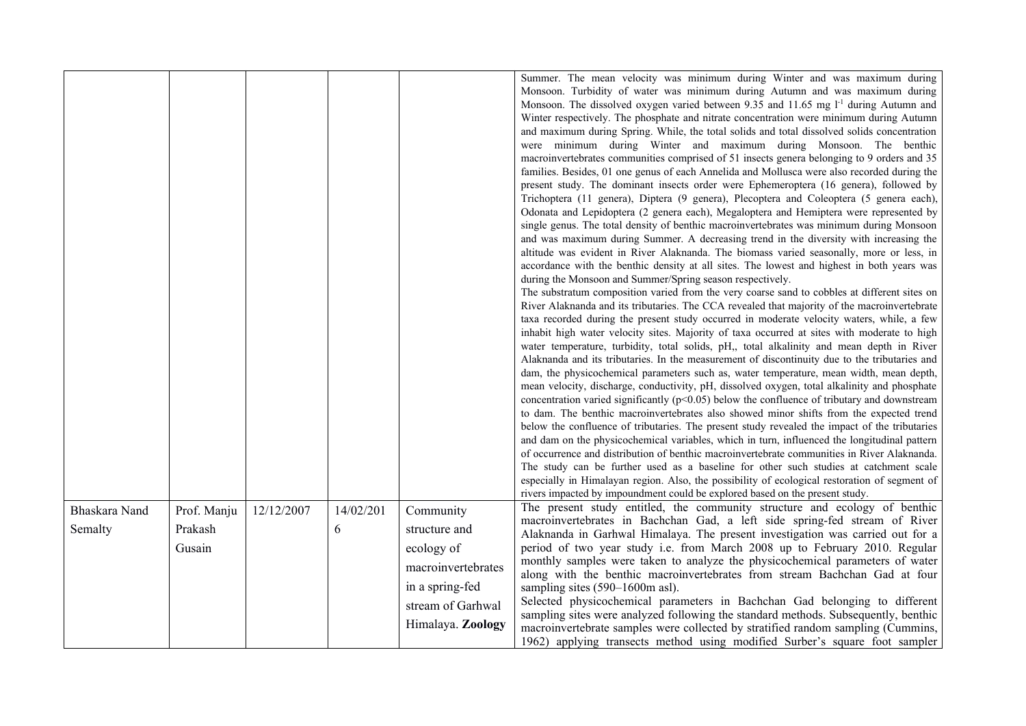|               |             |            |           |                    | Summer. The mean velocity was minimum during Winter and was maximum during<br>Monsoon. Turbidity of water was minimum during Autumn and was maximum during<br>Monsoon. The dissolved oxygen varied between 9.35 and 11.65 mg l <sup>-1</sup> during Autumn and<br>Winter respectively. The phosphate and nitrate concentration were minimum during Autumn<br>and maximum during Spring. While, the total solids and total dissolved solids concentration<br>were minimum during Winter and maximum during Monsoon. The benthic<br>macroinvertebrates communities comprised of 51 insects genera belonging to 9 orders and 35<br>families. Besides, 01 one genus of each Annelida and Mollusca were also recorded during the<br>present study. The dominant insects order were Ephemeroptera (16 genera), followed by<br>Trichoptera (11 genera), Diptera (9 genera), Plecoptera and Coleoptera (5 genera each),<br>Odonata and Lepidoptera (2 genera each), Megaloptera and Hemiptera were represented by<br>single genus. The total density of benthic macroinvertebrates was minimum during Monsoon<br>and was maximum during Summer. A decreasing trend in the diversity with increasing the<br>altitude was evident in River Alaknanda. The biomass varied seasonally, more or less, in<br>accordance with the benthic density at all sites. The lowest and highest in both years was<br>during the Monsoon and Summer/Spring season respectively.<br>The substratum composition varied from the very coarse sand to cobbles at different sites on<br>River Alaknanda and its tributaries. The CCA revealed that majority of the macroinvertebrate<br>taxa recorded during the present study occurred in moderate velocity waters, while, a few<br>inhabit high water velocity sites. Majority of taxa occurred at sites with moderate to high<br>water temperature, turbidity, total solids, pH,, total alkalinity and mean depth in River<br>Alaknanda and its tributaries. In the measurement of discontinuity due to the tributaries and<br>dam, the physicochemical parameters such as, water temperature, mean width, mean depth,<br>mean velocity, discharge, conductivity, pH, dissolved oxygen, total alkalinity and phosphate<br>concentration varied significantly ( $p<0.05$ ) below the confluence of tributary and downstream<br>to dam. The benthic macroinvertebrates also showed minor shifts from the expected trend<br>below the confluence of tributaries. The present study revealed the impact of the tributaries<br>and dam on the physicochemical variables, which in turn, influenced the longitudinal pattern<br>of occurrence and distribution of benthic macroinvertebrate communities in River Alaknanda.<br>The study can be further used as a baseline for other such studies at catchment scale<br>especially in Himalayan region. Also, the possibility of ecological restoration of segment of<br>rivers impacted by impoundment could be explored based on the present study. |
|---------------|-------------|------------|-----------|--------------------|----------------------------------------------------------------------------------------------------------------------------------------------------------------------------------------------------------------------------------------------------------------------------------------------------------------------------------------------------------------------------------------------------------------------------------------------------------------------------------------------------------------------------------------------------------------------------------------------------------------------------------------------------------------------------------------------------------------------------------------------------------------------------------------------------------------------------------------------------------------------------------------------------------------------------------------------------------------------------------------------------------------------------------------------------------------------------------------------------------------------------------------------------------------------------------------------------------------------------------------------------------------------------------------------------------------------------------------------------------------------------------------------------------------------------------------------------------------------------------------------------------------------------------------------------------------------------------------------------------------------------------------------------------------------------------------------------------------------------------------------------------------------------------------------------------------------------------------------------------------------------------------------------------------------------------------------------------------------------------------------------------------------------------------------------------------------------------------------------------------------------------------------------------------------------------------------------------------------------------------------------------------------------------------------------------------------------------------------------------------------------------------------------------------------------------------------------------------------------------------------------------------------------------------------------------------------------------------------------------------------------------------------------------------------------------------------------------------------------------------------------------------------------------------------------------------------------------------------------------------------------------------------------------------------------------------------------------------------------------------------------------------------|
| Bhaskara Nand | Prof. Manju | 12/12/2007 | 14/02/201 | Community          | The present study entitled, the community structure and ecology of benthic                                                                                                                                                                                                                                                                                                                                                                                                                                                                                                                                                                                                                                                                                                                                                                                                                                                                                                                                                                                                                                                                                                                                                                                                                                                                                                                                                                                                                                                                                                                                                                                                                                                                                                                                                                                                                                                                                                                                                                                                                                                                                                                                                                                                                                                                                                                                                                                                                                                                                                                                                                                                                                                                                                                                                                                                                                                                                                                                           |
| Semalty       | Prakash     |            | 6         | structure and      | macroinvertebrates in Bachchan Gad, a left side spring-fed stream of River<br>Alaknanda in Garhwal Himalaya. The present investigation was carried out for a                                                                                                                                                                                                                                                                                                                                                                                                                                                                                                                                                                                                                                                                                                                                                                                                                                                                                                                                                                                                                                                                                                                                                                                                                                                                                                                                                                                                                                                                                                                                                                                                                                                                                                                                                                                                                                                                                                                                                                                                                                                                                                                                                                                                                                                                                                                                                                                                                                                                                                                                                                                                                                                                                                                                                                                                                                                         |
|               | Gusain      |            |           | ecology of         | period of two year study i.e. from March 2008 up to February 2010. Regular                                                                                                                                                                                                                                                                                                                                                                                                                                                                                                                                                                                                                                                                                                                                                                                                                                                                                                                                                                                                                                                                                                                                                                                                                                                                                                                                                                                                                                                                                                                                                                                                                                                                                                                                                                                                                                                                                                                                                                                                                                                                                                                                                                                                                                                                                                                                                                                                                                                                                                                                                                                                                                                                                                                                                                                                                                                                                                                                           |
|               |             |            |           | macroinvertebrates | monthly samples were taken to analyze the physicochemical parameters of water                                                                                                                                                                                                                                                                                                                                                                                                                                                                                                                                                                                                                                                                                                                                                                                                                                                                                                                                                                                                                                                                                                                                                                                                                                                                                                                                                                                                                                                                                                                                                                                                                                                                                                                                                                                                                                                                                                                                                                                                                                                                                                                                                                                                                                                                                                                                                                                                                                                                                                                                                                                                                                                                                                                                                                                                                                                                                                                                        |
|               |             |            |           |                    | along with the benthic macroinvertebrates from stream Bachchan Gad at four                                                                                                                                                                                                                                                                                                                                                                                                                                                                                                                                                                                                                                                                                                                                                                                                                                                                                                                                                                                                                                                                                                                                                                                                                                                                                                                                                                                                                                                                                                                                                                                                                                                                                                                                                                                                                                                                                                                                                                                                                                                                                                                                                                                                                                                                                                                                                                                                                                                                                                                                                                                                                                                                                                                                                                                                                                                                                                                                           |
|               |             |            |           | in a spring-fed    | sampling sites (590–1600m asl).                                                                                                                                                                                                                                                                                                                                                                                                                                                                                                                                                                                                                                                                                                                                                                                                                                                                                                                                                                                                                                                                                                                                                                                                                                                                                                                                                                                                                                                                                                                                                                                                                                                                                                                                                                                                                                                                                                                                                                                                                                                                                                                                                                                                                                                                                                                                                                                                                                                                                                                                                                                                                                                                                                                                                                                                                                                                                                                                                                                      |
|               |             |            |           | stream of Garhwal  | Selected physicochemical parameters in Bachchan Gad belonging to different<br>sampling sites were analyzed following the standard methods. Subsequently, benthic                                                                                                                                                                                                                                                                                                                                                                                                                                                                                                                                                                                                                                                                                                                                                                                                                                                                                                                                                                                                                                                                                                                                                                                                                                                                                                                                                                                                                                                                                                                                                                                                                                                                                                                                                                                                                                                                                                                                                                                                                                                                                                                                                                                                                                                                                                                                                                                                                                                                                                                                                                                                                                                                                                                                                                                                                                                     |
|               |             |            |           | Himalaya. Zoology  | macroinvertebrate samples were collected by stratified random sampling (Cummins,                                                                                                                                                                                                                                                                                                                                                                                                                                                                                                                                                                                                                                                                                                                                                                                                                                                                                                                                                                                                                                                                                                                                                                                                                                                                                                                                                                                                                                                                                                                                                                                                                                                                                                                                                                                                                                                                                                                                                                                                                                                                                                                                                                                                                                                                                                                                                                                                                                                                                                                                                                                                                                                                                                                                                                                                                                                                                                                                     |
|               |             |            |           |                    | 1962) applying transects method using modified Surber's square foot sampler                                                                                                                                                                                                                                                                                                                                                                                                                                                                                                                                                                                                                                                                                                                                                                                                                                                                                                                                                                                                                                                                                                                                                                                                                                                                                                                                                                                                                                                                                                                                                                                                                                                                                                                                                                                                                                                                                                                                                                                                                                                                                                                                                                                                                                                                                                                                                                                                                                                                                                                                                                                                                                                                                                                                                                                                                                                                                                                                          |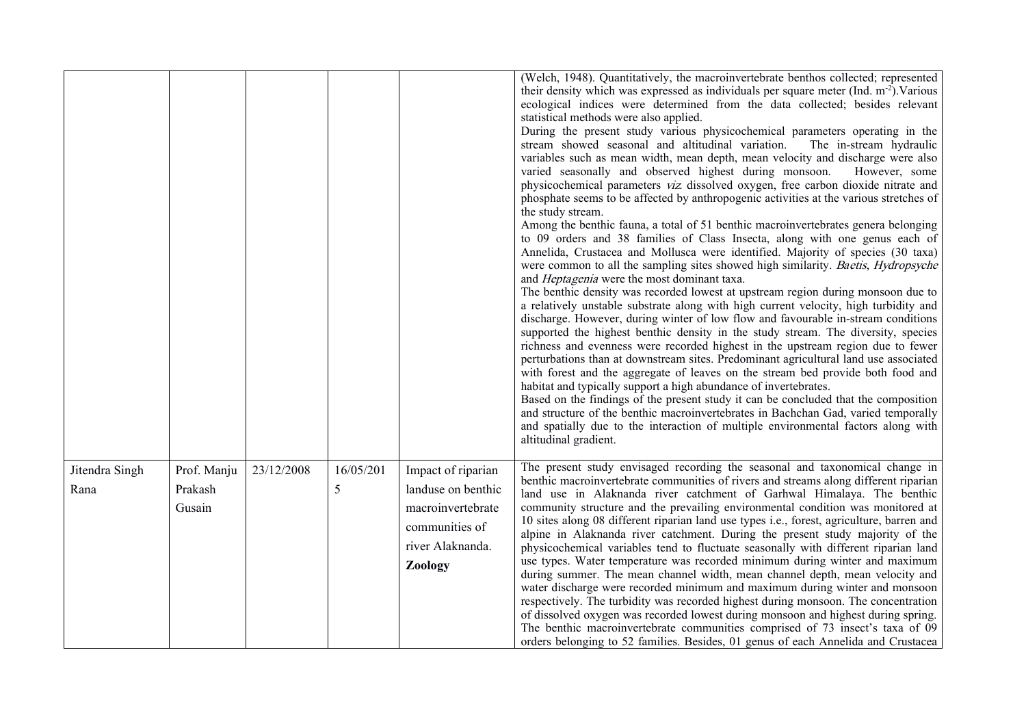|                        |                                  |            |                |                                                                                                                | (Welch, 1948). Quantitatively, the macroinvertebrate benthos collected; represented<br>their density which was expressed as individuals per square meter (Ind. m <sup>-2</sup> ). Various<br>ecological indices were determined from the data collected; besides relevant<br>statistical methods were also applied.<br>During the present study various physicochemical parameters operating in the<br>stream showed seasonal and altitudinal variation.<br>The in-stream hydraulic<br>variables such as mean width, mean depth, mean velocity and discharge were also<br>varied seasonally and observed highest during monsoon.<br>However, some<br>physicochemical parameters viz dissolved oxygen, free carbon dioxide nitrate and<br>phosphate seems to be affected by anthropogenic activities at the various stretches of<br>the study stream.<br>Among the benthic fauna, a total of 51 benthic macroinvertebrates genera belonging<br>to 09 orders and 38 families of Class Insecta, along with one genus each of<br>Annelida, Crustacea and Mollusca were identified. Majority of species (30 taxa)<br>were common to all the sampling sites showed high similarity. Baetis, Hydropsyche<br>and <i>Heptagenia</i> were the most dominant taxa.<br>The benthic density was recorded lowest at upstream region during monsoon due to<br>a relatively unstable substrate along with high current velocity, high turbidity and<br>discharge. However, during winter of low flow and favourable in-stream conditions<br>supported the highest benthic density in the study stream. The diversity, species<br>richness and evenness were recorded highest in the upstream region due to fewer<br>perturbations than at downstream sites. Predominant agricultural land use associated<br>with forest and the aggregate of leaves on the stream bed provide both food and<br>habitat and typically support a high abundance of invertebrates.<br>Based on the findings of the present study it can be concluded that the composition<br>and structure of the benthic macroinvertebrates in Bachchan Gad, varied temporally<br>and spatially due to the interaction of multiple environmental factors along with<br>altitudinal gradient. |
|------------------------|----------------------------------|------------|----------------|----------------------------------------------------------------------------------------------------------------|--------------------------------------------------------------------------------------------------------------------------------------------------------------------------------------------------------------------------------------------------------------------------------------------------------------------------------------------------------------------------------------------------------------------------------------------------------------------------------------------------------------------------------------------------------------------------------------------------------------------------------------------------------------------------------------------------------------------------------------------------------------------------------------------------------------------------------------------------------------------------------------------------------------------------------------------------------------------------------------------------------------------------------------------------------------------------------------------------------------------------------------------------------------------------------------------------------------------------------------------------------------------------------------------------------------------------------------------------------------------------------------------------------------------------------------------------------------------------------------------------------------------------------------------------------------------------------------------------------------------------------------------------------------------------------------------------------------------------------------------------------------------------------------------------------------------------------------------------------------------------------------------------------------------------------------------------------------------------------------------------------------------------------------------------------------------------------------------------------------------------------------------------------------------------------------------------------------------------------------------|
| Jitendra Singh<br>Rana | Prof. Manju<br>Prakash<br>Gusain | 23/12/2008 | 16/05/201<br>5 | Impact of riparian<br>landuse on benthic<br>macroinvertebrate<br>communities of<br>river Alaknanda.<br>Zoology | The present study envisaged recording the seasonal and taxonomical change in<br>benthic macroinvertebrate communities of rivers and streams along different riparian<br>land use in Alaknanda river catchment of Garhwal Himalaya. The benthic<br>community structure and the prevailing environmental condition was monitored at<br>10 sites along 08 different riparian land use types i.e., forest, agriculture, barren and<br>alpine in Alaknanda river catchment. During the present study majority of the<br>physicochemical variables tend to fluctuate seasonally with different riparian land<br>use types. Water temperature was recorded minimum during winter and maximum<br>during summer. The mean channel width, mean channel depth, mean velocity and<br>water discharge were recorded minimum and maximum during winter and monsoon<br>respectively. The turbidity was recorded highest during monsoon. The concentration<br>of dissolved oxygen was recorded lowest during monsoon and highest during spring.<br>The benthic macroinvertebrate communities comprised of 73 insect's taxa of 09<br>orders belonging to 52 families. Besides, 01 genus of each Annelida and Crustacea                                                                                                                                                                                                                                                                                                                                                                                                                                                                                                                                                                                                                                                                                                                                                                                                                                                                                                                                                                                                                                      |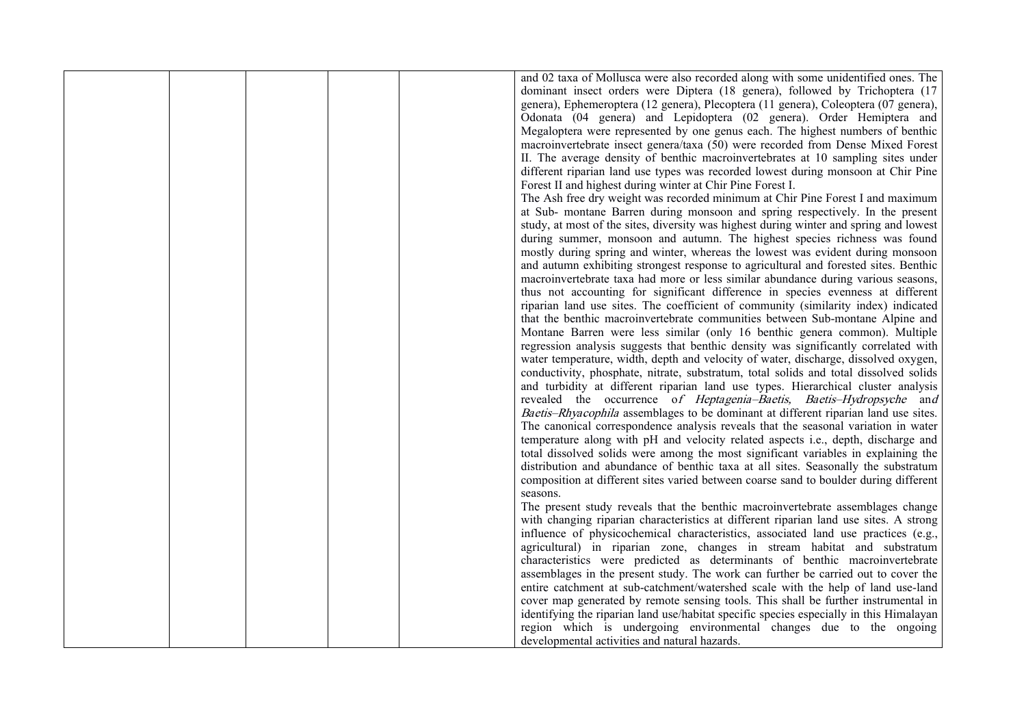|  |  | and 02 taxa of Mollusca were also recorded along with some unidentified ones. The       |
|--|--|-----------------------------------------------------------------------------------------|
|  |  | dominant insect orders were Diptera (18 genera), followed by Trichoptera (17            |
|  |  | genera), Ephemeroptera (12 genera), Plecoptera (11 genera), Coleoptera (07 genera),     |
|  |  | Odonata (04 genera) and Lepidoptera (02 genera). Order Hemiptera and                    |
|  |  | Megaloptera were represented by one genus each. The highest numbers of benthic          |
|  |  | macroinvertebrate insect genera/taxa (50) were recorded from Dense Mixed Forest         |
|  |  | II. The average density of benthic macroinvertebrates at 10 sampling sites under        |
|  |  | different riparian land use types was recorded lowest during monsoon at Chir Pine       |
|  |  | Forest II and highest during winter at Chir Pine Forest I.                              |
|  |  | The Ash free dry weight was recorded minimum at Chir Pine Forest I and maximum          |
|  |  |                                                                                         |
|  |  | at Sub- montane Barren during monsoon and spring respectively. In the present           |
|  |  | study, at most of the sites, diversity was highest during winter and spring and lowest  |
|  |  | during summer, monsoon and autumn. The highest species richness was found               |
|  |  | mostly during spring and winter, whereas the lowest was evident during monsoon          |
|  |  | and autumn exhibiting strongest response to agricultural and forested sites. Benthic    |
|  |  | macroinvertebrate taxa had more or less similar abundance during various seasons,       |
|  |  | thus not accounting for significant difference in species evenness at different         |
|  |  | riparian land use sites. The coefficient of community (similarity index) indicated      |
|  |  | that the benthic macroinvertebrate communities between Sub-montane Alpine and           |
|  |  | Montane Barren were less similar (only 16 benthic genera common). Multiple              |
|  |  | regression analysis suggests that benthic density was significantly correlated with     |
|  |  | water temperature, width, depth and velocity of water, discharge, dissolved oxygen,     |
|  |  | conductivity, phosphate, nitrate, substratum, total solids and total dissolved solids   |
|  |  | and turbidity at different riparian land use types. Hierarchical cluster analysis       |
|  |  | revealed the occurrence of Heptagenia-Baetis, Baetis-Hydropsyche and                    |
|  |  | Baetis-Rhyacophila assemblages to be dominant at different riparian land use sites.     |
|  |  | The canonical correspondence analysis reveals that the seasonal variation in water      |
|  |  | temperature along with pH and velocity related aspects i.e., depth, discharge and       |
|  |  | total dissolved solids were among the most significant variables in explaining the      |
|  |  | distribution and abundance of benthic taxa at all sites. Seasonally the substratum      |
|  |  | composition at different sites varied between coarse sand to boulder during different   |
|  |  | seasons.                                                                                |
|  |  | The present study reveals that the benthic macroinvertebrate assemblages change         |
|  |  | with changing riparian characteristics at different riparian land use sites. A strong   |
|  |  | influence of physicochemical characteristics, associated land use practices (e.g.,      |
|  |  | agricultural) in riparian zone, changes in stream habitat and substratum                |
|  |  | characteristics were predicted as determinants of benthic macroinvertebrate             |
|  |  | assemblages in the present study. The work can further be carried out to cover the      |
|  |  | entire catchment at sub-catchment/watershed scale with the help of land use-land        |
|  |  | cover map generated by remote sensing tools. This shall be further instrumental in      |
|  |  | identifying the riparian land use/habitat specific species especially in this Himalayan |
|  |  | region which is undergoing environmental changes due to the ongoing                     |
|  |  | developmental activities and natural hazards.                                           |
|  |  |                                                                                         |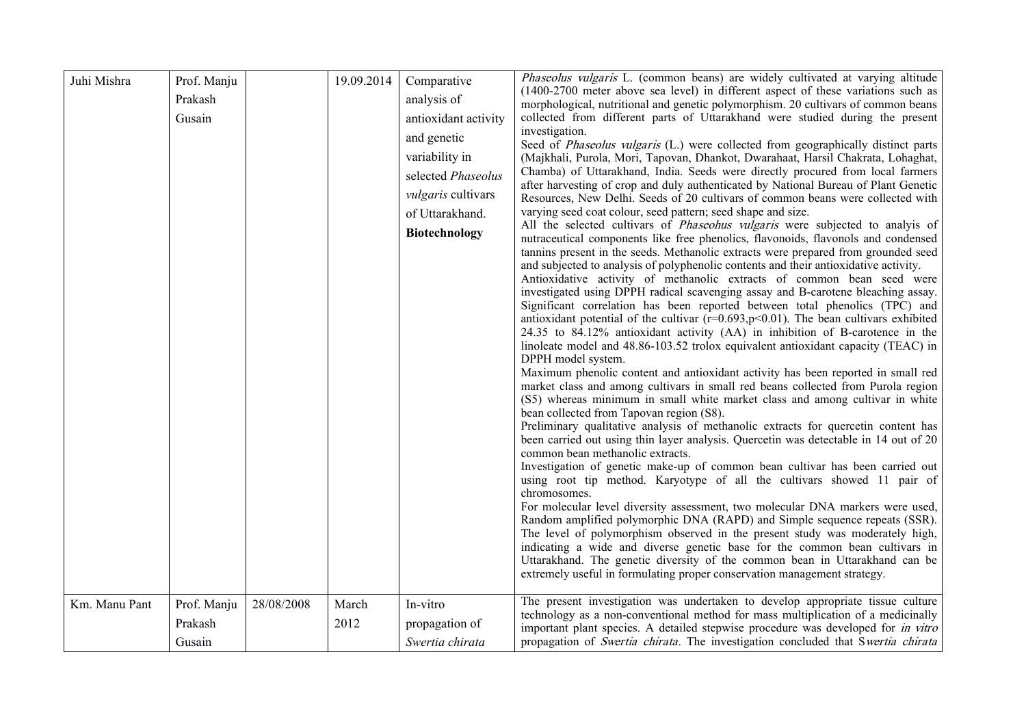| Juhi Mishra   | Prof. Manju<br>Prakash<br>Gusain |            | 19.09.2014    | Comparative<br>analysis of<br>antioxidant activity<br>and genetic<br>variability in<br>selected Phaseolus<br>vulgaris cultivars<br>of Uttarakhand.<br><b>Biotechnology</b> | <i>Phaseolus vulgaris</i> L. (common beans) are widely cultivated at varying altitude<br>(1400-2700 meter above sea level) in different aspect of these variations such as<br>morphological, nutritional and genetic polymorphism. 20 cultivars of common beans<br>collected from different parts of Uttarakhand were studied during the present<br>investigation.<br>Seed of <i>Phaseolus vulgaris</i> (L.) were collected from geographically distinct parts<br>(Majkhali, Purola, Mori, Tapovan, Dhankot, Dwarahaat, Harsil Chakrata, Lohaghat,<br>Chamba) of Uttarakhand, India. Seeds were directly procured from local farmers<br>after harvesting of crop and duly authenticated by National Bureau of Plant Genetic<br>Resources, New Delhi. Seeds of 20 cultivars of common beans were collected with<br>varying seed coat colour, seed pattern; seed shape and size.<br>All the selected cultivars of <i>Phaseohus vulgaris</i> were subjected to analyis of<br>nutraceutical components like free phenolics, flavonoids, flavonols and condensed<br>tannins present in the seeds. Methanolic extracts were prepared from grounded seed<br>and subjected to analysis of polyphenolic contents and their antioxidative activity.<br>Antioxidative activity of methanolic extracts of common bean seed were<br>investigated using DPPH radical scavenging assay and B-carotene bleaching assay.<br>Significant correlation has been reported between total phenolics (TPC) and<br>antioxidant potential of the cultivar $(r=0.693, p<0.01)$ . The bean cultivars exhibited<br>24.35 to 84.12% antioxidant activity (AA) in inhibition of B-carotence in the<br>linoleate model and 48.86-103.52 trolox equivalent antioxidant capacity (TEAC) in<br>DPPH model system.<br>Maximum phenolic content and antioxidant activity has been reported in small red<br>market class and among cultivars in small red beans collected from Purola region<br>(S5) whereas minimum in small white market class and among cultivar in white<br>bean collected from Tapovan region (S8).<br>Preliminary qualitative analysis of methanolic extracts for quercetin content has<br>been carried out using thin layer analysis. Quercetin was detectable in 14 out of 20<br>common bean methanolic extracts.<br>Investigation of genetic make-up of common bean cultivar has been carried out<br>using root tip method. Karyotype of all the cultivars showed 11 pair of<br>chromosomes.<br>For molecular level diversity assessment, two molecular DNA markers were used,<br>Random amplified polymorphic DNA (RAPD) and Simple sequence repeats (SSR).<br>The level of polymorphism observed in the present study was moderately high,<br>indicating a wide and diverse genetic base for the common bean cultivars in<br>Uttarakhand. The genetic diversity of the common bean in Uttarakhand can be<br>extremely useful in formulating proper conservation management strategy. |
|---------------|----------------------------------|------------|---------------|----------------------------------------------------------------------------------------------------------------------------------------------------------------------------|---------------------------------------------------------------------------------------------------------------------------------------------------------------------------------------------------------------------------------------------------------------------------------------------------------------------------------------------------------------------------------------------------------------------------------------------------------------------------------------------------------------------------------------------------------------------------------------------------------------------------------------------------------------------------------------------------------------------------------------------------------------------------------------------------------------------------------------------------------------------------------------------------------------------------------------------------------------------------------------------------------------------------------------------------------------------------------------------------------------------------------------------------------------------------------------------------------------------------------------------------------------------------------------------------------------------------------------------------------------------------------------------------------------------------------------------------------------------------------------------------------------------------------------------------------------------------------------------------------------------------------------------------------------------------------------------------------------------------------------------------------------------------------------------------------------------------------------------------------------------------------------------------------------------------------------------------------------------------------------------------------------------------------------------------------------------------------------------------------------------------------------------------------------------------------------------------------------------------------------------------------------------------------------------------------------------------------------------------------------------------------------------------------------------------------------------------------------------------------------------------------------------------------------------------------------------------------------------------------------------------------------------------------------------------------------------------------------------------------------------------------------------------------------------------------------------------------------------------------------------------------------------------------------------------------------------------------------------------|
| Km. Manu Pant | Prof. Manju<br>Prakash<br>Gusain | 28/08/2008 | March<br>2012 | In-vitro<br>propagation of<br>Swertia chirata                                                                                                                              | The present investigation was undertaken to develop appropriate tissue culture<br>technology as a non-conventional method for mass multiplication of a medicinally<br>important plant species. A detailed stepwise procedure was developed for in vitro<br>propagation of <i>Swertia chirata</i> . The investigation concluded that Swertia chirata                                                                                                                                                                                                                                                                                                                                                                                                                                                                                                                                                                                                                                                                                                                                                                                                                                                                                                                                                                                                                                                                                                                                                                                                                                                                                                                                                                                                                                                                                                                                                                                                                                                                                                                                                                                                                                                                                                                                                                                                                                                                                                                                                                                                                                                                                                                                                                                                                                                                                                                                                                                                                       |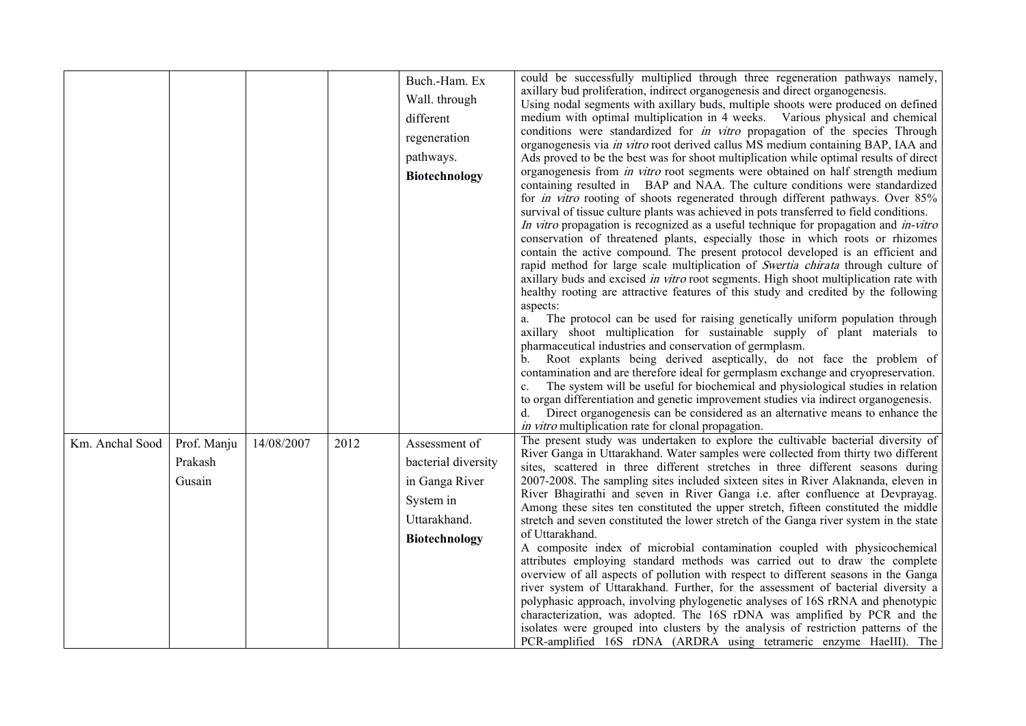|                 |                                  |            |      | Buch.-Ham. Ex<br>Wall. through<br>different<br>regeneration<br>pathways.<br><b>Biotechnology</b>            | could be successfully multiplied through three regeneration pathways namely,<br>axillary bud proliferation, indirect organogenesis and direct organogenesis.<br>Using nodal segments with axillary buds, multiple shoots were produced on defined<br>medium with optimal multiplication in 4 weeks. Various physical and chemical<br>conditions were standardized for <i>in vitro</i> propagation of the species Through<br>organogenesis via in vitro root derived callus MS medium containing BAP, IAA and<br>Ads proved to be the best was for shoot multiplication while optimal results of direct<br>organogenesis from <i>in vitro</i> root segments were obtained on half strength medium<br>containing resulted in BAP and NAA. The culture conditions were standardized<br>for <i>in vitro</i> rooting of shoots regenerated through different pathways. Over 85%<br>survival of tissue culture plants was achieved in pots transferred to field conditions.<br>In vitro propagation is recognized as a useful technique for propagation and in-vitro<br>conservation of threatened plants, especially those in which roots or rhizomes<br>contain the active compound. The present protocol developed is an efficient and<br>rapid method for large scale multiplication of Swertia chirata through culture of<br>axillary buds and excised in vitro root segments. High shoot multiplication rate with<br>healthy rooting are attractive features of this study and credited by the following<br>aspects:<br>The protocol can be used for raising genetically uniform population through<br>a.<br>axillary shoot multiplication for sustainable supply of plant materials to<br>pharmaceutical industries and conservation of germplasm.<br>Root explants being derived aseptically, do not face the problem of<br>contamination and are therefore ideal for germplasm exchange and cryopreservation.<br>The system will be useful for biochemical and physiological studies in relation<br>to organ differentiation and genetic improvement studies via indirect organogenesis.<br>Direct organogenesis can be considered as an alternative means to enhance the<br>in vitro multiplication rate for clonal propagation. |
|-----------------|----------------------------------|------------|------|-------------------------------------------------------------------------------------------------------------|--------------------------------------------------------------------------------------------------------------------------------------------------------------------------------------------------------------------------------------------------------------------------------------------------------------------------------------------------------------------------------------------------------------------------------------------------------------------------------------------------------------------------------------------------------------------------------------------------------------------------------------------------------------------------------------------------------------------------------------------------------------------------------------------------------------------------------------------------------------------------------------------------------------------------------------------------------------------------------------------------------------------------------------------------------------------------------------------------------------------------------------------------------------------------------------------------------------------------------------------------------------------------------------------------------------------------------------------------------------------------------------------------------------------------------------------------------------------------------------------------------------------------------------------------------------------------------------------------------------------------------------------------------------------------------------------------------------------------------------------------------------------------------------------------------------------------------------------------------------------------------------------------------------------------------------------------------------------------------------------------------------------------------------------------------------------------------------------------------------------------------------------------------------------------------------------------------------------------------------|
| Km. Anchal Sood | Prof. Manju<br>Prakash<br>Gusain | 14/08/2007 | 2012 | Assessment of<br>bacterial diversity<br>in Ganga River<br>System in<br>Uttarakhand.<br><b>Biotechnology</b> | The present study was undertaken to explore the cultivable bacterial diversity of<br>River Ganga in Uttarakhand. Water samples were collected from thirty two different<br>sites, scattered in three different stretches in three different seasons during<br>2007-2008. The sampling sites included sixteen sites in River Alaknanda, eleven in<br>River Bhagirathi and seven in River Ganga i.e. after confluence at Devprayag.<br>Among these sites ten constituted the upper stretch, fifteen constituted the middle<br>stretch and seven constituted the lower stretch of the Ganga river system in the state<br>of Uttarakhand.<br>A composite index of microbial contamination coupled with physicochemical<br>attributes employing standard methods was carried out to draw the complete<br>overview of all aspects of pollution with respect to different seasons in the Ganga<br>river system of Uttarakhand. Further, for the assessment of bacterial diversity a<br>polyphasic approach, involving phylogenetic analyses of 16S rRNA and phenotypic<br>characterization, was adopted. The 16S rDNA was amplified by PCR and the<br>isolates were grouped into clusters by the analysis of restriction patterns of the<br>PCR-amplified 16S rDNA (ARDRA using tetrameric enzyme HaeIII). The                                                                                                                                                                                                                                                                                                                                                                                                                                                                                                                                                                                                                                                                                                                                                                                                                                                                                                                              |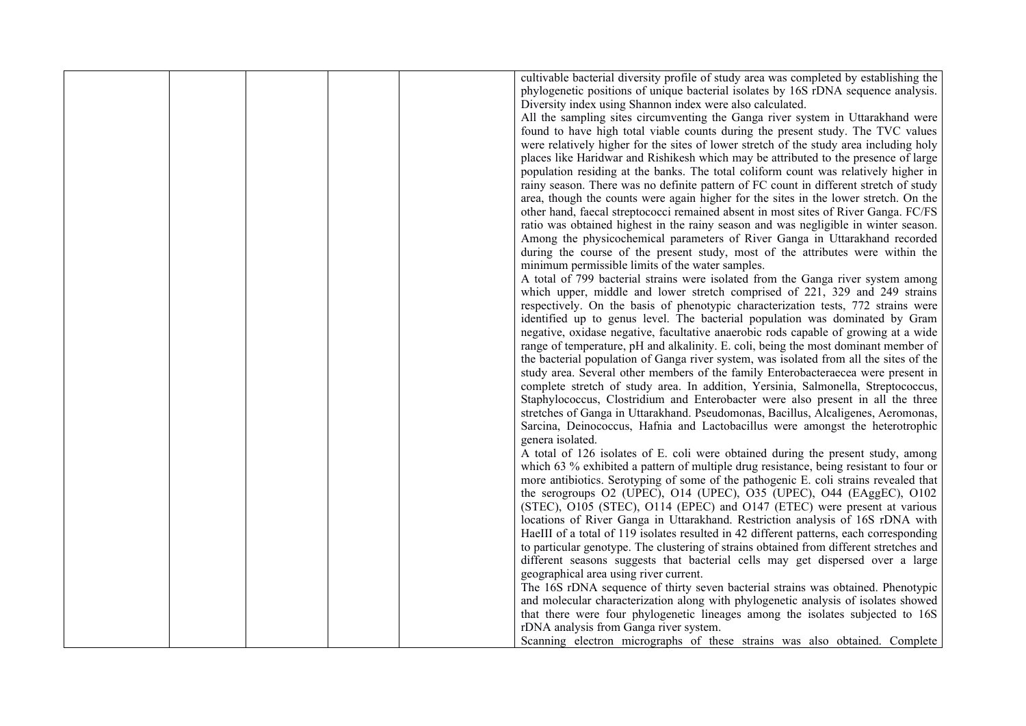|  | cultivable bacterial diversity profile of study area was completed by establishing the<br>phylogenetic positions of unique bacterial isolates by 16S rDNA sequence analysis. |  |
|--|------------------------------------------------------------------------------------------------------------------------------------------------------------------------------|--|
|  | Diversity index using Shannon index were also calculated.                                                                                                                    |  |
|  | All the sampling sites circumventing the Ganga river system in Uttarakhand were                                                                                              |  |
|  | found to have high total viable counts during the present study. The TVC values                                                                                              |  |
|  | were relatively higher for the sites of lower stretch of the study area including holy                                                                                       |  |
|  |                                                                                                                                                                              |  |
|  | places like Haridwar and Rishikesh which may be attributed to the presence of large                                                                                          |  |
|  | population residing at the banks. The total coliform count was relatively higher in                                                                                          |  |
|  | rainy season. There was no definite pattern of FC count in different stretch of study                                                                                        |  |
|  | area, though the counts were again higher for the sites in the lower stretch. On the                                                                                         |  |
|  | other hand, faecal streptococci remained absent in most sites of River Ganga. FC/FS                                                                                          |  |
|  | ratio was obtained highest in the rainy season and was negligible in winter season.                                                                                          |  |
|  | Among the physicochemical parameters of River Ganga in Uttarakhand recorded                                                                                                  |  |
|  | during the course of the present study, most of the attributes were within the                                                                                               |  |
|  | minimum permissible limits of the water samples.                                                                                                                             |  |
|  | A total of 799 bacterial strains were isolated from the Ganga river system among                                                                                             |  |
|  | which upper, middle and lower stretch comprised of 221, 329 and 249 strains                                                                                                  |  |
|  | respectively. On the basis of phenotypic characterization tests, 772 strains were                                                                                            |  |
|  | identified up to genus level. The bacterial population was dominated by Gram                                                                                                 |  |
|  | negative, oxidase negative, facultative anaerobic rods capable of growing at a wide                                                                                          |  |
|  | range of temperature, pH and alkalinity. E. coli, being the most dominant member of                                                                                          |  |
|  | the bacterial population of Ganga river system, was isolated from all the sites of the                                                                                       |  |
|  | study area. Several other members of the family Enterobacteraecea were present in                                                                                            |  |
|  | complete stretch of study area. In addition, Yersinia, Salmonella, Streptococcus,                                                                                            |  |
|  | Staphylococcus, Clostridium and Enterobacter were also present in all the three                                                                                              |  |
|  | stretches of Ganga in Uttarakhand. Pseudomonas, Bacillus, Alcaligenes, Aeromonas,                                                                                            |  |
|  | Sarcina, Deinococcus, Hafnia and Lactobacillus were amongst the heterotrophic                                                                                                |  |
|  | genera isolated.                                                                                                                                                             |  |
|  | A total of 126 isolates of E. coli were obtained during the present study, among                                                                                             |  |
|  | which 63 % exhibited a pattern of multiple drug resistance, being resistant to four or                                                                                       |  |
|  | more antibiotics. Serotyping of some of the pathogenic E. coli strains revealed that                                                                                         |  |
|  | the serogroups O2 (UPEC), O14 (UPEC), O35 (UPEC), O44 (EAggEC), O102                                                                                                         |  |
|  | (STEC), O105 (STEC), O114 (EPEC) and O147 (ETEC) were present at various                                                                                                     |  |
|  | locations of River Ganga in Uttarakhand. Restriction analysis of 16S rDNA with                                                                                               |  |
|  | HaeIII of a total of 119 isolates resulted in 42 different patterns, each corresponding                                                                                      |  |
|  | to particular genotype. The clustering of strains obtained from different stretches and                                                                                      |  |
|  | different seasons suggests that bacterial cells may get dispersed over a large                                                                                               |  |
|  | geographical area using river current.                                                                                                                                       |  |
|  | The 16S rDNA sequence of thirty seven bacterial strains was obtained. Phenotypic                                                                                             |  |
|  | and molecular characterization along with phylogenetic analysis of isolates showed                                                                                           |  |
|  | that there were four phylogenetic lineages among the isolates subjected to 16S                                                                                               |  |
|  | rDNA analysis from Ganga river system.                                                                                                                                       |  |
|  | Scanning electron micrographs of these strains was also obtained. Complete                                                                                                   |  |
|  |                                                                                                                                                                              |  |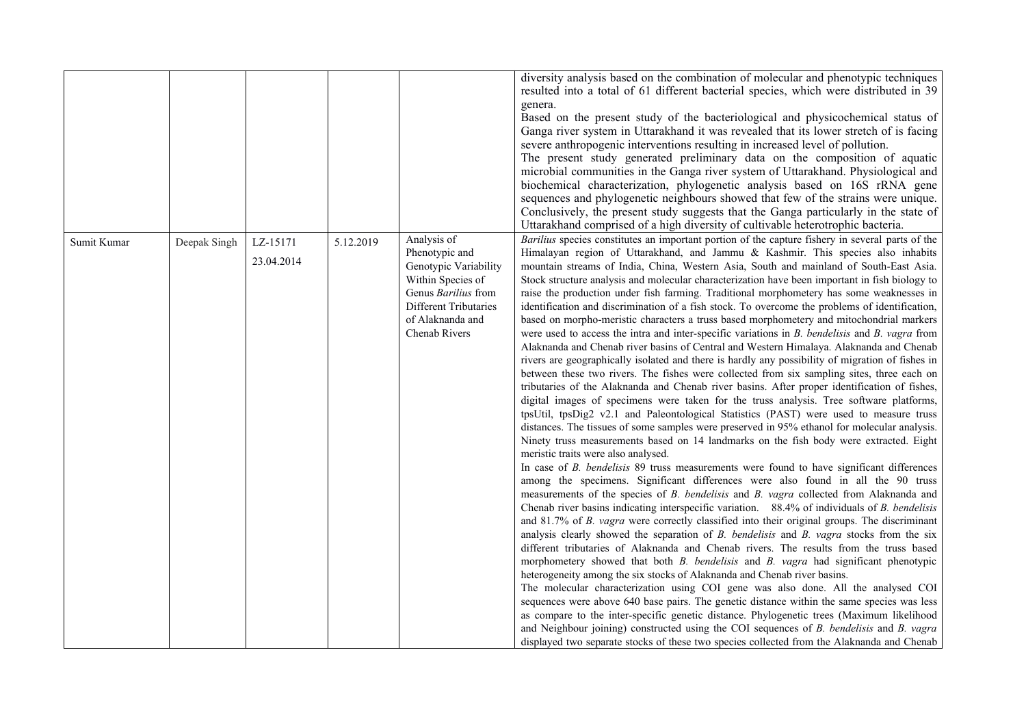|             |              |            |           |                                            | diversity analysis based on the combination of molecular and phenotypic techniques<br>resulted into a total of 61 different bacterial species, which were distributed in 39<br>genera.<br>Based on the present study of the bacteriological and physicochemical status of<br>Ganga river system in Uttarakhand it was revealed that its lower stretch of is facing<br>severe anthropogenic interventions resulting in increased level of pollution.<br>The present study generated preliminary data on the composition of aquatic<br>microbial communities in the Ganga river system of Uttarakhand. Physiological and<br>biochemical characterization, phylogenetic analysis based on 16S rRNA gene<br>sequences and phylogenetic neighbours showed that few of the strains were unique.<br>Conclusively, the present study suggests that the Ganga particularly in the state of<br>Uttarakhand comprised of a high diversity of cultivable heterotrophic bacteria. |
|-------------|--------------|------------|-----------|--------------------------------------------|----------------------------------------------------------------------------------------------------------------------------------------------------------------------------------------------------------------------------------------------------------------------------------------------------------------------------------------------------------------------------------------------------------------------------------------------------------------------------------------------------------------------------------------------------------------------------------------------------------------------------------------------------------------------------------------------------------------------------------------------------------------------------------------------------------------------------------------------------------------------------------------------------------------------------------------------------------------------|
| Sumit Kumar | Deepak Singh | LZ-15171   | 5.12.2019 | Analysis of                                | Barilius species constitutes an important portion of the capture fishery in several parts of the                                                                                                                                                                                                                                                                                                                                                                                                                                                                                                                                                                                                                                                                                                                                                                                                                                                                     |
|             |              | 23.04.2014 |           | Phenotypic and                             | Himalayan region of Uttarakhand, and Jammu & Kashmir. This species also inhabits                                                                                                                                                                                                                                                                                                                                                                                                                                                                                                                                                                                                                                                                                                                                                                                                                                                                                     |
|             |              |            |           | Genotypic Variability<br>Within Species of | mountain streams of India, China, Western Asia, South and mainland of South-East Asia.<br>Stock structure analysis and molecular characterization have been important in fish biology to                                                                                                                                                                                                                                                                                                                                                                                                                                                                                                                                                                                                                                                                                                                                                                             |
|             |              |            |           | Genus Barilius from                        | raise the production under fish farming. Traditional morphometery has some weaknesses in                                                                                                                                                                                                                                                                                                                                                                                                                                                                                                                                                                                                                                                                                                                                                                                                                                                                             |
|             |              |            |           | <b>Different Tributaries</b>               | identification and discrimination of a fish stock. To overcome the problems of identification,                                                                                                                                                                                                                                                                                                                                                                                                                                                                                                                                                                                                                                                                                                                                                                                                                                                                       |
|             |              |            |           | of Alaknanda and                           | based on morpho-meristic characters a truss based morphometery and mitochondrial markers                                                                                                                                                                                                                                                                                                                                                                                                                                                                                                                                                                                                                                                                                                                                                                                                                                                                             |
|             |              |            |           | Chenab Rivers                              | were used to access the intra and inter-specific variations in $B$ . bendelisis and $B$ . vagra from                                                                                                                                                                                                                                                                                                                                                                                                                                                                                                                                                                                                                                                                                                                                                                                                                                                                 |
|             |              |            |           |                                            | Alaknanda and Chenab river basins of Central and Western Himalaya. Alaknanda and Chenab                                                                                                                                                                                                                                                                                                                                                                                                                                                                                                                                                                                                                                                                                                                                                                                                                                                                              |
|             |              |            |           |                                            | rivers are geographically isolated and there is hardly any possibility of migration of fishes in                                                                                                                                                                                                                                                                                                                                                                                                                                                                                                                                                                                                                                                                                                                                                                                                                                                                     |
|             |              |            |           |                                            | between these two rivers. The fishes were collected from six sampling sites, three each on                                                                                                                                                                                                                                                                                                                                                                                                                                                                                                                                                                                                                                                                                                                                                                                                                                                                           |
|             |              |            |           |                                            | tributaries of the Alaknanda and Chenab river basins. After proper identification of fishes,                                                                                                                                                                                                                                                                                                                                                                                                                                                                                                                                                                                                                                                                                                                                                                                                                                                                         |
|             |              |            |           |                                            | digital images of specimens were taken for the truss analysis. Tree software platforms,<br>tpsUtil, tpsDig2 v2.1 and Paleontological Statistics (PAST) were used to measure truss                                                                                                                                                                                                                                                                                                                                                                                                                                                                                                                                                                                                                                                                                                                                                                                    |
|             |              |            |           |                                            | distances. The tissues of some samples were preserved in 95% ethanol for molecular analysis.                                                                                                                                                                                                                                                                                                                                                                                                                                                                                                                                                                                                                                                                                                                                                                                                                                                                         |
|             |              |            |           |                                            | Ninety truss measurements based on 14 landmarks on the fish body were extracted. Eight                                                                                                                                                                                                                                                                                                                                                                                                                                                                                                                                                                                                                                                                                                                                                                                                                                                                               |
|             |              |            |           |                                            | meristic traits were also analysed.                                                                                                                                                                                                                                                                                                                                                                                                                                                                                                                                                                                                                                                                                                                                                                                                                                                                                                                                  |
|             |              |            |           |                                            | In case of <i>B. bendelisis</i> 89 truss measurements were found to have significant differences                                                                                                                                                                                                                                                                                                                                                                                                                                                                                                                                                                                                                                                                                                                                                                                                                                                                     |
|             |              |            |           |                                            | among the specimens. Significant differences were also found in all the 90 truss                                                                                                                                                                                                                                                                                                                                                                                                                                                                                                                                                                                                                                                                                                                                                                                                                                                                                     |
|             |              |            |           |                                            | measurements of the species of <i>B. bendelisis</i> and <i>B. vagra</i> collected from Alaknanda and                                                                                                                                                                                                                                                                                                                                                                                                                                                                                                                                                                                                                                                                                                                                                                                                                                                                 |
|             |              |            |           |                                            | Chenab river basins indicating interspecific variation. 88.4% of individuals of <i>B</i> . bendelisis                                                                                                                                                                                                                                                                                                                                                                                                                                                                                                                                                                                                                                                                                                                                                                                                                                                                |
|             |              |            |           |                                            | and 81.7% of <i>B. vagra</i> were correctly classified into their original groups. The discriminant                                                                                                                                                                                                                                                                                                                                                                                                                                                                                                                                                                                                                                                                                                                                                                                                                                                                  |
|             |              |            |           |                                            | analysis clearly showed the separation of $B$ . <i>bendelisis</i> and $B$ . <i>vagra</i> stocks from the six                                                                                                                                                                                                                                                                                                                                                                                                                                                                                                                                                                                                                                                                                                                                                                                                                                                         |
|             |              |            |           |                                            | different tributaries of Alaknanda and Chenab rivers. The results from the truss based                                                                                                                                                                                                                                                                                                                                                                                                                                                                                                                                                                                                                                                                                                                                                                                                                                                                               |
|             |              |            |           |                                            | morphometery showed that both <i>B</i> . <i>bendelisis</i> and <i>B</i> . <i>vagra</i> had significant phenotypic                                                                                                                                                                                                                                                                                                                                                                                                                                                                                                                                                                                                                                                                                                                                                                                                                                                    |
|             |              |            |           |                                            | heterogeneity among the six stocks of Alaknanda and Chenab river basins.<br>The molecular characterization using COI gene was also done. All the analysed COI                                                                                                                                                                                                                                                                                                                                                                                                                                                                                                                                                                                                                                                                                                                                                                                                        |
|             |              |            |           |                                            | sequences were above 640 base pairs. The genetic distance within the same species was less                                                                                                                                                                                                                                                                                                                                                                                                                                                                                                                                                                                                                                                                                                                                                                                                                                                                           |
|             |              |            |           |                                            | as compare to the inter-specific genetic distance. Phylogenetic trees (Maximum likelihood                                                                                                                                                                                                                                                                                                                                                                                                                                                                                                                                                                                                                                                                                                                                                                                                                                                                            |
|             |              |            |           |                                            | and Neighbour joining) constructed using the COI sequences of B. bendelisis and B. vagra                                                                                                                                                                                                                                                                                                                                                                                                                                                                                                                                                                                                                                                                                                                                                                                                                                                                             |
|             |              |            |           |                                            | displayed two separate stocks of these two species collected from the Alaknanda and Chenab                                                                                                                                                                                                                                                                                                                                                                                                                                                                                                                                                                                                                                                                                                                                                                                                                                                                           |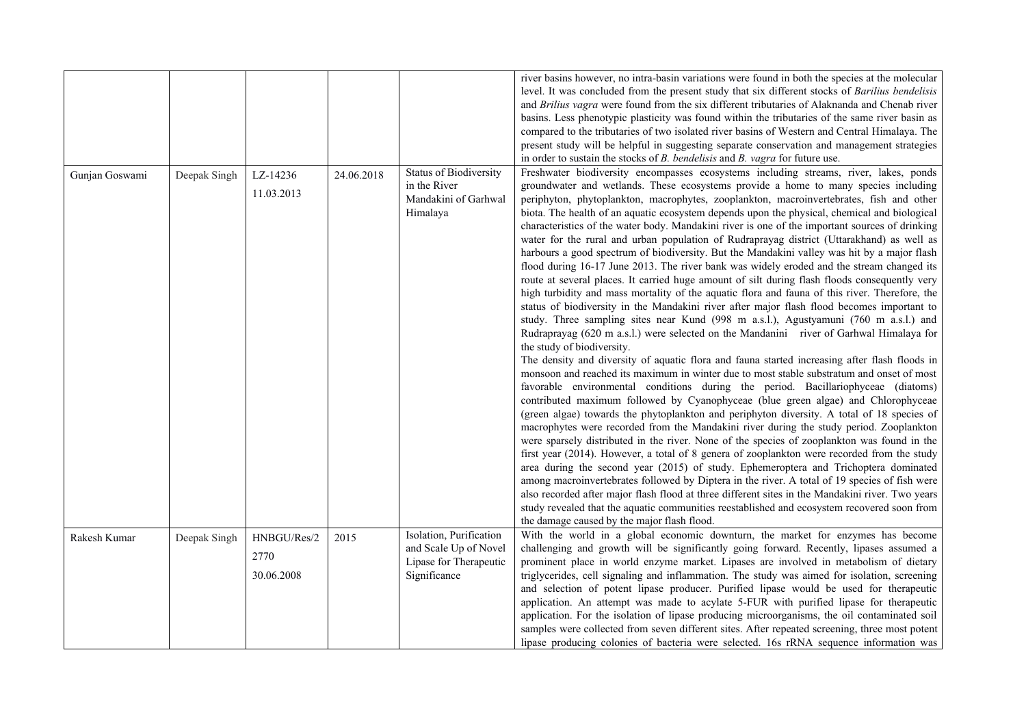|                |              |             |            |                               | river basins however, no intra-basin variations were found in both the species at the molecular<br>level. It was concluded from the present study that six different stocks of Barilius bendelisis |
|----------------|--------------|-------------|------------|-------------------------------|----------------------------------------------------------------------------------------------------------------------------------------------------------------------------------------------------|
|                |              |             |            |                               | and Brilius vagra were found from the six different tributaries of Alaknanda and Chenab river                                                                                                      |
|                |              |             |            |                               | basins. Less phenotypic plasticity was found within the tributaries of the same river basin as                                                                                                     |
|                |              |             |            |                               | compared to the tributaries of two isolated river basins of Western and Central Himalaya. The                                                                                                      |
|                |              |             |            |                               | present study will be helpful in suggesting separate conservation and management strategies                                                                                                        |
|                |              |             |            |                               | in order to sustain the stocks of $B$ . <i>bendelisis</i> and $B$ . <i>vagra</i> for future use.                                                                                                   |
| Gunjan Goswami | Deepak Singh | LZ-14236    | 24.06.2018 | <b>Status of Biodiversity</b> | Freshwater biodiversity encompasses ecosystems including streams, river, lakes, ponds                                                                                                              |
|                |              | 11.03.2013  |            | in the River                  | groundwater and wetlands. These ecosystems provide a home to many species including                                                                                                                |
|                |              |             |            | Mandakini of Garhwal          | periphyton, phytoplankton, macrophytes, zooplankton, macroinvertebrates, fish and other                                                                                                            |
|                |              |             |            | Himalaya                      | biota. The health of an aquatic ecosystem depends upon the physical, chemical and biological                                                                                                       |
|                |              |             |            |                               | characteristics of the water body. Mandakini river is one of the important sources of drinking                                                                                                     |
|                |              |             |            |                               | water for the rural and urban population of Rudraprayag district (Uttarakhand) as well as                                                                                                          |
|                |              |             |            |                               | harbours a good spectrum of biodiversity. But the Mandakini valley was hit by a major flash                                                                                                        |
|                |              |             |            |                               | flood during 16-17 June 2013. The river bank was widely eroded and the stream changed its                                                                                                          |
|                |              |             |            |                               | route at several places. It carried huge amount of silt during flash floods consequently very                                                                                                      |
|                |              |             |            |                               | high turbidity and mass mortality of the aquatic flora and fauna of this river. Therefore, the                                                                                                     |
|                |              |             |            |                               | status of biodiversity in the Mandakini river after major flash flood becomes important to                                                                                                         |
|                |              |             |            |                               | study. Three sampling sites near Kund (998 m a.s.l.), Agustyamuni (760 m a.s.l.) and                                                                                                               |
|                |              |             |            |                               | Rudraprayag (620 m a.s.l.) were selected on the Mandanini river of Garhwal Himalaya for                                                                                                            |
|                |              |             |            |                               | the study of biodiversity.                                                                                                                                                                         |
|                |              |             |            |                               | The density and diversity of aquatic flora and fauna started increasing after flash floods in                                                                                                      |
|                |              |             |            |                               | monsoon and reached its maximum in winter due to most stable substratum and onset of most                                                                                                          |
|                |              |             |            |                               | favorable environmental conditions during the period. Bacillariophyceae (diatoms)                                                                                                                  |
|                |              |             |            |                               | contributed maximum followed by Cyanophyceae (blue green algae) and Chlorophyceae                                                                                                                  |
|                |              |             |            |                               | (green algae) towards the phytoplankton and periphyton diversity. A total of 18 species of                                                                                                         |
|                |              |             |            |                               | macrophytes were recorded from the Mandakini river during the study period. Zooplankton                                                                                                            |
|                |              |             |            |                               | were sparsely distributed in the river. None of the species of zooplankton was found in the                                                                                                        |
|                |              |             |            |                               | first year (2014). However, a total of 8 genera of zooplankton were recorded from the study                                                                                                        |
|                |              |             |            |                               | area during the second year (2015) of study. Ephemeroptera and Trichoptera dominated                                                                                                               |
|                |              |             |            |                               | among macroinvertebrates followed by Diptera in the river. A total of 19 species of fish were                                                                                                      |
|                |              |             |            |                               | also recorded after major flash flood at three different sites in the Mandakini river. Two years                                                                                                   |
|                |              |             |            |                               | study revealed that the aquatic communities reestablished and ecosystem recovered soon from                                                                                                        |
|                |              |             |            |                               | the damage caused by the major flash flood.                                                                                                                                                        |
| Rakesh Kumar   | Deepak Singh | HNBGU/Res/2 | 2015       | Isolation, Purification       | With the world in a global economic downturn, the market for enzymes has become                                                                                                                    |
|                |              | 2770        |            | and Scale Up of Novel         | challenging and growth will be significantly going forward. Recently, lipases assumed a                                                                                                            |
|                |              |             |            | Lipase for Therapeutic        | prominent place in world enzyme market. Lipases are involved in metabolism of dietary                                                                                                              |
|                |              | 30.06.2008  |            | Significance                  | triglycerides, cell signaling and inflammation. The study was aimed for isolation, screening                                                                                                       |
|                |              |             |            |                               | and selection of potent lipase producer. Purified lipase would be used for therapeutic                                                                                                             |
|                |              |             |            |                               | application. An attempt was made to acylate 5-FUR with purified lipase for therapeutic                                                                                                             |
|                |              |             |            |                               | application. For the isolation of lipase producing microorganisms, the oil contaminated soil                                                                                                       |
|                |              |             |            |                               | samples were collected from seven different sites. After repeated screening, three most potent                                                                                                     |
|                |              |             |            |                               | lipase producing colonies of bacteria were selected. 16s rRNA sequence information was                                                                                                             |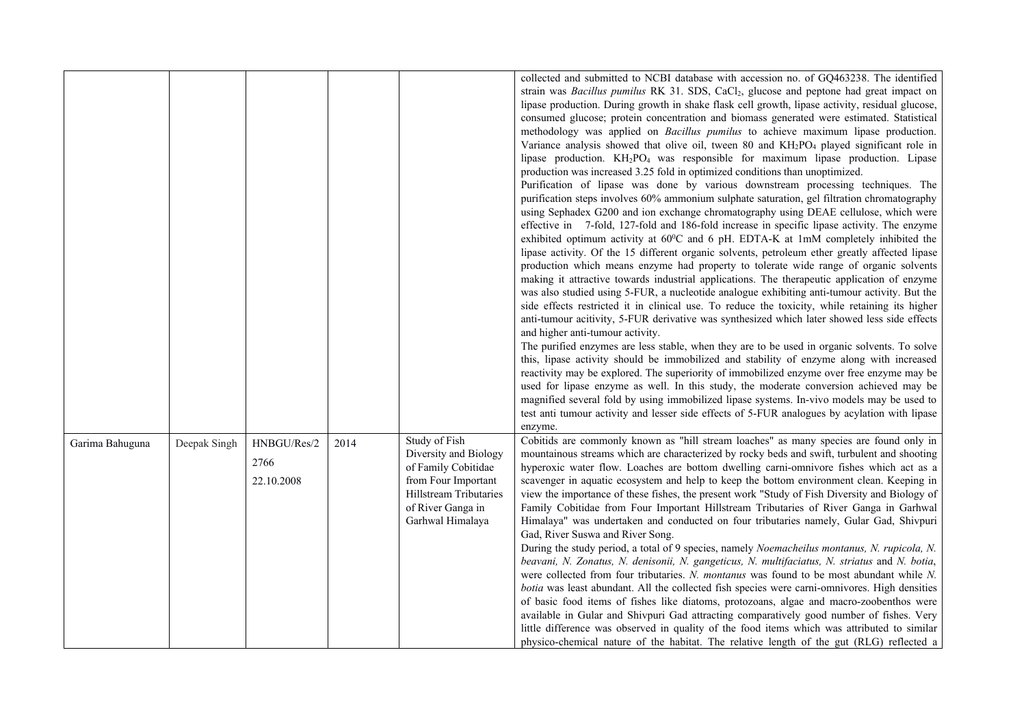|                 |              |                                   |      |                                                                                                                                                         | collected and submitted to NCBI database with accession no. of GQ463238. The identified<br>strain was Bacillus pumilus RK 31. SDS, CaCl <sub>2</sub> , glucose and peptone had great impact on<br>lipase production. During growth in shake flask cell growth, lipase activity, residual glucose,<br>consumed glucose; protein concentration and biomass generated were estimated. Statistical<br>methodology was applied on <i>Bacillus pumilus</i> to achieve maximum lipase production.<br>Variance analysis showed that olive oil, tween 80 and KH2PO <sub>4</sub> played significant role in<br>lipase production. KH <sub>2</sub> PO <sub>4</sub> was responsible for maximum lipase production. Lipase<br>production was increased 3.25 fold in optimized conditions than unoptimized.<br>Purification of lipase was done by various downstream processing techniques. The<br>purification steps involves 60% ammonium sulphate saturation, gel filtration chromatography<br>using Sephadex G200 and ion exchange chromatography using DEAE cellulose, which were<br>effective in 7-fold, 127-fold and 186-fold increase in specific lipase activity. The enzyme<br>exhibited optimum activity at 60°C and 6 pH. EDTA-K at 1mM completely inhibited the<br>lipase activity. Of the 15 different organic solvents, petroleum ether greatly affected lipase<br>production which means enzyme had property to tolerate wide range of organic solvents<br>making it attractive towards industrial applications. The therapeutic application of enzyme<br>was also studied using 5-FUR, a nucleotide analogue exhibiting anti-tumour activity. But the<br>side effects restricted it in clinical use. To reduce the toxicity, while retaining its higher<br>anti-tumour acitivity, 5-FUR derivative was synthesized which later showed less side effects<br>and higher anti-tumour activity.<br>The purified enzymes are less stable, when they are to be used in organic solvents. To solve<br>this, lipase activity should be immobilized and stability of enzyme along with increased<br>reactivity may be explored. The superiority of immobilized enzyme over free enzyme may be<br>used for lipase enzyme as well. In this study, the moderate conversion achieved may be<br>magnified several fold by using immobilized lipase systems. In-vivo models may be used to<br>test anti tumour activity and lesser side effects of 5-FUR analogues by acylation with lipase<br>enzyme. |
|-----------------|--------------|-----------------------------------|------|---------------------------------------------------------------------------------------------------------------------------------------------------------|--------------------------------------------------------------------------------------------------------------------------------------------------------------------------------------------------------------------------------------------------------------------------------------------------------------------------------------------------------------------------------------------------------------------------------------------------------------------------------------------------------------------------------------------------------------------------------------------------------------------------------------------------------------------------------------------------------------------------------------------------------------------------------------------------------------------------------------------------------------------------------------------------------------------------------------------------------------------------------------------------------------------------------------------------------------------------------------------------------------------------------------------------------------------------------------------------------------------------------------------------------------------------------------------------------------------------------------------------------------------------------------------------------------------------------------------------------------------------------------------------------------------------------------------------------------------------------------------------------------------------------------------------------------------------------------------------------------------------------------------------------------------------------------------------------------------------------------------------------------------------------------------------------------------------------------------------------------------------------------------------------------------------------------------------------------------------------------------------------------------------------------------------------------------------------------------------------------------------------------------------------------------------------------------------------------------------------------------------------------------------------------------------------------------------------------------------------------------------------------------|
| Garima Bahuguna | Deepak Singh | HNBGU/Res/2<br>2766<br>22.10.2008 | 2014 | Study of Fish<br>Diversity and Biology<br>of Family Cobitidae<br>from Four Important<br>Hillstream Tributaries<br>of River Ganga in<br>Garhwal Himalaya | Cobitids are commonly known as "hill stream loaches" as many species are found only in<br>mountainous streams which are characterized by rocky beds and swift, turbulent and shooting<br>hyperoxic water flow. Loaches are bottom dwelling carni-omnivore fishes which act as a<br>scavenger in aquatic ecosystem and help to keep the bottom environment clean. Keeping in<br>view the importance of these fishes, the present work "Study of Fish Diversity and Biology of<br>Family Cobitidae from Four Important Hillstream Tributaries of River Ganga in Garhwal<br>Himalaya" was undertaken and conducted on four tributaries namely, Gular Gad, Shivpuri<br>Gad, River Suswa and River Song.<br>During the study period, a total of 9 species, namely Noemacheilus montanus, N. rupicola, N.<br>beavani, N. Zonatus, N. denisonii, N. gangeticus, N. multifaciatus, N. striatus and N. botia,<br>were collected from four tributaries. N. montanus was found to be most abundant while N.<br>botia was least abundant. All the collected fish species were carni-omnivores. High densities<br>of basic food items of fishes like diatoms, protozoans, algae and macro-zoobenthos were<br>available in Gular and Shivpuri Gad attracting comparatively good number of fishes. Very<br>little difference was observed in quality of the food items which was attributed to similar<br>physico-chemical nature of the habitat. The relative length of the gut (RLG) reflected a                                                                                                                                                                                                                                                                                                                                                                                                                                                                                                                                                                                                                                                                                                                                                                                                                                                                                                                                                                                                        |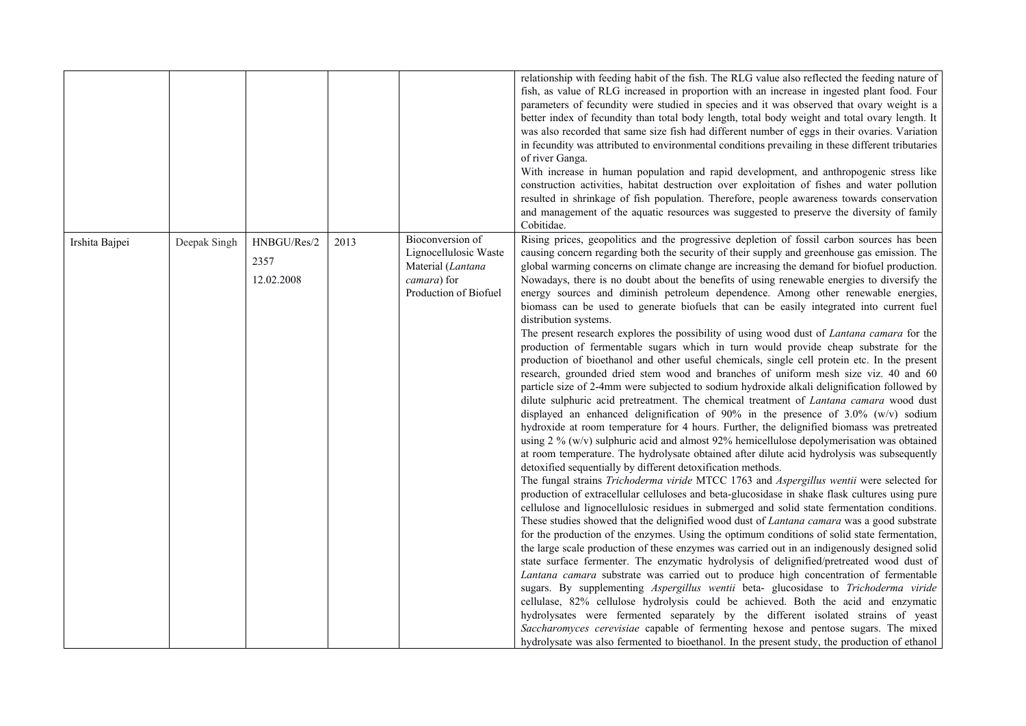| of river Ganga.<br>Cobitidae.<br>Bioconversion of<br>Irshita Bajpei<br>HNBGU/Res/2<br>2013<br>Deepak Singh<br>Lignocellulosic Waste<br>2357<br>Material (Lantana<br>12.02.2008<br>camara) for<br>Production of Biofuel<br>distribution systems.<br>detoxified sequentially by different detoxification methods. |  |  |                                                                                                                                                                                                                                                                                                                                                                                                                                                                                                                                                                                                                                                                                                                                                                                                                                                                                                                                                                                                                                                                                                                                                                                                                                                                                                                                                                                                                                                                                                                                                                                                                                                                                                                                                                                                                                                                                                                                                                                                                                                                                                                                                                                                                                                                                                                                                                                                                                                                                                                                                                                                                                                                                                                                                                                      |
|-----------------------------------------------------------------------------------------------------------------------------------------------------------------------------------------------------------------------------------------------------------------------------------------------------------------|--|--|--------------------------------------------------------------------------------------------------------------------------------------------------------------------------------------------------------------------------------------------------------------------------------------------------------------------------------------------------------------------------------------------------------------------------------------------------------------------------------------------------------------------------------------------------------------------------------------------------------------------------------------------------------------------------------------------------------------------------------------------------------------------------------------------------------------------------------------------------------------------------------------------------------------------------------------------------------------------------------------------------------------------------------------------------------------------------------------------------------------------------------------------------------------------------------------------------------------------------------------------------------------------------------------------------------------------------------------------------------------------------------------------------------------------------------------------------------------------------------------------------------------------------------------------------------------------------------------------------------------------------------------------------------------------------------------------------------------------------------------------------------------------------------------------------------------------------------------------------------------------------------------------------------------------------------------------------------------------------------------------------------------------------------------------------------------------------------------------------------------------------------------------------------------------------------------------------------------------------------------------------------------------------------------------------------------------------------------------------------------------------------------------------------------------------------------------------------------------------------------------------------------------------------------------------------------------------------------------------------------------------------------------------------------------------------------------------------------------------------------------------------------------------------------|
|                                                                                                                                                                                                                                                                                                                 |  |  | relationship with feeding habit of the fish. The RLG value also reflected the feeding nature of<br>fish, as value of RLG increased in proportion with an increase in ingested plant food. Four<br>parameters of fecundity were studied in species and it was observed that ovary weight is a<br>better index of fecundity than total body length, total body weight and total ovary length. It<br>was also recorded that same size fish had different number of eggs in their ovaries. Variation<br>in fecundity was attributed to environmental conditions prevailing in these different tributaries<br>With increase in human population and rapid development, and anthropogenic stress like<br>construction activities, habitat destruction over exploitation of fishes and water pollution<br>resulted in shrinkage of fish population. Therefore, people awareness towards conservation<br>and management of the aquatic resources was suggested to preserve the diversity of family                                                                                                                                                                                                                                                                                                                                                                                                                                                                                                                                                                                                                                                                                                                                                                                                                                                                                                                                                                                                                                                                                                                                                                                                                                                                                                                                                                                                                                                                                                                                                                                                                                                                                                                                                                                           |
|                                                                                                                                                                                                                                                                                                                 |  |  | Rising prices, geopolitics and the progressive depletion of fossil carbon sources has been<br>causing concern regarding both the security of their supply and greenhouse gas emission. The<br>global warming concerns on climate change are increasing the demand for biofuel production.<br>Nowadays, there is no doubt about the benefits of using renewable energies to diversify the<br>energy sources and diminish petroleum dependence. Among other renewable energies,<br>biomass can be used to generate biofuels that can be easily integrated into current fuel<br>The present research explores the possibility of using wood dust of <i>Lantana camara</i> for the<br>production of fermentable sugars which in turn would provide cheap substrate for the<br>production of bioethanol and other useful chemicals, single cell protein etc. In the present<br>research, grounded dried stem wood and branches of uniform mesh size viz. 40 and 60<br>particle size of 2-4mm were subjected to sodium hydroxide alkali delignification followed by<br>dilute sulphuric acid pretreatment. The chemical treatment of Lantana camara wood dust<br>displayed an enhanced delignification of 90% in the presence of 3.0% (w/v) sodium<br>hydroxide at room temperature for 4 hours. Further, the delignified biomass was pretreated<br>using $2\%$ (w/v) sulphuric acid and almost 92% hemicellulose depolymerisation was obtained<br>at room temperature. The hydrolysate obtained after dilute acid hydrolysis was subsequently<br>The fungal strains Trichoderma viride MTCC 1763 and Aspergillus wentii were selected for<br>production of extracellular celluloses and beta-glucosidase in shake flask cultures using pure<br>cellulose and lignocellulosic residues in submerged and solid state fermentation conditions.<br>These studies showed that the delignified wood dust of Lantana camara was a good substrate<br>for the production of the enzymes. Using the optimum conditions of solid state fermentation,<br>the large scale production of these enzymes was carried out in an indigenously designed solid<br>state surface fermenter. The enzymatic hydrolysis of delignified/pretreated wood dust of<br>Lantana camara substrate was carried out to produce high concentration of fermentable<br>sugars. By supplementing Aspergillus wentii beta- glucosidase to Trichoderma viride<br>cellulase, 82% cellulose hydrolysis could be achieved. Both the acid and enzymatic<br>hydrolysates were fermented separately by the different isolated strains of yeast<br>Saccharomyces cerevisiae capable of fermenting hexose and pentose sugars. The mixed<br>hydrolysate was also fermented to bioethanol. In the present study, the production of ethanol |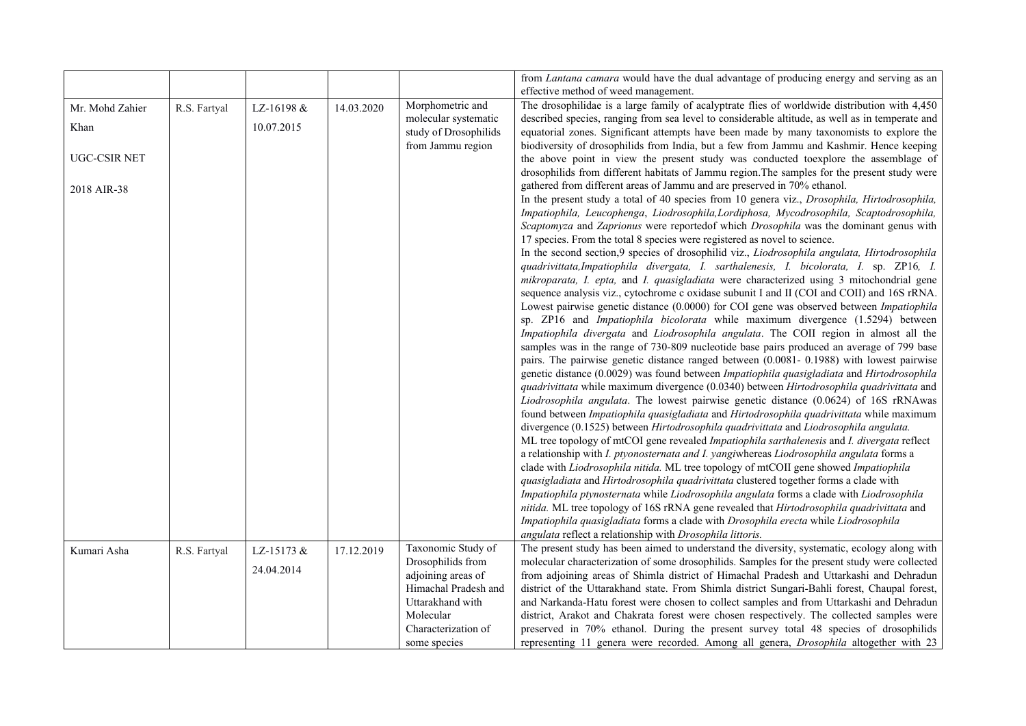|                     |              |            |            |                       | from <i>Lantana camara</i> would have the dual advantage of producing energy and serving as an         |
|---------------------|--------------|------------|------------|-----------------------|--------------------------------------------------------------------------------------------------------|
|                     |              |            |            |                       | effective method of weed management.                                                                   |
| Mr. Mohd Zahier     | R.S. Fartyal | LZ-16198 & | 14.03.2020 | Morphometric and      | The drosophilidae is a large family of acalyptrate flies of worldwide distribution with 4,450          |
| Khan                |              | 10.07.2015 |            | molecular systematic  | described species, ranging from sea level to considerable altitude, as well as in temperate and        |
|                     |              |            |            | study of Drosophilids | equatorial zones. Significant attempts have been made by many taxonomists to explore the               |
|                     |              |            |            | from Jammu region     | biodiversity of drosophilids from India, but a few from Jammu and Kashmir. Hence keeping               |
| <b>UGC-CSIR NET</b> |              |            |            |                       | the above point in view the present study was conducted toexplore the assemblage of                    |
|                     |              |            |            |                       | drosophilids from different habitats of Jammu region. The samples for the present study were           |
| 2018 AIR-38         |              |            |            |                       | gathered from different areas of Jammu and are preserved in 70% ethanol.                               |
|                     |              |            |            |                       | In the present study a total of 40 species from 10 genera viz., Drosophila, Hirtodrosophila,           |
|                     |              |            |            |                       | Impatiophila, Leucophenga, Liodrosophila, Lordiphosa, Mycodrosophila, Scaptodrosophila,                |
|                     |              |            |            |                       | Scaptomyza and Zaprionus were reported of which Drosophila was the dominant genus with                 |
|                     |              |            |            |                       | 17 species. From the total 8 species were registered as novel to science.                              |
|                     |              |            |            |                       | In the second section,9 species of drosophilid viz., Liodrosophila angulata, Hirtodrosophila           |
|                     |              |            |            |                       | quadrivittata, Impatiophila divergata, I. sarthalenesis, I. bicolorata, I. sp. ZP16, I.                |
|                     |              |            |            |                       | mikroparata, I. epta, and I. quasigladiata were characterized using 3 mitochondrial gene               |
|                     |              |            |            |                       | sequence analysis viz., cytochrome c oxidase subunit I and II (COI and COII) and 16S rRNA.             |
|                     |              |            |            |                       | Lowest pairwise genetic distance (0.0000) for COI gene was observed between Impatiophila               |
|                     |              |            |            |                       | sp. ZP16 and <i>Impatiophila bicolorata</i> while maximum divergence (1.5294) between                  |
|                     |              |            |            |                       | Impatiophila divergata and Liodrosophila angulata. The COII region in almost all the                   |
|                     |              |            |            |                       | samples was in the range of 730-809 nucleotide base pairs produced an average of 799 base              |
|                     |              |            |            |                       | pairs. The pairwise genetic distance ranged between (0.0081- 0.1988) with lowest pairwise              |
|                     |              |            |            |                       | genetic distance (0.0029) was found between Impatiophila quasigladiata and Hirtodrosophila             |
|                     |              |            |            |                       | quadrivittata while maximum divergence (0.0340) between Hirtodrosophila quadrivittata and              |
|                     |              |            |            |                       | Liodrosophila angulata. The lowest pairwise genetic distance (0.0624) of 16S rRNAwas                   |
|                     |              |            |            |                       | found between <i>Impatiophila quasigladiata</i> and <i>Hirtodrosophila quadrivittata</i> while maximum |
|                     |              |            |            |                       | divergence (0.1525) between Hirtodrosophila quadrivittata and Liodrosophila angulata.                  |
|                     |              |            |            |                       | ML tree topology of mtCOI gene revealed Impatiophila sarthalenesis and I. divergata reflect            |
|                     |              |            |            |                       | a relationship with I. ptyonosternata and I. yangiwhereas Liodrosophila angulata forms a               |
|                     |              |            |            |                       | clade with Liodrosophila nitida. ML tree topology of mtCOII gene showed Impatiophila                   |
|                     |              |            |            |                       | quasigladiata and Hirtodrosophila quadrivittata clustered together forms a clade with                  |
|                     |              |            |            |                       | Impatiophila ptynosternata while Liodrosophila angulata forms a clade with Liodrosophila               |
|                     |              |            |            |                       | nitida. ML tree topology of 16S rRNA gene revealed that Hirtodrosophila quadrivittata and              |
|                     |              |            |            |                       | Impatiophila quasigladiata forms a clade with Drosophila erecta while Liodrosophila                    |
|                     |              |            |            |                       | angulata reflect a relationship with Drosophila littoris.                                              |
| Kumari Asha         | R.S. Fartyal | LZ-15173 & | 17.12.2019 | Taxonomic Study of    | The present study has been aimed to understand the diversity, systematic, ecology along with           |
|                     |              |            |            | Drosophilids from     | molecular characterization of some drosophilids. Samples for the present study were collected          |
|                     |              | 24.04.2014 |            | adjoining areas of    | from adjoining areas of Shimla district of Himachal Pradesh and Uttarkashi and Dehradun                |
|                     |              |            |            | Himachal Pradesh and  | district of the Uttarakhand state. From Shimla district Sungari-Bahli forest, Chaupal forest,          |
|                     |              |            |            | Uttarakhand with      | and Narkanda-Hatu forest were chosen to collect samples and from Uttarkashi and Dehradun               |
|                     |              |            |            | Molecular             | district, Arakot and Chakrata forest were chosen respectively. The collected samples were              |
|                     |              |            |            | Characterization of   | preserved in 70% ethanol. During the present survey total 48 species of drosophilids                   |
|                     |              |            |            | some species          | representing 11 genera were recorded. Among all genera, <i>Drosophila</i> altogether with 23           |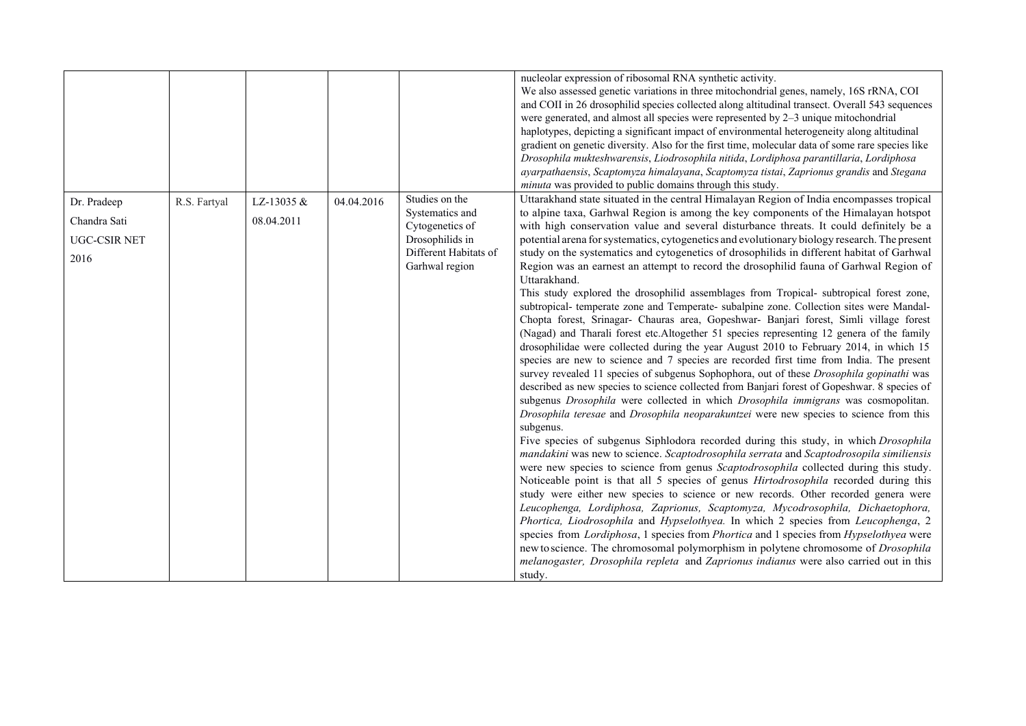|                     |              |            |            |                       | nucleolar expression of ribosomal RNA synthetic activity.                                             |
|---------------------|--------------|------------|------------|-----------------------|-------------------------------------------------------------------------------------------------------|
|                     |              |            |            |                       | We also assessed genetic variations in three mitochondrial genes, namely, 16S rRNA, COI               |
|                     |              |            |            |                       | and COII in 26 drosophilid species collected along altitudinal transect. Overall 543 sequences        |
|                     |              |            |            |                       | were generated, and almost all species were represented by 2-3 unique mitochondrial                   |
|                     |              |            |            |                       | haplotypes, depicting a significant impact of environmental heterogeneity along altitudinal           |
|                     |              |            |            |                       | gradient on genetic diversity. Also for the first time, molecular data of some rare species like      |
|                     |              |            |            |                       | Drosophila mukteshwarensis, Liodrosophila nitida, Lordiphosa parantillaria, Lordiphosa                |
|                     |              |            |            |                       | ayarpathaensis, Scaptomyza himalayana, Scaptomyza tistai, Zaprionus grandis and Stegana               |
|                     |              |            |            |                       | minuta was provided to public domains through this study.                                             |
| Dr. Pradeep         | R.S. Fartyal | LZ-13035 & | 04.04.2016 | Studies on the        | Uttarakhand state situated in the central Himalayan Region of India encompasses tropical              |
| Chandra Sati        |              | 08.04.2011 |            | Systematics and       | to alpine taxa, Garhwal Region is among the key components of the Himalayan hotspot                   |
|                     |              |            |            | Cytogenetics of       | with high conservation value and several disturbance threats. It could definitely be a                |
| <b>UGC-CSIR NET</b> |              |            |            | Drosophilids in       | potential arena for systematics, cytogenetics and evolutionary biology research. The present          |
| 2016                |              |            |            | Different Habitats of | study on the systematics and cytogenetics of drosophilids in different habitat of Garhwal             |
|                     |              |            |            | Garhwal region        | Region was an earnest an attempt to record the drosophilid fauna of Garhwal Region of<br>Uttarakhand. |
|                     |              |            |            |                       | This study explored the drosophilid assemblages from Tropical- subtropical forest zone,               |
|                     |              |            |            |                       | subtropical- temperate zone and Temperate- subalpine zone. Collection sites were Mandal-              |
|                     |              |            |            |                       | Chopta forest, Srinagar- Chauras area, Gopeshwar- Banjari forest, Simli village forest                |
|                     |              |            |            |                       | (Nagad) and Tharali forest etc.Altogether 51 species representing 12 genera of the family             |
|                     |              |            |            |                       | drosophilidae were collected during the year August 2010 to February 2014, in which 15                |
|                     |              |            |            |                       | species are new to science and 7 species are recorded first time from India. The present              |
|                     |              |            |            |                       | survey revealed 11 species of subgenus Sophophora, out of these <i>Drosophila gopinathi</i> was       |
|                     |              |            |            |                       | described as new species to science collected from Banjari forest of Gopeshwar. 8 species of          |
|                     |              |            |            |                       | subgenus Drosophila were collected in which Drosophila immigrans was cosmopolitan.                    |
|                     |              |            |            |                       | Drosophila teresae and Drosophila neoparakuntzei were new species to science from this                |
|                     |              |            |            |                       | subgenus.                                                                                             |
|                     |              |            |            |                       | Five species of subgenus Siphlodora recorded during this study, in which Drosophila                   |
|                     |              |            |            |                       | mandakini was new to science. Scaptodrosophila serrata and Scaptodrosopila similiensis                |
|                     |              |            |            |                       | were new species to science from genus Scaptodrosophila collected during this study.                  |
|                     |              |            |            |                       | Noticeable point is that all 5 species of genus <i>Hirtodrosophila</i> recorded during this           |
|                     |              |            |            |                       | study were either new species to science or new records. Other recorded genera were                   |
|                     |              |            |            |                       | Leucophenga, Lordiphosa, Zaprionus, Scaptomyza, Mycodrosophila, Dichaetophora,                        |
|                     |              |            |            |                       | Phortica, Liodrosophila and Hypselothyea. In which 2 species from Leucophenga, 2                      |
|                     |              |            |            |                       | species from Lordiphosa, 1 species from Phortica and 1 species from Hypselothyea were                 |
|                     |              |            |            |                       | new to science. The chromosomal polymorphism in polytene chromosome of Drosophila                     |
|                     |              |            |            |                       | melanogaster, Drosophila repleta and Zaprionus indianus were also carried out in this                 |
|                     |              |            |            |                       | study.                                                                                                |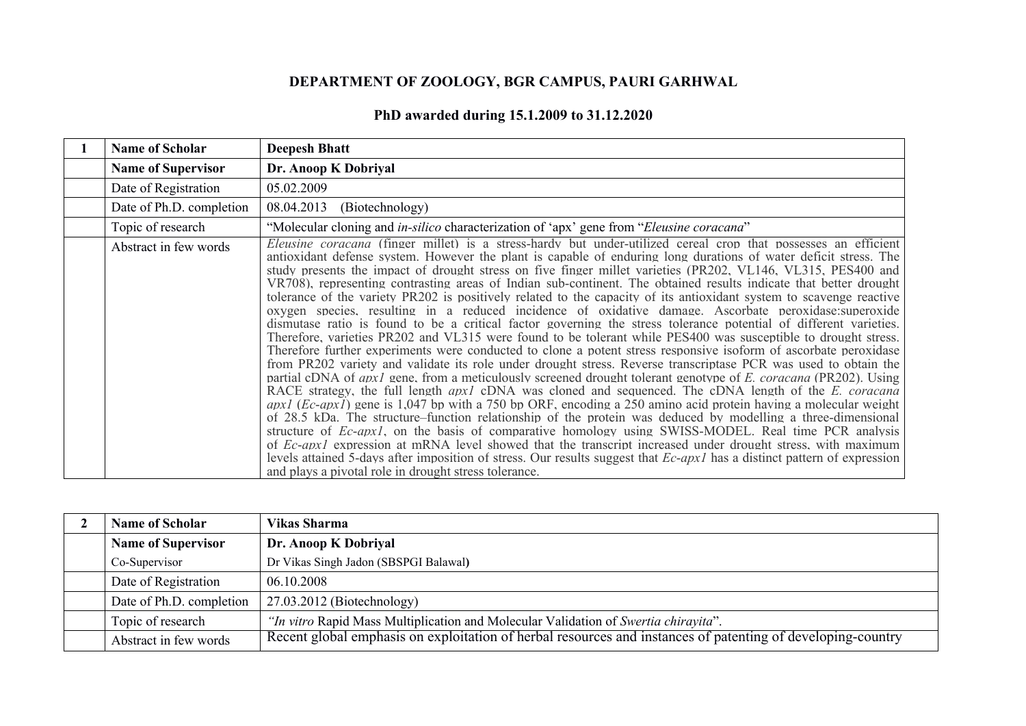## **DEPARTMENT OF ZOOLOGY, BGR CAMPUS, PAURI GARHWAL**

| PhD awarded during 15.1.2009 to 31.12.2020 |  |
|--------------------------------------------|--|
|--------------------------------------------|--|

| <b>Name of Scholar</b>    | <b>Deepesh Bhatt</b>                                                                                                                                                                                                                                                                                                                                                                                                                                                                                                                                                                                                                                                                                                                                                                                                                                                                                                                                                                                                                                                                                                                                                                                                                                                                                                                                                                                                                                                                                                                                                                                                                                                                                                                                                                                                                                                                                                                                                                                                                                                                                          |
|---------------------------|---------------------------------------------------------------------------------------------------------------------------------------------------------------------------------------------------------------------------------------------------------------------------------------------------------------------------------------------------------------------------------------------------------------------------------------------------------------------------------------------------------------------------------------------------------------------------------------------------------------------------------------------------------------------------------------------------------------------------------------------------------------------------------------------------------------------------------------------------------------------------------------------------------------------------------------------------------------------------------------------------------------------------------------------------------------------------------------------------------------------------------------------------------------------------------------------------------------------------------------------------------------------------------------------------------------------------------------------------------------------------------------------------------------------------------------------------------------------------------------------------------------------------------------------------------------------------------------------------------------------------------------------------------------------------------------------------------------------------------------------------------------------------------------------------------------------------------------------------------------------------------------------------------------------------------------------------------------------------------------------------------------------------------------------------------------------------------------------------------------|
| <b>Name of Supervisor</b> | Dr. Anoop K Dobriyal                                                                                                                                                                                                                                                                                                                                                                                                                                                                                                                                                                                                                                                                                                                                                                                                                                                                                                                                                                                                                                                                                                                                                                                                                                                                                                                                                                                                                                                                                                                                                                                                                                                                                                                                                                                                                                                                                                                                                                                                                                                                                          |
| Date of Registration      | 05.02.2009                                                                                                                                                                                                                                                                                                                                                                                                                                                                                                                                                                                                                                                                                                                                                                                                                                                                                                                                                                                                                                                                                                                                                                                                                                                                                                                                                                                                                                                                                                                                                                                                                                                                                                                                                                                                                                                                                                                                                                                                                                                                                                    |
| Date of Ph.D. completion  | 08.04.2013<br>(Biotechnology)                                                                                                                                                                                                                                                                                                                                                                                                                                                                                                                                                                                                                                                                                                                                                                                                                                                                                                                                                                                                                                                                                                                                                                                                                                                                                                                                                                                                                                                                                                                                                                                                                                                                                                                                                                                                                                                                                                                                                                                                                                                                                 |
| Topic of research         | "Molecular cloning and <i>in-silico</i> characterization of 'apx' gene from " <i>Eleusine coracana</i> "                                                                                                                                                                                                                                                                                                                                                                                                                                                                                                                                                                                                                                                                                                                                                                                                                                                                                                                                                                                                                                                                                                                                                                                                                                                                                                                                                                                                                                                                                                                                                                                                                                                                                                                                                                                                                                                                                                                                                                                                      |
| Abstract in few words     | <i>Eleusine coracana</i> (finger millet) is a stress-hardy but under-utilized cereal crop that possesses an efficient<br>antioxidant defense system. However the plant is capable of enduring long durations of water deficit stress. The<br>study presents the impact of drought stress on five finger millet varieties (PR202, VL146, VL315, PES400 and<br>VR708), representing contrasting areas of Indian sub-continent. The obtained results indicate that better drought<br>tolerance of the variety PR202 is positively related to the capacity of its antioxidant system to scavenge reactive<br>oxygen species, resulting in a reduced incidence of oxidative damage. Ascorbate peroxidase: superoxide<br>dismutase ratio is found to be a critical factor governing the stress tolerance potential of different varieties.<br>Therefore, varieties PR202 and VL315 were found to be tolerant while PES400 was susceptible to drought stress.<br>Therefore further experiments were conducted to clone a potent stress responsive isoform of ascorbate peroxidase<br>from PR202 variety and validate its role under drought stress. Reverse transcriptase PCR was used to obtain the<br>partial cDNA of <i>apx1</i> gene, from a meticulously screened drought tolerant genotype of <i>E. coracana</i> (PR202). Using<br>RACE strategy, the full length <i>apx1</i> cDNA was cloned and sequenced. The cDNA length of the E. coracana<br>$apx1$ (Ec-apx1) gene is 1,047 bp with a 750 bp ORF, encoding a 250 amino acid protein having a molecular weight<br>of 28.5 kDa. The structure–function relationship of the protein was deduced by modelling a three-dimensional<br>structure of <i>Ec-apx1</i> , on the basis of comparative homology using SWISS-MODEL. Real time PCR analysis<br>of <i>Ec-apx1</i> expression at mRNA level showed that the transcript increased under drought stress, with maximum<br>levels attained 5-days after imposition of stress. Our results suggest that Ec-apx1 has a distinct pattern of expression<br>and plays a pivotal role in drought stress tolerance. |

| <b>Name of Scholar</b>    | Vikas Sharma                                                                                                |
|---------------------------|-------------------------------------------------------------------------------------------------------------|
| <b>Name of Supervisor</b> | Dr. Anoop K Dobriyal                                                                                        |
| Co-Supervisor             | Dr Vikas Singh Jadon (SBSPGI Balawal)                                                                       |
| Date of Registration      | 06.10.2008                                                                                                  |
| Date of Ph.D. completion  | $27.03.2012$ (Biotechnology)                                                                                |
| Topic of research         | "In vitro Rapid Mass Multiplication and Molecular Validation of Swertia chirayita".                         |
| Abstract in few words     | Recent global emphasis on exploitation of herbal resources and instances of patenting of developing-country |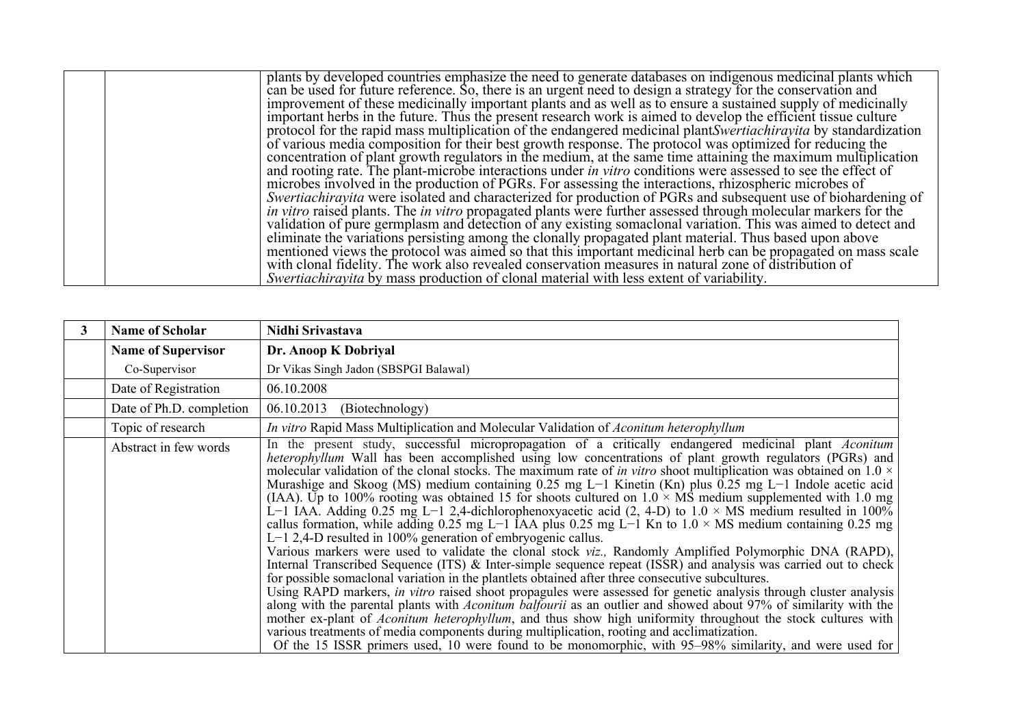| plants by developed countries emphasize the need to generate databases on indigenous medicinal plants which          |
|----------------------------------------------------------------------------------------------------------------------|
| can be used for future reference. So, there is an urgent need to design a strategy for the conservation and          |
| improvement of these medicinally important plants and as well as to ensure a sustained supply of medicinally         |
| important herbs in the future. Thus the present research work is aimed to develop the efficient tissue culture       |
| protocol for the rapid mass multiplication of the endangered medicinal plantSwertiachirayita by standardization      |
| of various media composition for their best growth response. The protocol was optimized for reducing the             |
| concentration of plant growth regulators in the medium, at the same time attaining the maximum multiplication        |
| and rooting rate. The plant-microbe interactions under <i>in vitro</i> conditions were assessed to see the effect of |
| microbes involved in the production of PGRs. For assessing the interactions, rhizospheric microbes of                |
| <i>Swertiachirayita</i> were isolated and characterized for production of PGRs and subsequent use of biohardening of |
| in vitro raised plants. The in vitro propagated plants were further assessed through molecular markers for the       |
| validation of pure germplasm and detection of any existing somaclonal variation. This was aimed to detect and        |
| eliminate the variations persisting among the clonally propagated plant material. Thus based upon above              |
| mentioned views the protocol was aimed so that this important medicinal herb can be propagated on mass scale         |
| with clonal fidelity. The work also revealed conservation measures in natural zone of distribution of                |
| <i>Swertiachirayita</i> by mass production of clonal material with less extent of variability.                       |

| <b>Name of Scholar</b>    | Nidhi Srivastava                                                                                                                                                                                                                                                                                                                                                                                                                                                                                                                                                                                                                                                                                                                                                                                                                                                                                                                                                                                                                                                                                                                                                                                                                                                                                                                                                                                                                                                                                                                                                                                                                                                                                                                                                                                                               |
|---------------------------|--------------------------------------------------------------------------------------------------------------------------------------------------------------------------------------------------------------------------------------------------------------------------------------------------------------------------------------------------------------------------------------------------------------------------------------------------------------------------------------------------------------------------------------------------------------------------------------------------------------------------------------------------------------------------------------------------------------------------------------------------------------------------------------------------------------------------------------------------------------------------------------------------------------------------------------------------------------------------------------------------------------------------------------------------------------------------------------------------------------------------------------------------------------------------------------------------------------------------------------------------------------------------------------------------------------------------------------------------------------------------------------------------------------------------------------------------------------------------------------------------------------------------------------------------------------------------------------------------------------------------------------------------------------------------------------------------------------------------------------------------------------------------------------------------------------------------------|
| <b>Name of Supervisor</b> | Dr. Anoop K Dobriyal                                                                                                                                                                                                                                                                                                                                                                                                                                                                                                                                                                                                                                                                                                                                                                                                                                                                                                                                                                                                                                                                                                                                                                                                                                                                                                                                                                                                                                                                                                                                                                                                                                                                                                                                                                                                           |
| Co-Supervisor             | Dr Vikas Singh Jadon (SBSPGI Balawal)                                                                                                                                                                                                                                                                                                                                                                                                                                                                                                                                                                                                                                                                                                                                                                                                                                                                                                                                                                                                                                                                                                                                                                                                                                                                                                                                                                                                                                                                                                                                                                                                                                                                                                                                                                                          |
| Date of Registration      | 06.10.2008                                                                                                                                                                                                                                                                                                                                                                                                                                                                                                                                                                                                                                                                                                                                                                                                                                                                                                                                                                                                                                                                                                                                                                                                                                                                                                                                                                                                                                                                                                                                                                                                                                                                                                                                                                                                                     |
| Date of Ph.D. completion  | 06.10.2013<br>(Biotechnology)                                                                                                                                                                                                                                                                                                                                                                                                                                                                                                                                                                                                                                                                                                                                                                                                                                                                                                                                                                                                                                                                                                                                                                                                                                                                                                                                                                                                                                                                                                                                                                                                                                                                                                                                                                                                  |
| Topic of research         | In vitro Rapid Mass Multiplication and Molecular Validation of Aconitum heterophyllum                                                                                                                                                                                                                                                                                                                                                                                                                                                                                                                                                                                                                                                                                                                                                                                                                                                                                                                                                                                                                                                                                                                                                                                                                                                                                                                                                                                                                                                                                                                                                                                                                                                                                                                                          |
| Abstract in few words     | In the present study, successful micropropagation of a critically endangered medicinal plant Aconitum<br>heterophyllum Wall has been accomplished using low concentrations of plant growth regulators (PGRs) and<br>molecular validation of the clonal stocks. The maximum rate of <i>in vitro</i> shoot multiplication was obtained on $1.0 \times$<br>Murashige and Skoog (MS) medium containing 0.25 mg L-1 Kinetin (Kn) plus $0.25$ mg L-1 Indole acetic acid<br>(IAA). Up to 100% rooting was obtained 15 for shoots cultured on $1.0 \times \overrightarrow{MS}$ medium supplemented with 1.0 mg<br>L-1 IAA. Adding 0.25 mg L-1 2,4-dichlorophenoxyacetic acid (2, 4-D) to $1.0 \times MS$ medium resulted in 100%<br>callus formation, while adding 0.25 mg L-1 IAA plus 0.25 mg L-1 Kn to $1.0 \times MS$ medium containing 0.25 mg<br>$L-1$ 2,4-D resulted in 100% generation of embryogenic callus.<br>Various markers were used to validate the clonal stock viz., Randomly Amplified Polymorphic DNA (RAPD),<br>Internal Transcribed Sequence (ITS) & Inter-simple sequence repeat (ISSR) and analysis was carried out to check<br>for possible somaclonal variation in the plantlets obtained after three consecutive subcultures.<br>Using RAPD markers, in vitro raised shoot propagules were assessed for genetic analysis through cluster analysis<br>along with the parental plants with <i>Aconitum balfourii</i> as an outlier and showed about 97% of similarity with the<br>mother ex-plant of <i>Aconitum heterophyllum</i> , and thus show high uniformity throughout the stock cultures with<br>various treatments of media components during multiplication, rooting and acclimatization.<br>Of the 15 ISSR primers used, 10 were found to be monomorphic, with 95–98% similarity, and were used for |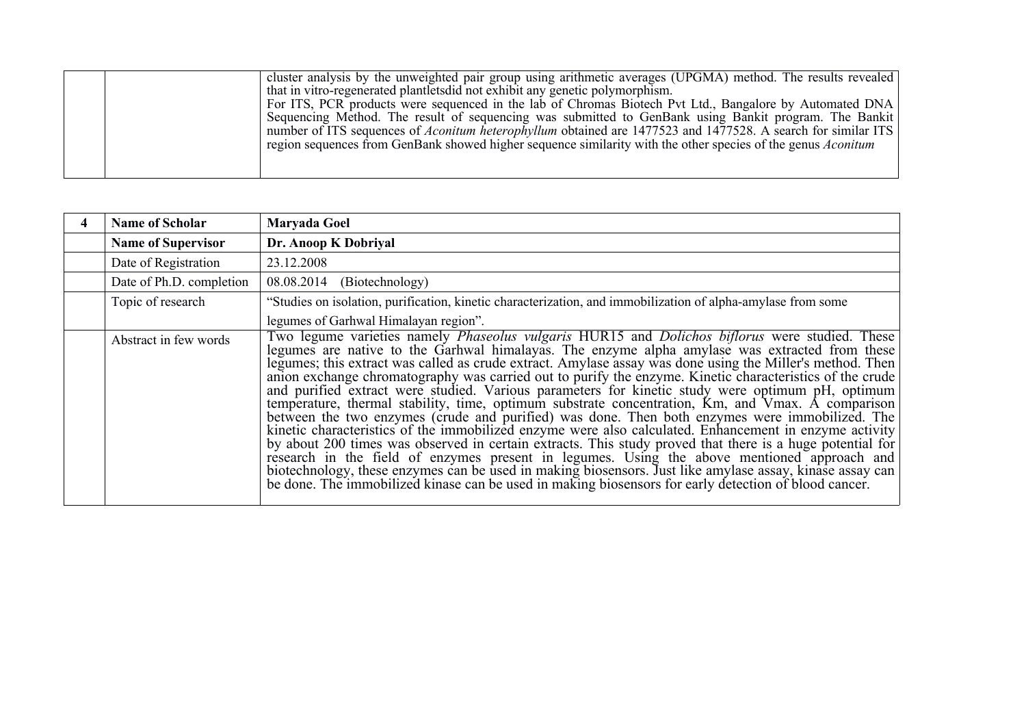|  | cluster analysis by the unweighted pair group using arithmetic averages (UPGMA) method. The results revealed        |  |
|--|---------------------------------------------------------------------------------------------------------------------|--|
|  | that in vitro-regenerated plantlets did not exhibit any genetic polymorphism.                                       |  |
|  | For ITS, PCR products were sequenced in the lab of Chromas Biotech Pvt Ltd., Bangalore by Automated DNA             |  |
|  | Sequencing Method. The result of sequencing was submitted to GenBank using Bankit program. The Bankit               |  |
|  | number of ITS sequences of <i>Aconitum heterophyllum</i> obtained are 1477523 and 1477528. A search for similar ITS |  |
|  | region sequences from GenBank showed higher sequence similarity with the other species of the genus Aconitum        |  |
|  |                                                                                                                     |  |
|  |                                                                                                                     |  |
|  |                                                                                                                     |  |

| <b>Name of Scholar</b>    | Maryada Goel                                                                                                                                                                                                                                                                                                                                                                                                                                                                                                                                                                                                                                                                                                                                                                                                                                                                                                                                                                                                                                                                                                                                                                                                  |
|---------------------------|---------------------------------------------------------------------------------------------------------------------------------------------------------------------------------------------------------------------------------------------------------------------------------------------------------------------------------------------------------------------------------------------------------------------------------------------------------------------------------------------------------------------------------------------------------------------------------------------------------------------------------------------------------------------------------------------------------------------------------------------------------------------------------------------------------------------------------------------------------------------------------------------------------------------------------------------------------------------------------------------------------------------------------------------------------------------------------------------------------------------------------------------------------------------------------------------------------------|
| <b>Name of Supervisor</b> | Dr. Anoop K Dobriyal                                                                                                                                                                                                                                                                                                                                                                                                                                                                                                                                                                                                                                                                                                                                                                                                                                                                                                                                                                                                                                                                                                                                                                                          |
| Date of Registration      | 23.12.2008                                                                                                                                                                                                                                                                                                                                                                                                                                                                                                                                                                                                                                                                                                                                                                                                                                                                                                                                                                                                                                                                                                                                                                                                    |
| Date of Ph.D. completion  | 08.08.2014<br>(Biotechnology)                                                                                                                                                                                                                                                                                                                                                                                                                                                                                                                                                                                                                                                                                                                                                                                                                                                                                                                                                                                                                                                                                                                                                                                 |
| Topic of research         | "Studies on isolation, purification, kinetic characterization, and immobilization of alpha-amylase from some                                                                                                                                                                                                                                                                                                                                                                                                                                                                                                                                                                                                                                                                                                                                                                                                                                                                                                                                                                                                                                                                                                  |
|                           | legumes of Garhwal Himalayan region".                                                                                                                                                                                                                                                                                                                                                                                                                                                                                                                                                                                                                                                                                                                                                                                                                                                                                                                                                                                                                                                                                                                                                                         |
| Abstract in few words     | Two legume varieties namely <i>Phaseolus vulgaris</i> HUR15 and <i>Dolichos biflorus</i> were studied. These<br>legumes are native to the Garhwal himalayas. The enzyme alpha amylase was extracted from these<br>legumes; this extract was called as crude extract. Amylase assay was done using the Miller's method. Then<br>anion exchange chromatography was carried out to purify the enzyme. Kinetic characteristics of the crude<br>and purified extract were studied. Various parameters for kinetic study were optimum pH, optimum temperature, thermal stability, time, optimum substrate concentration, Km, and Vmax. A comparison<br>between the two enzymes (crude and purified) was done. Then both enzymes were immobilized. The<br>kinetic characteristics of the immobilized enzyme were also calculated. Enhancement in enzyme activity<br>by about 200 times was observed in certain extracts. This study proved that there is a huge potential for<br>research in the field of enzymes present in legumes. Using the above mentioned approach and<br>biotechnology, these enzymes can be used in making biosensors. Just like amylase assay, kinase assay can<br>be done. The immobilized |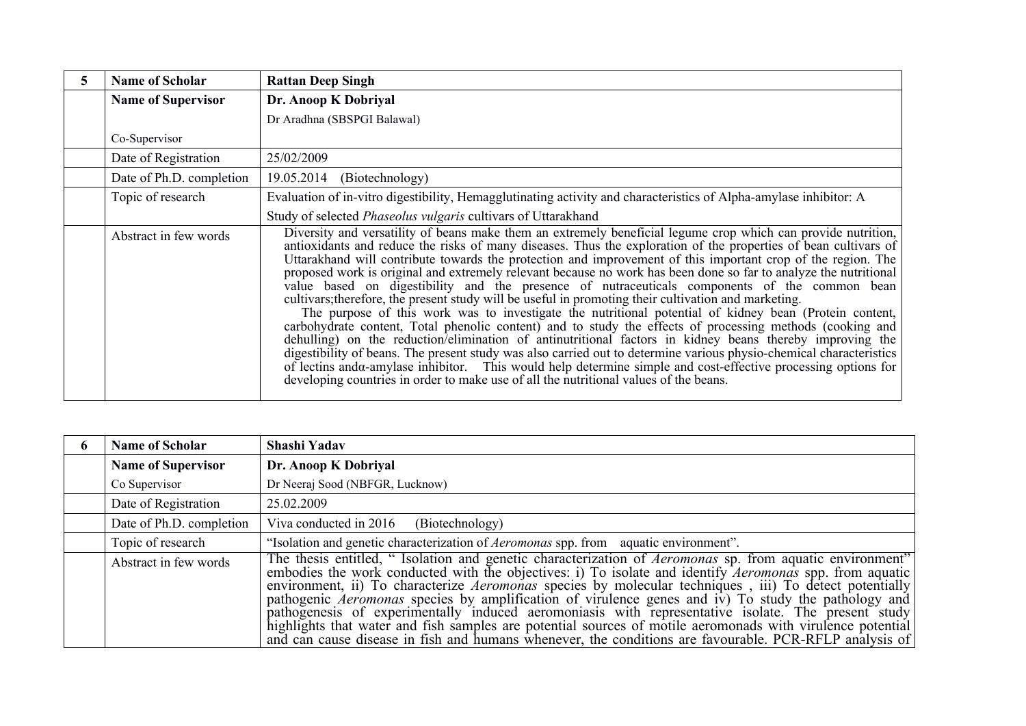| <b>Name of Scholar</b>    | <b>Rattan Deep Singh</b>                                                                                                                                                                                                                                                                                                                                                                                                                                                                                                                                                                                                                                                                                                                                                                                                                                                                                                                                                                                                                                                                                                                                                                                                                                                                                                                           |
|---------------------------|----------------------------------------------------------------------------------------------------------------------------------------------------------------------------------------------------------------------------------------------------------------------------------------------------------------------------------------------------------------------------------------------------------------------------------------------------------------------------------------------------------------------------------------------------------------------------------------------------------------------------------------------------------------------------------------------------------------------------------------------------------------------------------------------------------------------------------------------------------------------------------------------------------------------------------------------------------------------------------------------------------------------------------------------------------------------------------------------------------------------------------------------------------------------------------------------------------------------------------------------------------------------------------------------------------------------------------------------------|
| <b>Name of Supervisor</b> | Dr. Anoop K Dobriyal                                                                                                                                                                                                                                                                                                                                                                                                                                                                                                                                                                                                                                                                                                                                                                                                                                                                                                                                                                                                                                                                                                                                                                                                                                                                                                                               |
|                           | Dr Aradhna (SBSPGI Balawal)                                                                                                                                                                                                                                                                                                                                                                                                                                                                                                                                                                                                                                                                                                                                                                                                                                                                                                                                                                                                                                                                                                                                                                                                                                                                                                                        |
| Co-Supervisor             |                                                                                                                                                                                                                                                                                                                                                                                                                                                                                                                                                                                                                                                                                                                                                                                                                                                                                                                                                                                                                                                                                                                                                                                                                                                                                                                                                    |
| Date of Registration      | 25/02/2009                                                                                                                                                                                                                                                                                                                                                                                                                                                                                                                                                                                                                                                                                                                                                                                                                                                                                                                                                                                                                                                                                                                                                                                                                                                                                                                                         |
| Date of Ph.D. completion  | 19.05.2014<br>(Biotechnology)                                                                                                                                                                                                                                                                                                                                                                                                                                                                                                                                                                                                                                                                                                                                                                                                                                                                                                                                                                                                                                                                                                                                                                                                                                                                                                                      |
| Topic of research         | Evaluation of in-vitro digestibility, Hemagglutinating activity and characteristics of Alpha-amylase inhibitor: A                                                                                                                                                                                                                                                                                                                                                                                                                                                                                                                                                                                                                                                                                                                                                                                                                                                                                                                                                                                                                                                                                                                                                                                                                                  |
|                           | Study of selected <i>Phaseolus vulgaris</i> cultivars of Uttarakhand                                                                                                                                                                                                                                                                                                                                                                                                                                                                                                                                                                                                                                                                                                                                                                                                                                                                                                                                                                                                                                                                                                                                                                                                                                                                               |
| Abstract in few words     | Diversity and versatility of beans make them an extremely beneficial legume crop which can provide nutrition,<br>antioxidants and reduce the risks of many diseases. Thus the exploration of the properties of bean cultivars of<br>Uttarakhand will contribute towards the protection and improvement of this important crop of the region. The<br>proposed work is original and extremely relevant because no work has been done so far to analyze the nutritional<br>value based on digestibility and the presence of nutraceuticals components of the common bean<br>cultivars; therefore, the present study will be useful in promoting their cultivation and marketing.<br>The purpose of this work was to investigate the nutritional potential of kidney bean (Protein content,<br>carbohydrate content, Total phenolic content) and to study the effects of processing methods (cooking and<br>dehulling) on the reduction/elimination of antinutritional factors in kidney beans thereby improving the<br>digestibility of beans. The present study was also carried out to determine various physio-chemical characteristics<br>of lectins and a-amylase inhibitor. This would help determine simple and cost-effective processing options for<br>developing countries in order to make use of all the nutritional values of the beans. |

| O | <b>Name of Scholar</b>    | Shashi Yadav                                                                                                                                                                                                                                                                                                                                                                                                                                                                                                                                                                                                                                                                                                                                                                                  |
|---|---------------------------|-----------------------------------------------------------------------------------------------------------------------------------------------------------------------------------------------------------------------------------------------------------------------------------------------------------------------------------------------------------------------------------------------------------------------------------------------------------------------------------------------------------------------------------------------------------------------------------------------------------------------------------------------------------------------------------------------------------------------------------------------------------------------------------------------|
|   | <b>Name of Supervisor</b> | Dr. Anoop K Dobriyal                                                                                                                                                                                                                                                                                                                                                                                                                                                                                                                                                                                                                                                                                                                                                                          |
|   | Co Supervisor             | Dr Neeraj Sood (NBFGR, Lucknow)                                                                                                                                                                                                                                                                                                                                                                                                                                                                                                                                                                                                                                                                                                                                                               |
|   | Date of Registration      | 25.02.2009                                                                                                                                                                                                                                                                                                                                                                                                                                                                                                                                                                                                                                                                                                                                                                                    |
|   | Date of Ph.D. completion  | Viva conducted in 2016<br>(Biotechnology)                                                                                                                                                                                                                                                                                                                                                                                                                                                                                                                                                                                                                                                                                                                                                     |
|   | Topic of research         | "Isolation and genetic characterization of <i>Aeromonas</i> spp. from aquatic environment".                                                                                                                                                                                                                                                                                                                                                                                                                                                                                                                                                                                                                                                                                                   |
|   | Abstract in few words     | The thesis entitled, "Isolation and genetic characterization of <i>Aeromonas</i> sp. from aquatic environment"<br>embodies the work conducted with the objectives: i) To isolate and identify <i>Aeromonas</i> spp. from aquatic<br>environment, ii) To characterize <i>Aeromonas</i> species by molecular techniques, iii) To detect potentially<br>pathogenic <i>Aeromonas</i> species by amplification of virulence genes and iv) To study the pathology and<br>pathogenesis of experimentally induced aeromoniasis with representative isolate. The present study<br>highlights that water and fish samples are potential sources of motile aeromonads with virulence potential<br>and can cause disease in fish and humans whenever, the conditions are favourable. PCR-RFLP analysis of |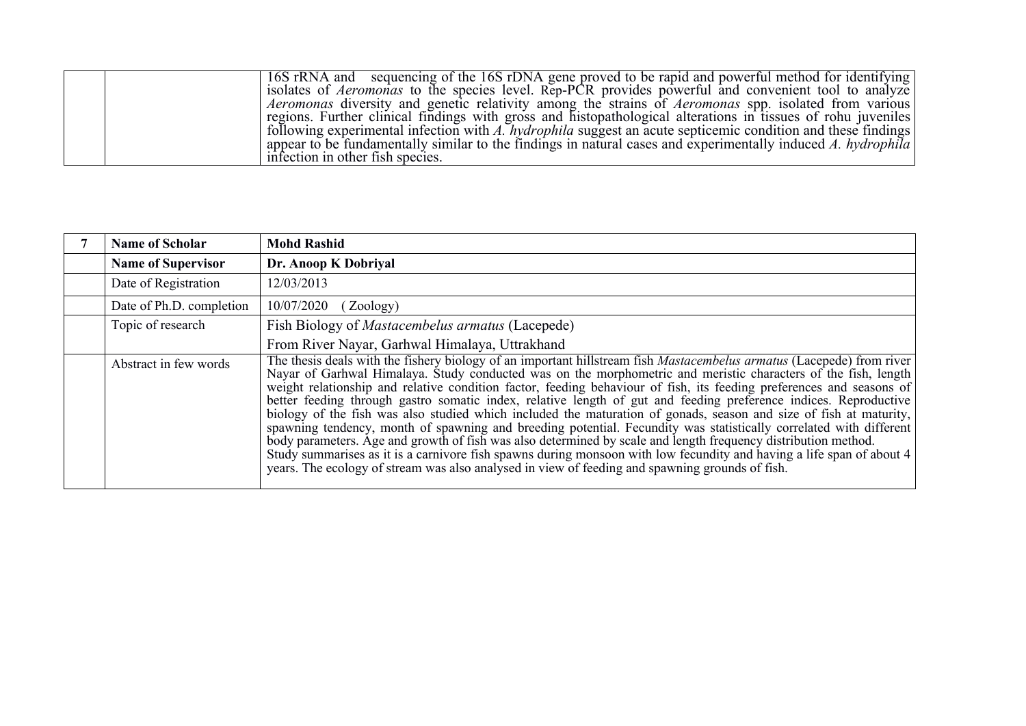| 16S rRNA and sequencing of the 16S rDNA gene proved to be rapid and powerful method for identifying                |  |
|--------------------------------------------------------------------------------------------------------------------|--|
| isolates of <i>Aeromonas</i> to the species level. Rep-PCR provides powerful and convenient tool to analyze        |  |
| <i>Aeromonas</i> diversity and genetic relativity among the strains of <i>Aeromonas</i> spp. isolated from various |  |
| regions. Further clinical findings with gross and histopathological alterations in tissues of rohu juveniles       |  |
| following experimental infection with A. hydrophila suggest an acute septicemic condition and these findings       |  |
| appear to be fundamentally similar to the findings in natural cases and experimentally induced A. hydrophila       |  |
| infection in other fish species.                                                                                   |  |

| <b>Name of Scholar</b>    | <b>Mohd Rashid</b>                                                                                                                                                                                                                                                                                                                                                                                                                                                                                                                                                                                                                                                                                                                                                                                                                                                                                                                                                                                                                                                                   |
|---------------------------|--------------------------------------------------------------------------------------------------------------------------------------------------------------------------------------------------------------------------------------------------------------------------------------------------------------------------------------------------------------------------------------------------------------------------------------------------------------------------------------------------------------------------------------------------------------------------------------------------------------------------------------------------------------------------------------------------------------------------------------------------------------------------------------------------------------------------------------------------------------------------------------------------------------------------------------------------------------------------------------------------------------------------------------------------------------------------------------|
| <b>Name of Supervisor</b> | Dr. Anoop K Dobriyal                                                                                                                                                                                                                                                                                                                                                                                                                                                                                                                                                                                                                                                                                                                                                                                                                                                                                                                                                                                                                                                                 |
| Date of Registration      | 12/03/2013                                                                                                                                                                                                                                                                                                                                                                                                                                                                                                                                                                                                                                                                                                                                                                                                                                                                                                                                                                                                                                                                           |
| Date of Ph.D. completion  | 10/07/2020<br>(Zoology)                                                                                                                                                                                                                                                                                                                                                                                                                                                                                                                                                                                                                                                                                                                                                                                                                                                                                                                                                                                                                                                              |
| Topic of research         | Fish Biology of Mastacembelus armatus (Lacepede)                                                                                                                                                                                                                                                                                                                                                                                                                                                                                                                                                                                                                                                                                                                                                                                                                                                                                                                                                                                                                                     |
|                           | From River Nayar, Garhwal Himalaya, Uttrakhand                                                                                                                                                                                                                                                                                                                                                                                                                                                                                                                                                                                                                                                                                                                                                                                                                                                                                                                                                                                                                                       |
| Abstract in few words     | The thesis deals with the fishery biology of an important hillstream fish <i>Mastacembelus armatus</i> (Lacepede) from river<br>Nayar of Garhwal Himalaya. Study conducted was on the morphometric and meristic characters of the fish, length<br>weight relationship and relative condition factor, feeding behaviour of fish, its feeding preferences and seasons of<br>better feeding through gastro somatic index, relative length of gut and feeding preference indices. Reproductive<br>biology of the fish was also studied which included the maturation of gonads, season and size of fish at maturity,<br>spawning tendency, month of spawning and breeding potential. Fecundity was statistically correlated with different<br>body parameters. Age and growth of fish was also determined by scale and length frequency distribution method.<br>Study summarises as it is a carnivore fish spawns during monsoon with low fecundity and having a life span of about 4<br>years. The ecology of stream was also analysed in view of feeding and spawning grounds of fish. |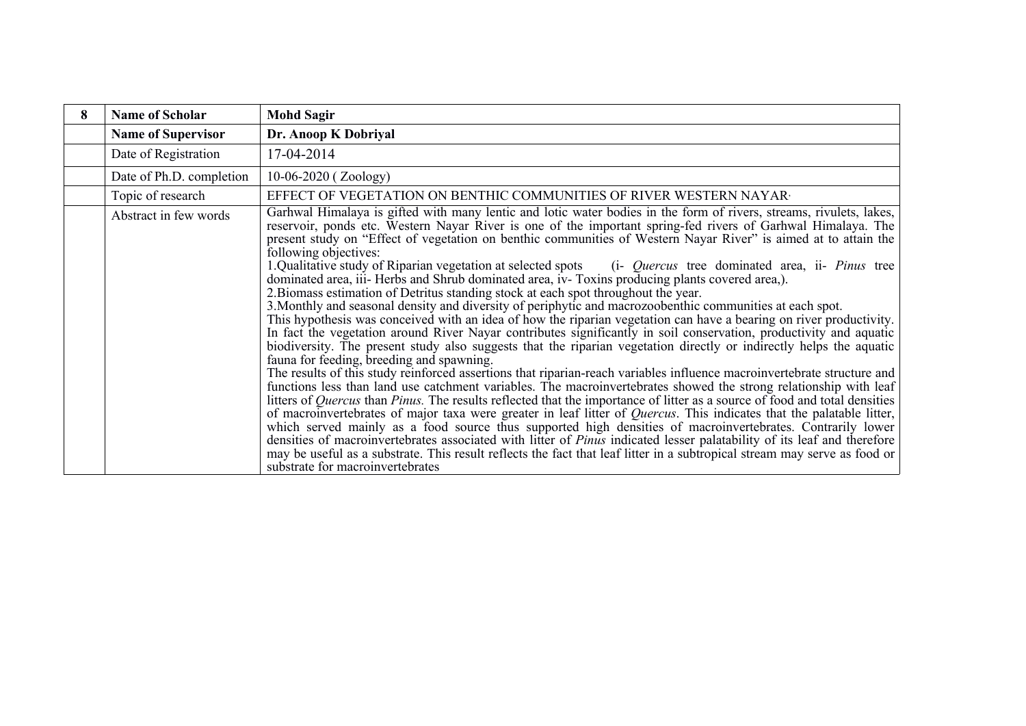| 8 | <b>Name of Scholar</b>    | <b>Mohd Sagir</b>                                                                                                                                                                                                                                                                                                                                                                                                                                                                                                                                                                                                                                                                                                                                                                                                                                                                                                                                                                                                                                                                                                                                                                                                                                                                                                                                                                                                                                                                                                                                                                                                                                                                                                                                                                                                                                                                                                                                                                                                                                                                                                                                                              |
|---|---------------------------|--------------------------------------------------------------------------------------------------------------------------------------------------------------------------------------------------------------------------------------------------------------------------------------------------------------------------------------------------------------------------------------------------------------------------------------------------------------------------------------------------------------------------------------------------------------------------------------------------------------------------------------------------------------------------------------------------------------------------------------------------------------------------------------------------------------------------------------------------------------------------------------------------------------------------------------------------------------------------------------------------------------------------------------------------------------------------------------------------------------------------------------------------------------------------------------------------------------------------------------------------------------------------------------------------------------------------------------------------------------------------------------------------------------------------------------------------------------------------------------------------------------------------------------------------------------------------------------------------------------------------------------------------------------------------------------------------------------------------------------------------------------------------------------------------------------------------------------------------------------------------------------------------------------------------------------------------------------------------------------------------------------------------------------------------------------------------------------------------------------------------------------------------------------------------------|
|   | <b>Name of Supervisor</b> | Dr. Anoop K Dobriyal                                                                                                                                                                                                                                                                                                                                                                                                                                                                                                                                                                                                                                                                                                                                                                                                                                                                                                                                                                                                                                                                                                                                                                                                                                                                                                                                                                                                                                                                                                                                                                                                                                                                                                                                                                                                                                                                                                                                                                                                                                                                                                                                                           |
|   | Date of Registration      | 17-04-2014                                                                                                                                                                                                                                                                                                                                                                                                                                                                                                                                                                                                                                                                                                                                                                                                                                                                                                                                                                                                                                                                                                                                                                                                                                                                                                                                                                                                                                                                                                                                                                                                                                                                                                                                                                                                                                                                                                                                                                                                                                                                                                                                                                     |
|   | Date of Ph.D. completion  | $10-06-2020$ (Zoology)                                                                                                                                                                                                                                                                                                                                                                                                                                                                                                                                                                                                                                                                                                                                                                                                                                                                                                                                                                                                                                                                                                                                                                                                                                                                                                                                                                                                                                                                                                                                                                                                                                                                                                                                                                                                                                                                                                                                                                                                                                                                                                                                                         |
|   | Topic of research         | EFFECT OF VEGETATION ON BENTHIC COMMUNITIES OF RIVER WESTERN NAYAR T                                                                                                                                                                                                                                                                                                                                                                                                                                                                                                                                                                                                                                                                                                                                                                                                                                                                                                                                                                                                                                                                                                                                                                                                                                                                                                                                                                                                                                                                                                                                                                                                                                                                                                                                                                                                                                                                                                                                                                                                                                                                                                           |
|   | Abstract in few words     | Garhwal Himalaya is gifted with many lentic and lotic water bodies in the form of rivers, streams, rivulets, lakes,<br>reservoir, ponds etc. Western Nayar River is one of the important spring-fed rivers of Garhwal Himalaya. The<br>present study on "Effect of vegetation on benthic communities of Western Nayar River" is aimed at to attain the<br>following objectives:<br>1. Qualitative study of Riparian vegetation at selected spots<br>(i- <i>Quercus</i> tree dominated area, ii- <i>Pinus</i> tree<br>dominated area, iii-Herbs and Shrub dominated area, iv-Toxins producing plants covered area,).<br>2. Biomass estimation of Detritus standing stock at each spot throughout the year.<br>3. Monthly and seasonal density and diversity of periphytic and macrozoobenthic communities at each spot.<br>This hypothesis was conceived with an idea of how the riparian vegetation can have a bearing on river productivity.<br>In fact the vegetation around River Nayar contributes significantly in soil conservation, productivity and aquatic<br>biodiversity. The present study also suggests that the riparian vegetation directly or indirectly helps the aquatic<br>fauna for feeding, breeding and spawning.<br>The results of this study reinforced assertions that riparian-reach variables influence macroinvertebrate structure and<br>functions less than land use catchment variables. The macroinvertebrates showed the strong relationship with leaf<br>litters of <i>Quercus</i> than <i>Pinus</i> . The results reflected that the importance of litter as a source of food and total densities<br>of macroinvertebrates of major taxa were greater in leaf litter of Quercus. This indicates that the palatable litter,<br>which served mainly as a food source thus supported high densities of macroinvertebrates. Contrarily lower<br>densities of macroinvertebrates associated with litter of <i>Pinus</i> indicated lesser palatability of its leaf and therefore<br>may be useful as a substrate. This result reflects the fact that leaf litter in a subtropical stream may serve as food or<br>substrate for macroinvertebrates |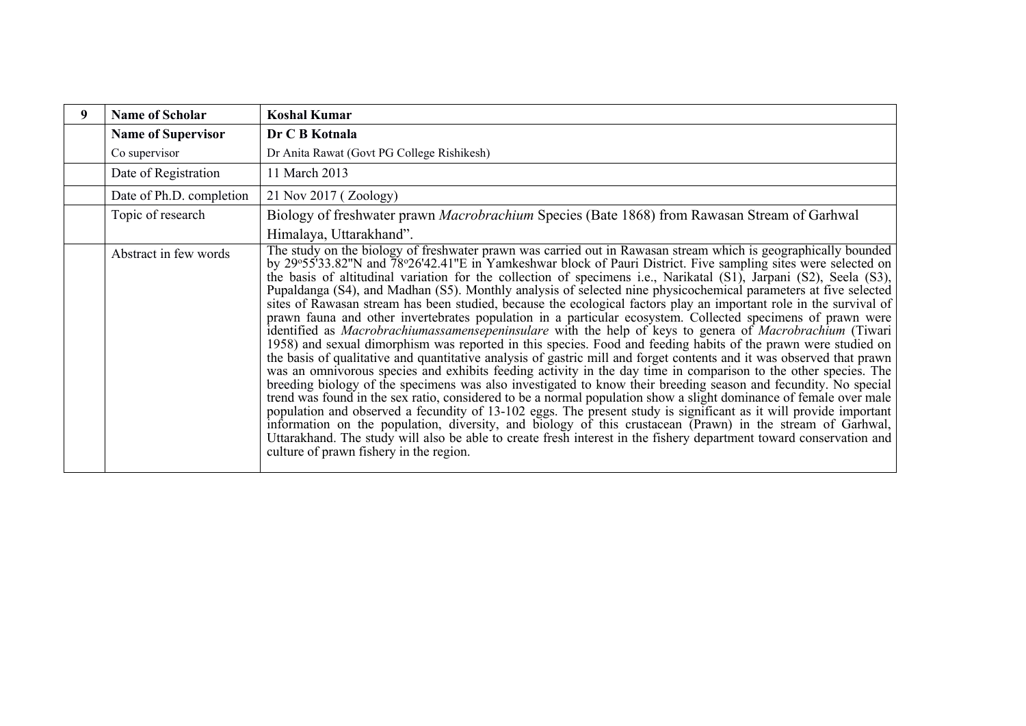| <b>Name of Scholar</b><br>9 | <b>Koshal Kumar</b>                                                                                                                                                                                                                                                                                                                                                                                                                                                                                                                                                                                                                                                                                                                                                                                                                                                                                                                                                                                                                                                                                                                                                                                                                                                                                                                                                                                                                                                                                                                                                                                                                                                                                                                                                                                                                    |
|-----------------------------|----------------------------------------------------------------------------------------------------------------------------------------------------------------------------------------------------------------------------------------------------------------------------------------------------------------------------------------------------------------------------------------------------------------------------------------------------------------------------------------------------------------------------------------------------------------------------------------------------------------------------------------------------------------------------------------------------------------------------------------------------------------------------------------------------------------------------------------------------------------------------------------------------------------------------------------------------------------------------------------------------------------------------------------------------------------------------------------------------------------------------------------------------------------------------------------------------------------------------------------------------------------------------------------------------------------------------------------------------------------------------------------------------------------------------------------------------------------------------------------------------------------------------------------------------------------------------------------------------------------------------------------------------------------------------------------------------------------------------------------------------------------------------------------------------------------------------------------|
| <b>Name of Supervisor</b>   | Dr C B Kotnala                                                                                                                                                                                                                                                                                                                                                                                                                                                                                                                                                                                                                                                                                                                                                                                                                                                                                                                                                                                                                                                                                                                                                                                                                                                                                                                                                                                                                                                                                                                                                                                                                                                                                                                                                                                                                         |
| Co supervisor               | Dr Anita Rawat (Govt PG College Rishikesh)                                                                                                                                                                                                                                                                                                                                                                                                                                                                                                                                                                                                                                                                                                                                                                                                                                                                                                                                                                                                                                                                                                                                                                                                                                                                                                                                                                                                                                                                                                                                                                                                                                                                                                                                                                                             |
| Date of Registration        | 11 March 2013                                                                                                                                                                                                                                                                                                                                                                                                                                                                                                                                                                                                                                                                                                                                                                                                                                                                                                                                                                                                                                                                                                                                                                                                                                                                                                                                                                                                                                                                                                                                                                                                                                                                                                                                                                                                                          |
| Date of Ph.D. completion    | 21 Nov 2017 (Zoology)                                                                                                                                                                                                                                                                                                                                                                                                                                                                                                                                                                                                                                                                                                                                                                                                                                                                                                                                                                                                                                                                                                                                                                                                                                                                                                                                                                                                                                                                                                                                                                                                                                                                                                                                                                                                                  |
| Topic of research           | Biology of freshwater prawn <i>Macrobrachium</i> Species (Bate 1868) from Rawasan Stream of Garhwal                                                                                                                                                                                                                                                                                                                                                                                                                                                                                                                                                                                                                                                                                                                                                                                                                                                                                                                                                                                                                                                                                                                                                                                                                                                                                                                                                                                                                                                                                                                                                                                                                                                                                                                                    |
|                             | Himalaya, Uttarakhand".                                                                                                                                                                                                                                                                                                                                                                                                                                                                                                                                                                                                                                                                                                                                                                                                                                                                                                                                                                                                                                                                                                                                                                                                                                                                                                                                                                                                                                                                                                                                                                                                                                                                                                                                                                                                                |
| Abstract in few words       | The study on the biology of freshwater prawn was carried out in Rawasan stream which is geographically bounded<br>by 29°55'33.82"N and 78°26'42.41"E in Yamkeshwar block of Pauri District. Five sampling sites were selected on<br>the basis of altitudinal variation for the collection of specimens i.e., Narikatal (S1), Jarpani (S2), Seela (S3),<br>Pupaldanga (S4), and Madhan (S5). Monthly analysis of selected nine physicochemical parameters at five selected<br>sites of Rawasan stream has been studied, because the ecological factors play an important role in the survival of<br>prawn fauna and other invertebrates population in a particular ecosystem. Collected specimens of prawn were<br>identified as Macrobrachiumassamensepeninsulare with the help of keys to genera of Macrobrachium (Tiwari<br>1958) and sexual dimorphism was reported in this species. Food and feeding habits of the prawn were studied on<br>the basis of qualitative and quantitative analysis of gastric mill and forget contents and it was observed that prawn<br>was an omnivorous species and exhibits feeding activity in the day time in comparison to the other species. The<br>breeding biology of the specimens was also investigated to know their breeding season and fecundity. No special<br>trend was found in the sex ratio, considered to be a normal population show a slight dominance of female over male<br>population and observed a fecundity of 13-102 eggs. The present study is significant as it will provide important<br>information on the population, diversity, and biology of this crustacean (Prawn) in the stream of Garhwal,<br>Uttarakhand. The study will also be able to create fresh interest in the fishery department toward conservation and<br>culture of prawn fishery in the region. |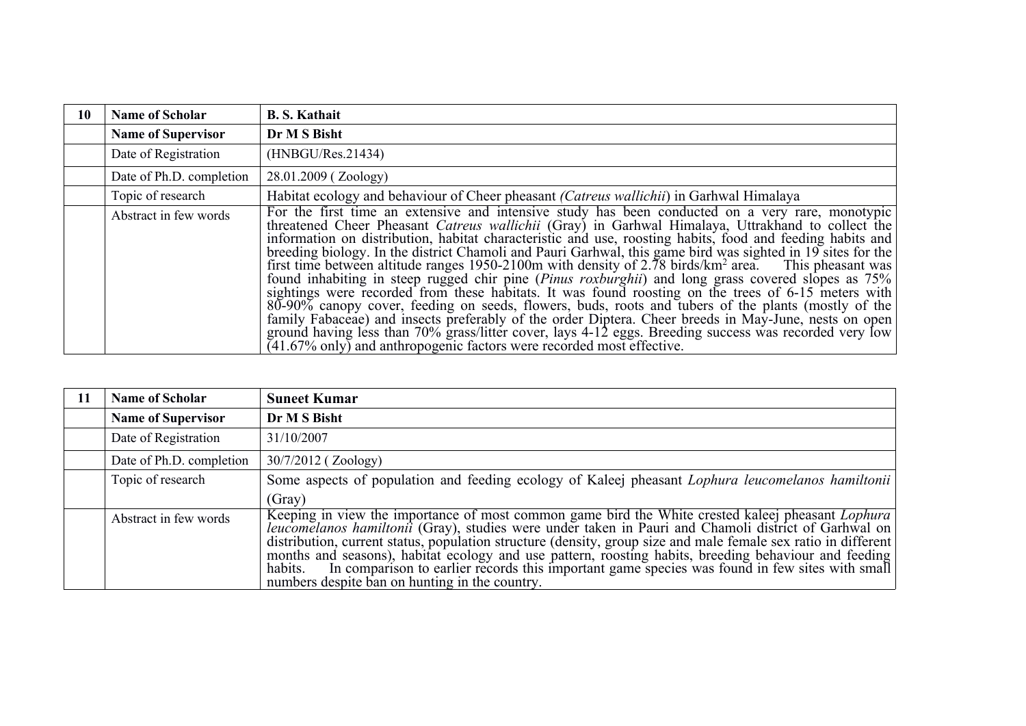| 10 | <b>Name of Scholar</b>    | <b>B. S. Kathait</b>                                                                                                                                                                                                                                                                                                                                                                                                                                                                                                                                                                                                                                                                                                                                                                                                                                                                                                                                                                                                                                                                                                                                                             |
|----|---------------------------|----------------------------------------------------------------------------------------------------------------------------------------------------------------------------------------------------------------------------------------------------------------------------------------------------------------------------------------------------------------------------------------------------------------------------------------------------------------------------------------------------------------------------------------------------------------------------------------------------------------------------------------------------------------------------------------------------------------------------------------------------------------------------------------------------------------------------------------------------------------------------------------------------------------------------------------------------------------------------------------------------------------------------------------------------------------------------------------------------------------------------------------------------------------------------------|
|    | <b>Name of Supervisor</b> | Dr M S Bisht                                                                                                                                                                                                                                                                                                                                                                                                                                                                                                                                                                                                                                                                                                                                                                                                                                                                                                                                                                                                                                                                                                                                                                     |
|    | Date of Registration      | (HNBGU/Res.21434)                                                                                                                                                                                                                                                                                                                                                                                                                                                                                                                                                                                                                                                                                                                                                                                                                                                                                                                                                                                                                                                                                                                                                                |
|    | Date of Ph.D. completion  | 28.01.2009 (Zoology)                                                                                                                                                                                                                                                                                                                                                                                                                                                                                                                                                                                                                                                                                                                                                                                                                                                                                                                                                                                                                                                                                                                                                             |
|    | Topic of research         | Habitat ecology and behaviour of Cheer pheasant (Catreus wallichii) in Garhwal Himalaya                                                                                                                                                                                                                                                                                                                                                                                                                                                                                                                                                                                                                                                                                                                                                                                                                                                                                                                                                                                                                                                                                          |
|    | Abstract in few words     | For the first time an extensive and intensive study has been conducted on a very rare, monotypic<br>threatened Cheer Pheasant Catreus wallichii (Gray) in Garhwal Himalaya, Uttrakhand to collect the<br>information on distribution, habitat characteristic and use, roosting habits, food and feeding habits and<br>breeding biology. In the district Chamoli and Pauri Garhwal, this game bird was sighted in 19 sites for the<br>first time between altitude ranges 1950-2100m with density of 2.78 birds/km <sup>2</sup> area. This pheasant was<br>found inhabiting in steep rugged chir pine (Pinus roxburghii) and long grass covered slopes as 75%<br>sightings were recorded from these habitats. It was found roosting on the trees of 6-15 meters with<br>80-90% canopy cover, feeding on seeds, flowers, buds, roots and tubers of the plants (mostly of the<br>family Fabaceae) and insects preferably of the order Diptera. Cheer breeds in May-June, nests on open<br>ground having less than 70% grass/litter cover, lays 4-12 eggs. Breeding success was recorded very low<br>$(41.67\% \text{ only})$ and anthropogenic factors were recorded most effective. |

| 11 | <b>Name of Scholar</b>    | <b>Suneet Kumar</b>                                                                                                                                                                                                                                                                                                                                                                                                                                                                                                                                                                                         |
|----|---------------------------|-------------------------------------------------------------------------------------------------------------------------------------------------------------------------------------------------------------------------------------------------------------------------------------------------------------------------------------------------------------------------------------------------------------------------------------------------------------------------------------------------------------------------------------------------------------------------------------------------------------|
|    | <b>Name of Supervisor</b> | Dr M S Bisht                                                                                                                                                                                                                                                                                                                                                                                                                                                                                                                                                                                                |
|    | Date of Registration      | 31/10/2007                                                                                                                                                                                                                                                                                                                                                                                                                                                                                                                                                                                                  |
|    | Date of Ph.D. completion  | 30/7/2012 (Zoology)                                                                                                                                                                                                                                                                                                                                                                                                                                                                                                                                                                                         |
|    | Topic of research         | Some aspects of population and feeding ecology of Kaleej pheasant <i>Lophura leucomelanos hamiltonii</i>                                                                                                                                                                                                                                                                                                                                                                                                                                                                                                    |
|    |                           | (Gray)                                                                                                                                                                                                                                                                                                                                                                                                                                                                                                                                                                                                      |
|    | Abstract in few words     | Keeping in view the importance of most common game bird the White crested kaleej pheasant <i>Lophura</i><br>leucomelanos hamiltonii (Gray), studies were under taken in Pauri and Chamoli district of Garhwal on<br>distribution, current status, population structure (density, group size and male female sex ratio in different)<br>months and seasons), habitat ecology and use pattern, roosting habits, breeding behaviour and feeding<br>In comparison to earlier records this important game species was found in few sites with small<br>habits.<br>numbers despite ban on hunting in the country. |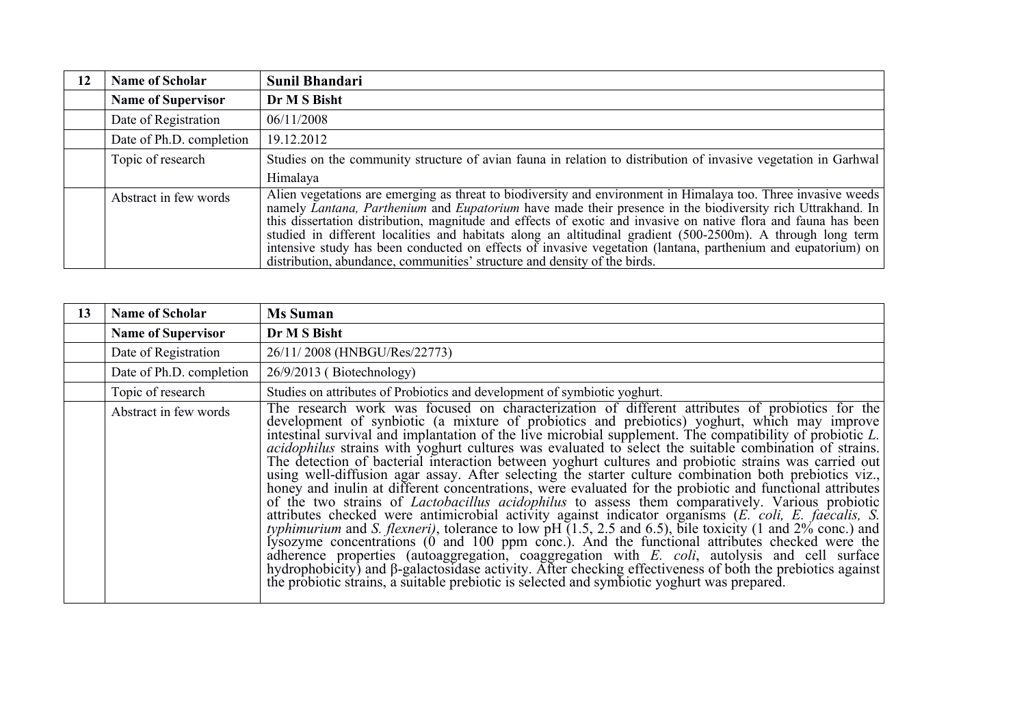| 12 | <b>Name of Scholar</b>    | Sunil Bhandari                                                                                                                                                                                                                                                                                                                                                                                                                                                                                                                                                                                                                                                      |
|----|---------------------------|---------------------------------------------------------------------------------------------------------------------------------------------------------------------------------------------------------------------------------------------------------------------------------------------------------------------------------------------------------------------------------------------------------------------------------------------------------------------------------------------------------------------------------------------------------------------------------------------------------------------------------------------------------------------|
|    | <b>Name of Supervisor</b> | Dr M S Bisht                                                                                                                                                                                                                                                                                                                                                                                                                                                                                                                                                                                                                                                        |
|    | Date of Registration      | 06/11/2008                                                                                                                                                                                                                                                                                                                                                                                                                                                                                                                                                                                                                                                          |
|    | Date of Ph.D. completion  | 19.12.2012                                                                                                                                                                                                                                                                                                                                                                                                                                                                                                                                                                                                                                                          |
|    | Topic of research         | Studies on the community structure of avian fauna in relation to distribution of invasive vegetation in Garhwal                                                                                                                                                                                                                                                                                                                                                                                                                                                                                                                                                     |
|    |                           | Himalaya                                                                                                                                                                                                                                                                                                                                                                                                                                                                                                                                                                                                                                                            |
|    | Abstract in few words     | Alien vegetations are emerging as threat to biodiversity and environment in Himalaya too. Three invasive weeds<br>namely Lantana, Parthenium and Eupatorium have made their presence in the biodiversity rich Uttrakhand. In<br>this dissertation distribution, magnitude and effects of exotic and invasive on native flora and fauna has been<br>studied in different localities and habitats along an altitudinal gradient (500-2500m). A through long term<br>intensive study has been conducted on effects of invasive vegetation (lantana, parthenium and eupatorium) on $\vert$<br>distribution, abundance, communities' structure and density of the birds. |

| <b>Name of Scholar</b><br>13 | <b>Ms Suman</b>                                                                                                                                                                                                                                                                                                                                                                                                                                                                                                                                                                                                                                                                                                                                                                                                                                                                                                                                                                                                                                                                                                                                                                                                                                                                                                                                                                                                                      |
|------------------------------|--------------------------------------------------------------------------------------------------------------------------------------------------------------------------------------------------------------------------------------------------------------------------------------------------------------------------------------------------------------------------------------------------------------------------------------------------------------------------------------------------------------------------------------------------------------------------------------------------------------------------------------------------------------------------------------------------------------------------------------------------------------------------------------------------------------------------------------------------------------------------------------------------------------------------------------------------------------------------------------------------------------------------------------------------------------------------------------------------------------------------------------------------------------------------------------------------------------------------------------------------------------------------------------------------------------------------------------------------------------------------------------------------------------------------------------|
| <b>Name of Supervisor</b>    | Dr M S Bisht                                                                                                                                                                                                                                                                                                                                                                                                                                                                                                                                                                                                                                                                                                                                                                                                                                                                                                                                                                                                                                                                                                                                                                                                                                                                                                                                                                                                                         |
| Date of Registration         | 26/11/2008 (HNBGU/Res/22773)                                                                                                                                                                                                                                                                                                                                                                                                                                                                                                                                                                                                                                                                                                                                                                                                                                                                                                                                                                                                                                                                                                                                                                                                                                                                                                                                                                                                         |
| Date of Ph.D. completion     | $26/9/2013$ (Biotechnology)                                                                                                                                                                                                                                                                                                                                                                                                                                                                                                                                                                                                                                                                                                                                                                                                                                                                                                                                                                                                                                                                                                                                                                                                                                                                                                                                                                                                          |
| Topic of research            | Studies on attributes of Probiotics and development of symbiotic yoghurt.                                                                                                                                                                                                                                                                                                                                                                                                                                                                                                                                                                                                                                                                                                                                                                                                                                                                                                                                                                                                                                                                                                                                                                                                                                                                                                                                                            |
| Abstract in few words        | The research work was focused on characterization of different attributes of probiotics for the<br>development of synbiotic (a mixture of probiotics and prebiotics) yoghurt, which may improve<br>intestinal survival and implantation of the live microbial supplement. The compatibility of probiotic L.<br><i>acidophilus</i> strains with yoghurt cultures was evaluated to select the suitable combination of strains.<br>The detection of bacterial interaction between yoghurt cultures and probiotic strains was carried out<br>using well-diffusion agar assay. After selecting the starter culture combination both prebiotics viz.,<br>honey and inulin at different concentrations, were evaluated for the probiotic and functional attributes<br>of the two strains of <i>Lactobacillus acidophilus</i> to assess them comparatively. Various probiotic<br>attributes checked were antimicrobial activity against indicator organisms ( <i>E. coli, E. faecalis, S.</i> typhimurium and <i>S. flexneri</i> ), tolerance to low pH (1.5, 2.5 and 6.5), bile toxicity (1 and 2% conc.) and lysozyme con<br>adherence properties (autoaggregation, coaggregation with E. coli, autolysis and cell surface hydrophobicity) and $\beta$ -galactosidase activity. After checking effectiveness of both the prebiotics against<br>the probiotic strains, a suitable prebiotic is selected and symbiotic yoghurt was prepared. |